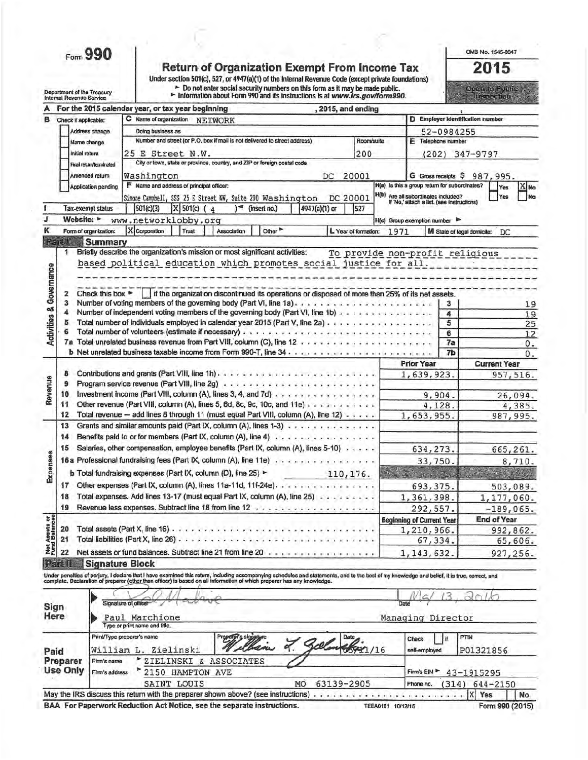Form 990

Department of the Treasury<br>Internal Revenue Service

Return of Organization Exempt From Income Tax<br>Under section 501(c), 527, or 4947(a)(1) of the Internal Revenue Code (except private foundations)<br>
F Do not enter social security numbers on this form as it may be made public

OMB No. 1545-0047

2015 oraș (c.Panie).<br>Urseadul

|                                    |                                           | , 2015, and ending<br>For the 2015 calendar year, or tax year beginning                                                                                                                                                           |      |                                                                                   |                                   |
|------------------------------------|-------------------------------------------|-----------------------------------------------------------------------------------------------------------------------------------------------------------------------------------------------------------------------------------|------|-----------------------------------------------------------------------------------|-----------------------------------|
| в                                  | Check if applicable:                      | C Name of organization<br><b>NETWORK</b>                                                                                                                                                                                          |      | D Employer identification number                                                  |                                   |
|                                    | Address change                            | Doing business as                                                                                                                                                                                                                 |      | 52-0984255                                                                        |                                   |
|                                    | Name change                               | Number and street (or P.O. box if mail is not delivered to street address)<br>Room/suite                                                                                                                                          |      | E Telephone number                                                                |                                   |
|                                    | <b>Initial return</b>                     | 25 E Street N.W.<br>200                                                                                                                                                                                                           |      |                                                                                   | (202) 347-9797                    |
|                                    | Final return/lerminated                   | City or town, state or province, country, and ZIP or foreign postal code                                                                                                                                                          |      |                                                                                   |                                   |
|                                    | Amended return                            | Washington<br>20001<br>DC                                                                                                                                                                                                         |      |                                                                                   | G Gross receipts \$987,995.       |
|                                    | Application pending                       | F Name and address of principal officer:                                                                                                                                                                                          |      | H(a) is this a group return for subordinates?                                     | X <sub>No</sub><br><b>Yes</b>     |
|                                    |                                           | Simone Campbell, SSS 25 E Street NW, Suite 200 Washington<br>DC 20001                                                                                                                                                             |      | H(b) Are all subordinates included?<br>If 'No,' attach a list. (see instructions) | Na<br>Yes                         |
|                                    | <b>Tax-exempl status</b>                  | X 501(c) (4<br>501(c)(3)<br>4947(a)(1) or<br>(insert no.)<br>527                                                                                                                                                                  |      |                                                                                   |                                   |
| J                                  | Website: >                                | www.networklobby.org                                                                                                                                                                                                              |      | H(c) Group exemption number                                                       |                                   |
| κ                                  | Form of organization:                     | X Corporation<br>Other <sup>&gt;</sup><br>Trust<br>Association<br>L Year of formation:                                                                                                                                            | 1971 |                                                                                   | M State of legal domicile:<br>DC. |
|                                    | Part<br><b>Summary</b>                    |                                                                                                                                                                                                                                   |      |                                                                                   |                                   |
|                                    | 1                                         | Briefly describe the organization's mission or most significant activities:                                                                                                                                                       |      | To provide non-profit religious                                                   |                                   |
|                                    |                                           | based political education which promotes social justice for all.                                                                                                                                                                  |      |                                                                                   |                                   |
|                                    |                                           |                                                                                                                                                                                                                                   |      |                                                                                   |                                   |
|                                    |                                           |                                                                                                                                                                                                                                   |      |                                                                                   |                                   |
|                                    | Check this box $\blacktriangleright$<br>2 | if the organization discontinued its operations or disposed of more than 25% of its net assets.                                                                                                                                   |      |                                                                                   |                                   |
|                                    | 3                                         | Number of voting members of the governing body (Part VI, line 1a)                                                                                                                                                                 |      | 3.                                                                                | 19                                |
|                                    |                                           | Number of independent voting members of the governing body (Part VI, line 1b) and a substantial state of the                                                                                                                      |      | 4                                                                                 | 19                                |
| <b>Activities &amp; Governance</b> | 5                                         |                                                                                                                                                                                                                                   |      | 5                                                                                 | 25                                |
|                                    |                                           |                                                                                                                                                                                                                                   |      | 6                                                                                 | 12                                |
|                                    |                                           |                                                                                                                                                                                                                                   |      | 7a<br>7b                                                                          | 0.                                |
|                                    |                                           |                                                                                                                                                                                                                                   |      | <b>Prior Year</b>                                                                 | 0.<br><b>Current Year</b>         |
|                                    | 8                                         |                                                                                                                                                                                                                                   |      | 1,639,923.                                                                        | 957,516.                          |
|                                    | 9                                         |                                                                                                                                                                                                                                   |      |                                                                                   |                                   |
| Revenue                            | 10                                        | Investment income (Part VIII, column (A), lines 3, 4, and 7d)                                                                                                                                                                     |      | 9,904.                                                                            | 26,094.                           |
|                                    | 11                                        | Other revenue (Part VIII, column (A), lines 5, 6d, 8c, 9c, 10c, and 11e)                                                                                                                                                          |      | 4,128.                                                                            | 4,385.                            |
|                                    | 12                                        | Total revenue - add lines 8 through 11 (must equal Part VIII, column (A), line 12)                                                                                                                                                |      | 1,653,955.                                                                        | 987, 995.                         |
|                                    | 13                                        | Grants and similar amounts paid (Part IX, column (A), lines 1-3)                                                                                                                                                                  |      |                                                                                   |                                   |
|                                    | 14                                        | Benefits paid to or for members (Part IX, column (A), line 4)                                                                                                                                                                     |      |                                                                                   |                                   |
|                                    | 15                                        | Salaries, other compensation, employee benefits (Part IX, column (A), lines 5-10)                                                                                                                                                 |      | 634, 273.                                                                         | 665,261.                          |
|                                    |                                           | 16a Professional fundraising fees (Part IX, column (A), line 11e)                                                                                                                                                                 |      |                                                                                   |                                   |
| Expenses                           |                                           |                                                                                                                                                                                                                                   |      | 33,750.                                                                           | 8,710.                            |
|                                    |                                           | b Total fundraising expenses (Part IX, column (D), line 25) ><br>110, 176.                                                                                                                                                        |      |                                                                                   |                                   |
|                                    | 17                                        | Other expenses (Part IX, column (A), lines 11a-11d, 11f-24e).                                                                                                                                                                     |      | 693, 375.                                                                         | 503,089.                          |
|                                    | 18                                        | Total expenses. Add lines 13-17 (must equal Part IX, column (A), line 25)                                                                                                                                                         |      | 1, 361, 398.                                                                      | 1,177,060.                        |
|                                    | 19                                        | Revenue less expenses. Subtract line 18 from line 12 vision contract and control of                                                                                                                                               |      | 292,557.                                                                          | $-189,065.$                       |
| <b>reets</b> or<br>Infances        |                                           |                                                                                                                                                                                                                                   |      | <b>Beginning of Current Year</b>                                                  | <b>End of Year</b>                |
|                                    | 20                                        |                                                                                                                                                                                                                                   |      | 1,210,966.                                                                        | 992,862.                          |
| Net As<br>Fund B                   | 21                                        | Total liabilities (Part X, line 26)                                                                                                                                                                                               |      | 67,334.                                                                           | 65,606.                           |
|                                    | 22                                        | Net assets or fund balances. Subtract line 21 from line 20                                                                                                                                                                        |      | 1, 143, 632.                                                                      | 927,256.                          |
|                                    | Rant                                      | <b>Signature Block</b>                                                                                                                                                                                                            |      |                                                                                   |                                   |
|                                    |                                           | Under penalties of perjury, I declare that I have examined this return, including accompanying schedules and statements, and to the best of my knowledge and belief, it is true, correct, and<br>complete. Declaration of prepare |      |                                                                                   |                                   |
|                                    |                                           |                                                                                                                                                                                                                                   |      |                                                                                   |                                   |
|                                    |                                           | Signature of officer                                                                                                                                                                                                              | Date |                                                                                   |                                   |
|                                    | Sign                                      |                                                                                                                                                                                                                                   |      |                                                                                   |                                   |
|                                    | Here                                      | Paul Marchione                                                                                                                                                                                                                    |      | Managing Director                                                                 |                                   |
|                                    |                                           | Type or print name and title.                                                                                                                                                                                                     |      |                                                                                   |                                   |
|                                    |                                           | Print/Type preparer's name<br>Preparer's signature<br>Date<br>elban L. Sel                                                                                                                                                        |      | 1 if.<br>Check                                                                    | PTIN                              |
| Paid                               |                                           | 05931/16<br>William L. Zielinski                                                                                                                                                                                                  |      | self-employed                                                                     | P01321856                         |
|                                    | Preparer<br>Firm's name                   | ZIELINSKI & ASSOCIATES                                                                                                                                                                                                            |      |                                                                                   |                                   |
|                                    | <b>Use Only</b><br>Firm's address         | 2150 HAMPTON AVE                                                                                                                                                                                                                  |      | Firm's EIN                                                                        | 43-1915295                        |
|                                    |                                           | SAINT LOUIS<br>63139-2905<br>MO                                                                                                                                                                                                   |      | (314)<br>Phone no.                                                                | 644-2150                          |
|                                    |                                           |                                                                                                                                                                                                                                   |      |                                                                                   | X                                 |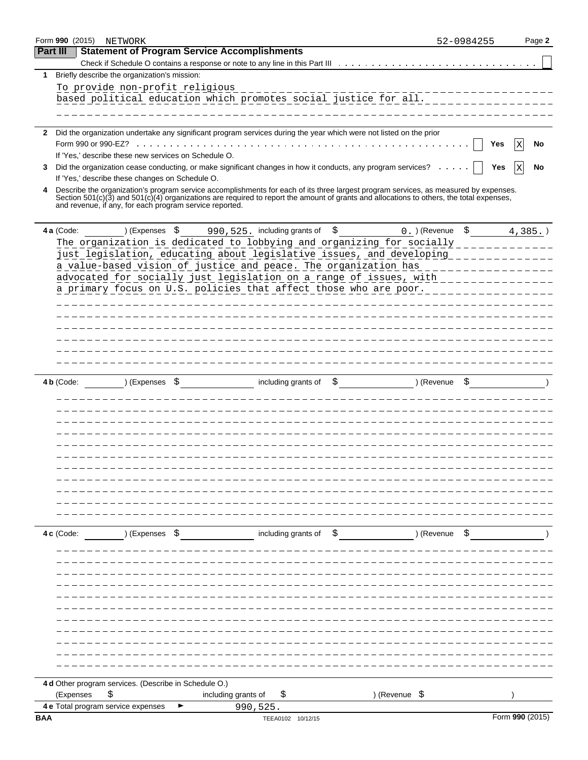|          |            | Form 990 (2015) NETWORK                                 |                                                     |                                  |                                                                                                                                              |               | 52-0984255 | Page 2          |
|----------|------------|---------------------------------------------------------|-----------------------------------------------------|----------------------------------|----------------------------------------------------------------------------------------------------------------------------------------------|---------------|------------|-----------------|
| Part III |            |                                                         | <b>Statement of Program Service Accomplishments</b> |                                  |                                                                                                                                              |               |            |                 |
|          |            |                                                         |                                                     |                                  |                                                                                                                                              |               |            |                 |
| 1        |            | Briefly describe the organization's mission:            |                                                     |                                  |                                                                                                                                              |               |            |                 |
|          |            | To provide non-profit religious                         |                                                     |                                  |                                                                                                                                              |               |            |                 |
|          |            |                                                         |                                                     |                                  | based political education which promotes_social_justice_for_all.___________                                                                  |               |            |                 |
|          |            |                                                         |                                                     |                                  |                                                                                                                                              |               |            |                 |
|          |            |                                                         |                                                     |                                  |                                                                                                                                              |               |            |                 |
|          |            |                                                         |                                                     |                                  | 2 Did the organization undertake any significant program services during the year which were not listed on the prior                         |               |            |                 |
|          |            |                                                         |                                                     |                                  |                                                                                                                                              |               | Yes        | No              |
|          |            | If 'Yes,' describe these new services on Schedule O.    |                                                     |                                  | Did the organization cease conducting, or make significant changes in how it conducts, any program services?                                 |               |            |                 |
| 3        |            | If 'Yes,' describe these changes on Schedule O.         |                                                     |                                  |                                                                                                                                              |               | Yes        | No              |
| 4        |            |                                                         |                                                     |                                  | Describe the organization's program service accomplishments for each of its three largest program services, as measured by expenses.         |               |            |                 |
|          |            | and revenue, if any, for each program service reported. |                                                     |                                  | Section $501(c)(3)$ and $501(c)(4)$ organizations are required to report the amount of grants and allocations to others, the total expenses, |               |            |                 |
|          |            |                                                         |                                                     |                                  |                                                                                                                                              |               |            |                 |
|          | 4 a (Code: | ) (Expenses \$                                          |                                                     | 990, 525. including grants of \$ |                                                                                                                                              | 0. ) (Revenue | \$         | $4,385.$ )      |
|          |            |                                                         |                                                     |                                  | The organization is dedicated to lobbying and organizing for socially                                                                        |               |            |                 |
|          |            |                                                         |                                                     |                                  | just legislation, educating about legislative issues, and developing                                                                         |               |            |                 |
|          |            |                                                         |                                                     |                                  | a value-based vision of justice and peace. The organization has                                                                              |               |            |                 |
|          |            |                                                         |                                                     |                                  | advocated for socially just legislation on a range of issues, with _______                                                                   |               |            |                 |
|          |            |                                                         |                                                     |                                  | a primary focus on U.S. policies that affect those who are poor.                                                                             |               |            |                 |
|          |            |                                                         |                                                     |                                  | ___________________________                                                                                                                  |               |            |                 |
|          |            |                                                         |                                                     |                                  |                                                                                                                                              |               |            |                 |
|          |            |                                                         |                                                     |                                  |                                                                                                                                              |               |            |                 |
|          |            |                                                         |                                                     |                                  | __________________________________                                                                                                           |               |            |                 |
|          |            |                                                         |                                                     |                                  |                                                                                                                                              |               |            |                 |
|          |            |                                                         |                                                     |                                  |                                                                                                                                              |               |            |                 |
|          |            |                                                         |                                                     |                                  |                                                                                                                                              |               |            |                 |
|          | 4 b (Code: | ) (Expenses \$                                          |                                                     | including grants of              | \$                                                                                                                                           | ) (Revenue    |            |                 |
|          |            |                                                         |                                                     |                                  |                                                                                                                                              |               |            |                 |
|          |            |                                                         |                                                     |                                  |                                                                                                                                              |               |            |                 |
|          |            |                                                         |                                                     |                                  |                                                                                                                                              |               |            |                 |
|          |            |                                                         |                                                     |                                  |                                                                                                                                              |               |            |                 |
|          |            |                                                         |                                                     |                                  |                                                                                                                                              |               |            |                 |
|          |            |                                                         |                                                     |                                  |                                                                                                                                              |               |            |                 |
|          |            |                                                         |                                                     |                                  |                                                                                                                                              |               |            |                 |
|          |            |                                                         |                                                     |                                  |                                                                                                                                              |               |            |                 |
|          |            |                                                         |                                                     |                                  |                                                                                                                                              |               |            |                 |
|          |            |                                                         |                                                     |                                  |                                                                                                                                              |               |            |                 |
|          |            |                                                         |                                                     |                                  |                                                                                                                                              |               |            |                 |
|          | 4 c (Code: | ) (Expenses \$                                          |                                                     |                                  | including grants of $\phi$ state of $\phi$ and $\phi$ (Revenue $\phi$ )                                                                      |               |            |                 |
|          |            |                                                         |                                                     |                                  |                                                                                                                                              |               |            |                 |
|          |            |                                                         |                                                     |                                  |                                                                                                                                              |               |            |                 |
|          |            |                                                         |                                                     |                                  |                                                                                                                                              |               |            |                 |
|          |            |                                                         |                                                     |                                  |                                                                                                                                              |               |            |                 |
|          |            |                                                         |                                                     |                                  |                                                                                                                                              |               |            |                 |
|          |            |                                                         |                                                     |                                  |                                                                                                                                              |               |            |                 |
|          |            |                                                         |                                                     |                                  |                                                                                                                                              |               |            |                 |
|          |            |                                                         |                                                     |                                  |                                                                                                                                              |               |            |                 |
|          |            |                                                         |                                                     |                                  |                                                                                                                                              |               |            |                 |
|          |            |                                                         |                                                     |                                  |                                                                                                                                              |               |            |                 |
|          |            |                                                         |                                                     |                                  |                                                                                                                                              |               |            |                 |
|          |            |                                                         |                                                     |                                  |                                                                                                                                              |               |            |                 |
|          |            | 4 d Other program services. (Describe in Schedule O.)   |                                                     |                                  |                                                                                                                                              |               |            |                 |
|          | (Expenses  | \$                                                      | including grants of                                 | \$                               | ) (Revenue \$                                                                                                                                |               |            |                 |
|          |            | 4 e Total program service expenses                      |                                                     | 990,525.                         |                                                                                                                                              |               |            |                 |
| BAA      |            |                                                         |                                                     | TEEA0102 10/12/15                |                                                                                                                                              |               |            | Form 990 (2015) |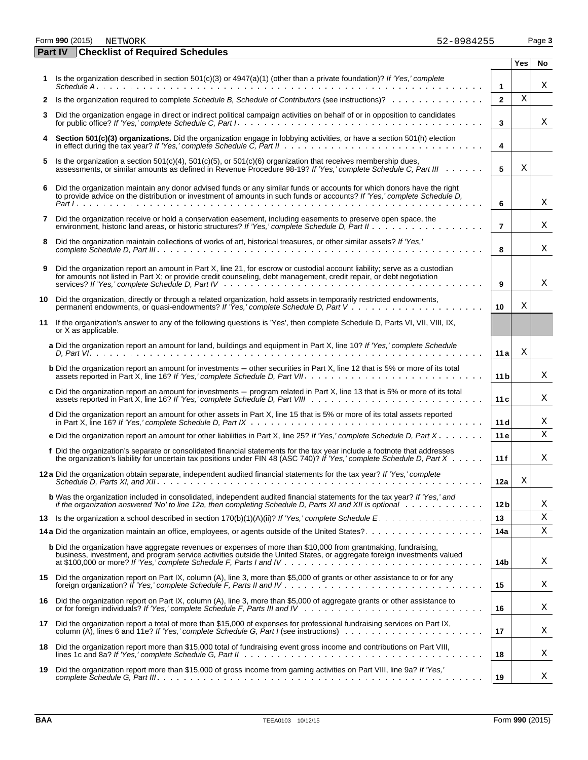Form **990** (2015) Page **3** NETWORK 52-0984255

|    | <b>Checklist of Required Schedules</b><br>Part IV                                                                                                                                                                                                     |                 |            |    |
|----|-------------------------------------------------------------------------------------------------------------------------------------------------------------------------------------------------------------------------------------------------------|-----------------|------------|----|
|    |                                                                                                                                                                                                                                                       |                 | <b>Yes</b> | No |
|    | Is the organization described in section 501(c)(3) or 4947(a)(1) (other than a private foundation)? If 'Yes,' complete                                                                                                                                | $\mathbf{1}$    |            | Χ  |
| 2  | Is the organization required to complete Schedule B, Schedule of Contributors (see instructions)?                                                                                                                                                     | $\mathbf{2}$    | X          |    |
| 3  | Did the organization engage in direct or indirect political campaign activities on behalf of or in opposition to candidates                                                                                                                           | 3               |            | X  |
|    | Section 501(c)(3) organizations. Did the organization engage in lobbying activities, or have a section 501(h) election                                                                                                                                | 4               |            |    |
| 5  | Is the organization a section 501(c)(4), 501(c)(5), or 501(c)(6) organization that receives membership dues,<br>assessments, or similar amounts as defined in Revenue Procedure 98-19? If 'Yes,' complete Schedule C, Part III                        | 5               | Χ          |    |
| 6  | Did the organization maintain any donor advised funds or any similar funds or accounts for which donors have the right<br>to provide advice on the distribution or investment of amounts in such funds or accounts? If 'Yes,' complete Schedule D,    | 6               |            | Χ  |
| 7  | Did the organization receive or hold a conservation easement, including easements to preserve open space, the                                                                                                                                         | $\overline{7}$  |            | Χ  |
| 8  | Did the organization maintain collections of works of art, historical treasures, or other similar assets? If 'Yes,'                                                                                                                                   | 8               |            | X  |
| 9  | Did the organization report an amount in Part X, line 21, for escrow or custodial account liability; serve as a custodian<br>for amounts not listed in Part X; or provide credit counseling, debt management, credit repair, or debt negotiation      | 9               |            | X  |
| 10 | Did the organization, directly or through a related organization, hold assets in temporarily restricted endowments,                                                                                                                                   | 10              | Χ          |    |
| 11 | If the organization's answer to any of the following questions is 'Yes', then complete Schedule D, Parts VI, VII, VIII, IX,<br>or X as applicable.                                                                                                    |                 |            |    |
|    | a Did the organization report an amount for land, buildings and equipment in Part X, line 10? If 'Yes,' complete Schedule                                                                                                                             | 11 a            | Χ          |    |
|    | <b>b</b> Did the organization report an amount for investments - other securities in Part X, line 12 that is 5% or more of its total                                                                                                                  | 11 b            |            | Χ  |
|    | c Did the organization report an amount for investments - program related in Part X, line 13 that is 5% or more of its total                                                                                                                          | 11 c            |            | X  |
|    | d Did the organization report an amount for other assets in Part X, line 15 that is 5% or more of its total assets reported                                                                                                                           | 11 d            |            | X  |
|    | e Did the organization report an amount for other liabilities in Part X, line 25? If 'Yes,' complete Schedule D, Part $X \cdot \cdot \cdot \cdot$                                                                                                     | 11e             |            | X  |
|    | f Did the organization's separate or consolidated financial statements for the tax year include a footnote that addresses<br>the organization's liability for uncertain tax positions under FIN 48 (ASC 740)? If 'Yes,' complete Schedule D, Part X   | 11f             |            | Χ  |
|    | 12 a Did the organization obtain separate, independent audited financial statements for the tax year? If 'Yes,' complete                                                                                                                              | 12a             | Χ          |    |
|    | <b>b</b> Was the organization included in consolidated, independent audited financial statements for the tax year? If 'Yes,' and<br>if the organization answered 'No' to line 12a, then completing Schedule D, Parts XI and XII is optional wimbed we | 12 <sub>b</sub> |            | Χ  |
| 13 |                                                                                                                                                                                                                                                       | 13              |            | Χ  |
|    | 14a Did the organization maintain an office, employees, or agents outside of the United States?                                                                                                                                                       | 14a             |            | Χ  |
|    | <b>b</b> Did the organization have aggregate revenues or expenses of more than \$10,000 from grantmaking, fundraising,<br>business, investment, and program service activities outside the United States, or aggregate foreign investments valued     | 14b             |            | Χ  |
|    | 15 Did the organization report on Part IX, column (A), line 3, more than \$5,000 of grants or other assistance to or for any                                                                                                                          | 15              |            | Χ  |
| 16 | Did the organization report on Part IX, column (A), line 3, more than \$5,000 of aggregate grants or other assistance to                                                                                                                              | 16              |            | Χ  |
| 17 | Did the organization report a total of more than \$15,000 of expenses for professional fundraising services on Part IX,                                                                                                                               | 17              |            | Χ  |
| 18 | Did the organization report more than \$15,000 total of fundraising event gross income and contributions on Part VIII,                                                                                                                                | 18              |            | Χ  |

**19** Did the organization report more than \$15,000 of gross income from gaming activities on Part VIII, line 9a? *If 'Yes,' complete Schedule G, Part III* **19**

X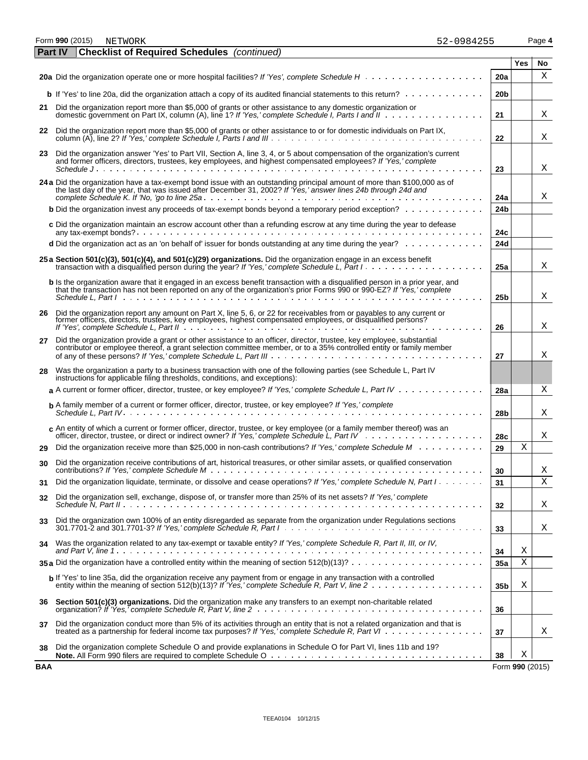Form **990** (2015) Page **4**

| NETWORK | 52-0984255 |
|---------|------------|
|---------|------------|

|    | <b>Part IV</b><br><b>Checklist of Required Schedules</b> (continued)                                                                                                                                                                                                                                                                                                    |                 |            |    |
|----|-------------------------------------------------------------------------------------------------------------------------------------------------------------------------------------------------------------------------------------------------------------------------------------------------------------------------------------------------------------------------|-----------------|------------|----|
|    |                                                                                                                                                                                                                                                                                                                                                                         |                 | <b>Yes</b> | No |
|    |                                                                                                                                                                                                                                                                                                                                                                         | 20a             |            | Х  |
|    | <b>b</b> If 'Yes' to line 20a, did the organization attach a copy of its audited financial statements to this return? $\ldots$ ,                                                                                                                                                                                                                                        | 20 <sub>b</sub> |            |    |
|    | 21 Did the organization report more than \$5,000 of grants or other assistance to any domestic organization or<br>21                                                                                                                                                                                                                                                    |                 |            | X  |
| 22 | Did the organization report more than \$5,000 of grants or other assistance to or for domestic individuals on Part IX,<br>22                                                                                                                                                                                                                                            |                 |            | Χ  |
| 23 | Did the organization answer 'Yes' to Part VII, Section A, line 3, 4, or 5 about compensation of the organization's current<br>and former officers, directors, trustees, key employees, and highest compensated employees? If 'Yes,' complete                                                                                                                            |                 |            |    |
|    | Schedule J<br>23                                                                                                                                                                                                                                                                                                                                                        |                 |            | Χ  |
|    | 24 a Did the organization have a tax-exempt bond issue with an outstanding principal amount of more than \$100,000 as of the last day of the year, that was issued after December 31, 2002? If 'Yes,' answer lines 24b through                                                                                                                                          | 24a             |            | Χ  |
|    | <b>b</b> Did the organization invest any proceeds of tax-exempt bonds beyond a temporary period exception?                                                                                                                                                                                                                                                              | 24 <sub>b</sub> |            |    |
|    | c Did the organization maintain an escrow account other than a refunding escrow at any time during the year to defease                                                                                                                                                                                                                                                  | 24c             |            |    |
|    | d Did the organization act as an 'on behalf of' issuer for bonds outstanding at any time during the year?                                                                                                                                                                                                                                                               | 24d             |            |    |
|    | 25 a Section 501(c)(3), 501(c)(4), and 501(c)(29) organizations. Did the organization engage in an excess benefit<br>transaction with a disqualified person during the year? If 'Yes,' complete Schedule L, Part I                                                                                                                                                      | 25a             |            | Χ  |
|    | b Is the organization aware that it engaged in an excess benefit transaction with a disqualified person in a prior year, and<br>that the transaction has not been reported on any of the organization's prior Forms 990 or 990-EZ? If 'Yes,' complete<br>Schedule L. Part Industrial and a state of the contract of the contract of the contract of the contract of the | 25 <sub>b</sub> |            | X  |
| 26 | Did the organization report any amount on Part X, line 5, 6, or 22 for receivables from or payables to any current or former officers, directors, trustees, key employees, highest compensated employees, or disqualified pers<br>26                                                                                                                                    |                 |            | Χ  |
| 27 | Did the organization provide a grant or other assistance to an officer, director, trustee, key employee, substantial<br>contributor or employee thereof, a grant selection committee member, or to a 35% controlled entity or family member<br>27                                                                                                                       |                 |            | Χ  |
| 28 | Was the organization a party to a business transaction with one of the following parties (see Schedule L, Part IV<br>instructions for applicable filing thresholds, conditions, and exceptions):                                                                                                                                                                        |                 |            |    |
|    | a A current or former officer, director, trustee, or key employee? If 'Yes,' complete Schedule L, Part IV                                                                                                                                                                                                                                                               | 28a             |            | Χ  |
|    | <b>b</b> A family member of a current or former officer, director, trustee, or key employee? If 'Yes,' complete                                                                                                                                                                                                                                                         | 28b             |            | Χ  |
|    | c An entity of which a current or former officer, director, trustee, or key employee (or a family member thereof) was an                                                                                                                                                                                                                                                | 28c             |            | X  |
| 29 | Did the organization receive more than \$25,000 in non-cash contributions? If 'Yes,' complete Schedule M<br>29                                                                                                                                                                                                                                                          |                 | Χ          |    |
| 30 | Did the organization receive contributions of art, historical treasures, or other similar assets, or qualified conservation<br>30                                                                                                                                                                                                                                       |                 |            | Χ  |
| 31 | Did the organization liquidate, terminate, or dissolve and cease operations? If 'Yes,' complete Schedule N, Part I<br>31                                                                                                                                                                                                                                                |                 |            | X  |
| 32 | Did the organization sell, exchange, dispose of, or transfer more than 25% of its net assets? If 'Yes,' complete<br>32                                                                                                                                                                                                                                                  |                 |            | Χ  |
| 33 | Did the organization own 100% of an entity disregarded as separate from the organization under Regulations sections<br>301.7701-2 and 301.7701-3? If 'Yes,' complete Schedule R, Part $1 \ldots \ldots \ldots \ldots \ldots \ldots \ldots \ldots \ldots \ldots \ldots \ldots$<br>33                                                                                     |                 |            | Χ  |
| 34 | Was the organization related to any tax-exempt or taxable entity? If 'Yes,' complete Schedule R, Part II, III, or IV,<br>34                                                                                                                                                                                                                                             |                 | Χ          |    |
|    | 35 a Did the organization have a controlled entity within the meaning of section $512(b)(13)? \ldots \ldots \ldots \ldots \ldots \ldots \ldots$                                                                                                                                                                                                                         | 35a             | Χ          |    |
|    | b If 'Yes' to line 35a, did the organization receive any payment from or engage in any transaction with a controlled                                                                                                                                                                                                                                                    | 35 <sub>b</sub> | Χ          |    |
| 36 | Section 501(c)(3) organizations. Did the organization make any transfers to an exempt non-charitable related<br>36                                                                                                                                                                                                                                                      |                 |            |    |
| 37 | Did the organization conduct more than 5% of its activities through an entity that is not a related organization and that is<br>treated as a partnership for federal income tax purposes? If 'Yes,' complete Schedule R, Part VI<br>37                                                                                                                                  |                 |            | Χ  |
| 38 | Did the organization complete Schedule O and provide explanations in Schedule O for Part VI, lines 11b and 19?<br>38                                                                                                                                                                                                                                                    |                 | Χ          |    |

**BAA** Form **990** (2015)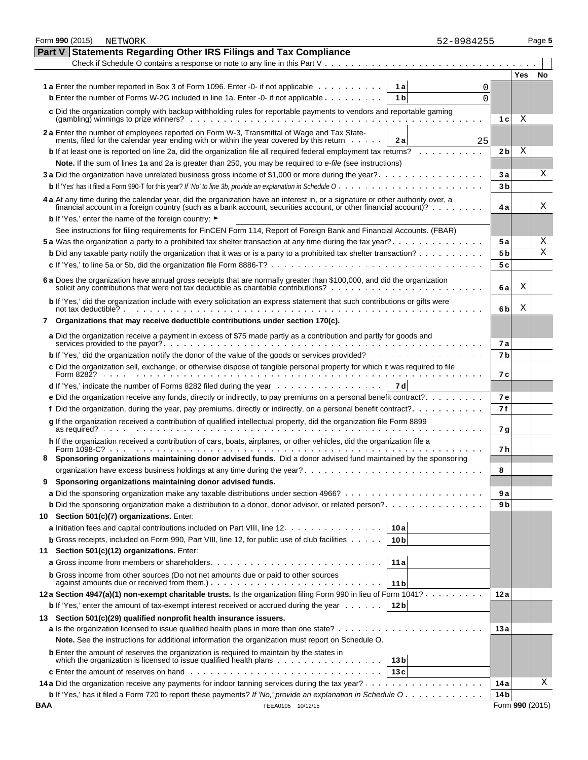|            | Form 990 (2015) | NETWORK                                                                                                                                                                                                                                               | 52-0984255 |                     | Page 5                  |
|------------|-----------------|-------------------------------------------------------------------------------------------------------------------------------------------------------------------------------------------------------------------------------------------------------|------------|---------------------|-------------------------|
|            | Part V          | <b>Statements Regarding Other IRS Filings and Tax Compliance</b>                                                                                                                                                                                      |            |                     |                         |
|            |                 | Check if Schedule O contains a response or note to any line in this Part $V_1, \ldots, V_k, \ldots, V_k$                                                                                                                                              |            |                     |                         |
|            |                 |                                                                                                                                                                                                                                                       |            | <b>Yes</b>          | No                      |
|            |                 | <b>1a</b> Enter the number reported in Box 3 of Form 1096. Enter -0- if not applicable<br>1 a                                                                                                                                                         | 0          |                     |                         |
|            |                 | <b>b</b> Enter the number of Forms W-2G included in line 1a. Enter -0- if not applicable<br>1 <sub>b</sub>                                                                                                                                            | 0          |                     |                         |
|            |                 | c Did the organization comply with backup withholding rules for reportable payments to vendors and reportable gaming                                                                                                                                  |            |                     |                         |
|            |                 | $(gambling)$ winnings to prize winners? $\ldots$ , $\ldots$ , $\ldots$ , $\ldots$ , $\ldots$ , $\ldots$ , $\ldots$ , $\ldots$ , $\ldots$ , $\ldots$                                                                                                   |            | 1 c<br>Χ            |                         |
|            |                 | 2 a Enter the number of employees reported on Form W-3, Transmittal of Wage and Tax State-                                                                                                                                                            |            |                     |                         |
|            |                 | ments, filed for the calendar year ending with or within the year covered by this return<br>2а                                                                                                                                                        | 25         |                     |                         |
|            |                 | <b>b</b> If at least one is reported on line 2a, did the organization file all required federal employment tax returns?                                                                                                                               |            | Χ<br>2 <sub>b</sub> |                         |
|            |                 | Note. If the sum of lines 1a and 2a is greater than 250, you may be required to e-file (see instructions)                                                                                                                                             |            |                     |                         |
|            |                 |                                                                                                                                                                                                                                                       |            | 3 а                 | х                       |
|            |                 |                                                                                                                                                                                                                                                       |            | 3 <sub>b</sub>      |                         |
|            |                 | 4 a At any time during the calendar year, did the organization have an interest in, or a signature or other authority over, a                                                                                                                         |            |                     |                         |
|            |                 | financial account in a foreign country (such as a bank account, securities account, or other financial account)?                                                                                                                                      |            | 4а                  | Χ                       |
|            |                 | <b>b</b> If 'Yes,' enter the name of the foreign country: ►                                                                                                                                                                                           |            |                     |                         |
|            |                 | See instructions for filing requirements for FinCEN Form 114, Report of Foreign Bank and Financial Accounts. (FBAR)                                                                                                                                   |            |                     |                         |
|            |                 | 5 a Was the organization a party to a prohibited tax shelter transaction at any time during the tax year?                                                                                                                                             |            | <b>5a</b>           | Χ                       |
|            |                 | <b>b</b> Did any taxable party notify the organization that it was or is a party to a prohibited tax shelter transaction?                                                                                                                             |            | 5 b                 | $\overline{\mathrm{X}}$ |
|            |                 |                                                                                                                                                                                                                                                       |            | 5 c                 |                         |
|            |                 |                                                                                                                                                                                                                                                       |            |                     |                         |
|            |                 | 6 a Does the organization have annual gross receipts that are normally greater than \$100,000, and did the organization                                                                                                                               |            | Χ<br>6а             |                         |
|            |                 | b If 'Yes,' did the organization include with every solicitation an express statement that such contributions or gifts were<br>not tax deductible? $\cdots$ $\cdots$ $\cdots$ $\cdots$ $\cdots$ $\cdots$ $\cdots$ $\cdots$ $\cdots$ $\cdots$ $\cdots$ |            | Χ<br>6b             |                         |
| 7          |                 | Organizations that may receive deductible contributions under section 170(c).                                                                                                                                                                         |            |                     |                         |
|            |                 | a Did the organization receive a payment in excess of \$75 made partly as a contribution and partly for goods and                                                                                                                                     |            | 7а                  |                         |
|            |                 | b If 'Yes,' did the organization notify the donor of the value of the goods or services provided?                                                                                                                                                     |            | 7b                  |                         |
|            |                 | c Did the organization sell, exchange, or otherwise dispose of tangible personal property for which it was required to file                                                                                                                           |            |                     |                         |
|            |                 |                                                                                                                                                                                                                                                       |            | 7 с                 |                         |
|            |                 | 7 d<br>d If 'Yes,' indicate the number of Forms 8282 filed during the year entertainment of the number of Forms 8282 filed during the year                                                                                                            |            |                     |                         |
|            |                 | e Did the organization receive any funds, directly or indirectly, to pay premiums on a personal benefit contract?                                                                                                                                     |            | 7 e                 |                         |
|            |                 | f Did the organization, during the year, pay premiums, directly or indirectly, on a personal benefit contract?                                                                                                                                        |            | 7 f                 |                         |
|            |                 | g If the organization received a contribution of qualified intellectual property, did the organization file Form 8899                                                                                                                                 |            | 7 g                 |                         |
|            |                 | h If the organization received a contribution of cars, boats, airplanes, or other vehicles, did the organization file a                                                                                                                               |            | 7 h                 |                         |
|            |                 | Sponsoring organizations maintaining donor advised funds. Did a donor advised fund maintained by the sponsoring                                                                                                                                       |            |                     |                         |
|            |                 |                                                                                                                                                                                                                                                       |            | 8                   |                         |
| 9          |                 | Sponsoring organizations maintaining donor advised funds.                                                                                                                                                                                             |            |                     |                         |
|            |                 |                                                                                                                                                                                                                                                       |            | 9 a                 |                         |
|            |                 | <b>b</b> Did the sponsoring organization make a distribution to a donor, donor advisor, or related person?                                                                                                                                            |            | 9 b                 |                         |
| 10 -       |                 | Section 501(c)(7) organizations. Enter:                                                                                                                                                                                                               |            |                     |                         |
|            |                 | a Initiation fees and capital contributions included on Part VIII, line 12.<br>10 a                                                                                                                                                                   |            |                     |                         |
|            |                 | <b>b</b> Gross receipts, included on Form 990, Part VIII, line 12, for public use of club facilities $\cdots$ .<br>10 <sub>b</sub>                                                                                                                    |            |                     |                         |
| 11         |                 | Section 501(c)(12) organizations. Enter:                                                                                                                                                                                                              |            |                     |                         |
|            |                 | <b>a</b> Gross income from members or shareholders<br>11a                                                                                                                                                                                             |            |                     |                         |
|            |                 | <b>b</b> Gross income from other sources (Do not net amounts due or paid to other sources                                                                                                                                                             |            |                     |                         |
|            |                 | 11 <sub>b</sub><br>12a Section 4947(a)(1) non-exempt charitable trusts. Is the organization filing Form 990 in lieu of Form 1041?                                                                                                                     |            | 12 a                |                         |
|            |                 | 12 <sub>b</sub><br><b>b</b> If 'Yes,' enter the amount of tax-exempt interest received or accrued during the year $\dots \dots$                                                                                                                       |            |                     |                         |
| 13         |                 | Section 501(c)(29) qualified nonprofit health insurance issuers.                                                                                                                                                                                      |            |                     |                         |
|            |                 |                                                                                                                                                                                                                                                       |            | 13 a                |                         |
|            |                 | Note. See the instructions for additional information the organization must report on Schedule O.                                                                                                                                                     |            |                     |                         |
|            |                 | <b>b</b> Enter the amount of reserves the organization is required to maintain by the states in                                                                                                                                                       |            |                     |                         |
|            |                 | which the organization is licensed to issue qualified health plans<br>13 bl                                                                                                                                                                           |            |                     |                         |
|            |                 | 13c                                                                                                                                                                                                                                                   |            |                     |                         |
|            |                 |                                                                                                                                                                                                                                                       |            | 14 a                | Χ                       |
|            |                 | <b>b</b> If 'Yes,' has it filed a Form 720 to report these payments? If 'No,' provide an explanation in Schedule O                                                                                                                                    |            | 14 <sub>b</sub>     |                         |
| <b>BAA</b> |                 | TEEA0105 10/12/15                                                                                                                                                                                                                                     |            |                     | Form 990 (2015)         |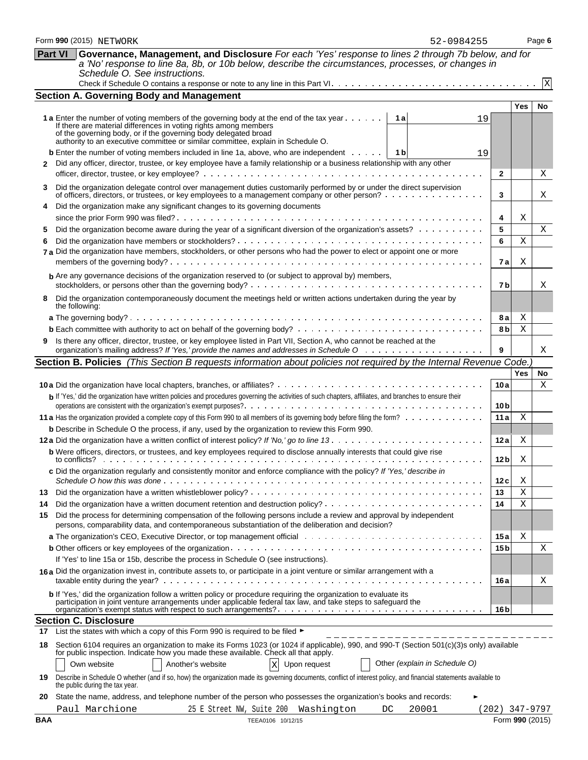|            | Form 990 (2015) NETWORK<br>52-0984255                                                                                                                                                                                                                                                                                           |                        |            | Page 6      |
|------------|---------------------------------------------------------------------------------------------------------------------------------------------------------------------------------------------------------------------------------------------------------------------------------------------------------------------------------|------------------------|------------|-------------|
|            | Governance, Management, and Disclosure For each 'Yes' response to lines 2 through 7b below, and for<br><b>Part VI</b><br>a 'No' response to line 8a, 8b, or 10b below, describe the circumstances, processes, or changes in<br>Schedule O. See instructions.                                                                    |                        |            |             |
|            |                                                                                                                                                                                                                                                                                                                                 |                        |            | $\mathbf x$ |
|            | <b>Section A. Governing Body and Management</b>                                                                                                                                                                                                                                                                                 |                        |            |             |
|            | 1 a Enter the number of voting members of the governing body at the end of the tax year<br>1 a<br>19<br>If there are material differences in voting rights among members<br>of the governing body, or if the governing body delegated broad<br>authority to an executive committee or similar committee, explain in Schedule O. |                        | <b>Yes</b> | No          |
| 2          | <b>b</b> Enter the number of voting members included in line 1a, above, who are independent $\dots$ , $\begin{bmatrix} 1 & b \end{bmatrix}$<br>19<br>Did any officer, director, trustee, or key employee have a family relationship or a business relationship with any other                                                   | $\mathbf{2}$           |            | Χ           |
| 3          | Did the organization delegate control over management duties customarily performed by or under the direct supervision<br>of officers, directors, or trustees, or key employees to a management company or other person?                                                                                                         | 3                      |            | Χ           |
|            | Did the organization make any significant changes to its governing documents                                                                                                                                                                                                                                                    |                        |            |             |
| 5<br>6     | Did the organization become aware during the year of a significant diversion of the organization's assets?<br>7 a Did the organization have members, stockholders, or other persons who had the power to elect or appoint one or more                                                                                           | 4<br>5<br>6            | Χ<br>Χ     | X           |
|            | b Are any governance decisions of the organization reserved to (or subject to approval by) members,                                                                                                                                                                                                                             | 7 a                    | X          |             |
| 8          | Did the organization contemporaneously document the meetings held or written actions undertaken during the year by<br>the following:                                                                                                                                                                                            | 7 b                    |            | Χ           |
|            |                                                                                                                                                                                                                                                                                                                                 | 8а                     | Χ          |             |
|            |                                                                                                                                                                                                                                                                                                                                 | 8 b                    | X          |             |
| 9          | Is there any officer, director, trustee, or key employee listed in Part VII, Section A, who cannot be reached at the                                                                                                                                                                                                            | 9                      |            | X           |
|            | Section B. Policies (This Section B requests information about policies not required by the Internal Revenue Code.                                                                                                                                                                                                              |                        |            |             |
|            |                                                                                                                                                                                                                                                                                                                                 |                        | <b>Yes</b> | No.         |
|            | b If 'Yes,' did the organization have written policies and procedures governing the activities of such chapters, affiliates, and branches to ensure their                                                                                                                                                                       | 10a<br>10 <sub>b</sub> |            | X           |
|            | 11 a Has the organization provided a complete copy of this Form 990 to all members of its governing body before filing the form?                                                                                                                                                                                                | 11a                    | X          |             |
|            | <b>b</b> Describe in Schedule O the process, if any, used by the organization to review this Form 990.                                                                                                                                                                                                                          |                        |            |             |
|            |                                                                                                                                                                                                                                                                                                                                 | 12 a                   | X          |             |
|            | <b>b</b> Were officers, directors, or trustees, and key employees required to disclose annually interests that could give rise<br>c Did the organization regularly and consistently monitor and enforce compliance with the policy? If 'Yes,' describe in                                                                       | 12 <sub>b</sub>        | Χ          |             |
|            |                                                                                                                                                                                                                                                                                                                                 | 12 c                   | Χ          |             |
| 13<br>14   |                                                                                                                                                                                                                                                                                                                                 | 13<br>14               | Χ<br>X     |             |
| 15         | Did the process for determining compensation of the following persons include a review and approval by independent<br>persons, comparability data, and contemporaneous substantiation of the deliberation and decision?                                                                                                         |                        |            |             |
|            |                                                                                                                                                                                                                                                                                                                                 | 15 a                   | Χ          |             |
|            | If 'Yes' to line 15a or 15b, describe the process in Schedule O (see instructions).                                                                                                                                                                                                                                             | 15 <sub>b</sub>        |            | Χ           |
|            | 16a Did the organization invest in, contribute assets to, or participate in a joint venture or similar arrangement with a                                                                                                                                                                                                       | 16 a                   |            | Χ           |
|            | b If 'Yes,' did the organization follow a written policy or procedure requiring the organization to evaluate its<br>participation in joint venture arrangements under applicable federal tax law, and take steps to safeguard the                                                                                               | 16 <sub>b</sub>        |            |             |
|            | <b>Section C. Disclosure</b>                                                                                                                                                                                                                                                                                                    |                        |            |             |
| 17         | List the states with which a copy of this Form 990 is required to be filed ►                                                                                                                                                                                                                                                    |                        |            |             |
| 18         | Section 6104 requires an organization to make its Forms 1023 (or 1024 if applicable), 990, and 990-T (Section 501(c)(3)s only) available<br>for public inspection. Indicate how you made these available. Check all that apply.                                                                                                 |                        |            |             |
| 19         | Other (explain in Schedule O)<br>Own website<br>Another's website<br>$\mathbf x$<br>Upon request<br>Describe in Schedule O whether (and if so, how) the organization made its governing documents, conflict of interest policy, and financial statements available to                                                           |                        |            |             |
| 20         | the public during the tax year.<br>State the name, address, and telephone number of the person who possesses the organization's books and records:                                                                                                                                                                              |                        |            |             |
|            | Paul Marchione<br>20001<br>25 E Street NW, Suite 200<br>Washington<br>DC                                                                                                                                                                                                                                                        | $(202)$ 347-9797       |            |             |
| <b>BAA</b> | TEEA0106 10/12/15                                                                                                                                                                                                                                                                                                               | Form 990 (2015)        |            |             |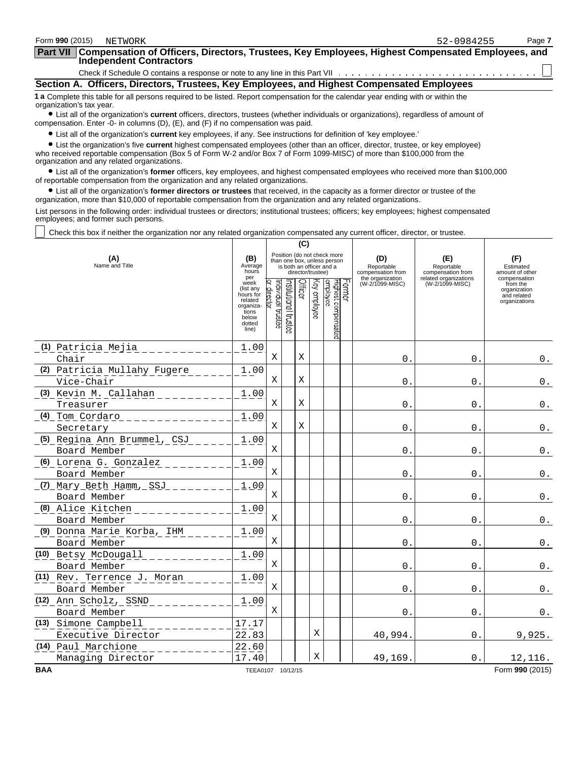| Form 990 (2015)<br>NETWORK                                                                                                                                                                                                  | Page 7<br>52-0984255 |
|-----------------------------------------------------------------------------------------------------------------------------------------------------------------------------------------------------------------------------|----------------------|
| <b>Part VII</b><br>Compensation of Officers, Directors, Trustees, Key Employees, Highest Compensated Employees, and<br><b>Independent Contractors</b>                                                                       |                      |
|                                                                                                                                                                                                                             |                      |
| Section A. Officers, Directors, Trustees, Key Employees, and Highest Compensated Employees                                                                                                                                  |                      |
| 1 a Complete this table for all persons required to be listed. Report compensation for the calendar year ending with or within the<br>organization's tax year.                                                              |                      |
| • List all of the organization's current officers, directors, trustees (whether individuals or organizations), regardless of amount of<br>compensation. Enter -0- in columns (D), (E), and (F) if no compensation was paid. |                      |
| • List all of the organization's current key employees, if any. See instructions for definition of 'key employee.'                                                                                                          |                      |
| A I bitthe concelerate the common blobest commonwealers and concerns fotbol then an efficient disease and concerns the conclusion                                                                                           |                      |

? List the organization's five **current** highest compensated employees (other than an officer, director, trustee, or key employee) who received reportable compensation (Box 5 of Form W-2 and/or Box 7 of Form 1099-MISC) of more than \$100,000 from the organization and any related organizations.

? List all of the organization's **former** officers, key employees, and highest compensated employees who received more than \$100,000 of reportable compensation from the organization and any related organizations.

? List all of the organization's **former directors or trustees** that received, in the capacity as a former director or trustee of the organization, more than \$10,000 of reportable compensation from the organization and any related organizations.

List persons in the following order: individual trustees or directors; institutional trustees; officers; key employees; highest compensated employees; and former such persons.

Check this box if neither the organization nor any related organization compensated any current officer, director, or trustee.

|                                               | (C)                                                                                         |                                                                                                             |                      |         |              |                                 |        |                                                            |                                                                 |                                                          |
|-----------------------------------------------|---------------------------------------------------------------------------------------------|-------------------------------------------------------------------------------------------------------------|----------------------|---------|--------------|---------------------------------|--------|------------------------------------------------------------|-----------------------------------------------------------------|----------------------------------------------------------|
| (A)<br>Name and Title                         | (B)<br>Average<br>hours<br>per                                                              | Position (do not check more<br>than one box, unless person<br>is both an officer and a<br>director/trustee) |                      |         |              |                                 |        | (D)<br>Reportable<br>compensation from<br>the organization | (E)<br>Reportable<br>compensation from<br>related organizations | (F)<br>Estimated<br>amount of other<br>compensation      |
|                                               | week<br>(list any<br>hours for<br>related<br>organiza-<br>tions<br>below<br>dotted<br>line) | ndividual trustee<br>director                                                                               | nstitutional trustee | Officer | (ey employee | Highest compensated<br>employee | Former | (W-2/1099-MISC)                                            | (W-2/1099-MISC)                                                 | from the<br>organization<br>and related<br>organizations |
| (1) Patricia Mejia                            | 1.00                                                                                        |                                                                                                             |                      |         |              |                                 |        |                                                            |                                                                 |                                                          |
| Chair                                         |                                                                                             | X                                                                                                           |                      | Χ       |              |                                 |        | $\mathbf{0}$ .                                             | $\Omega$ .                                                      | $0$ .                                                    |
| (2) Patricia Mullahy Fugere                   | 1.00                                                                                        |                                                                                                             |                      |         |              |                                 |        |                                                            |                                                                 |                                                          |
| Vice-Chair                                    |                                                                                             | Χ                                                                                                           |                      | Χ       |              |                                 |        | 0.                                                         | 0.                                                              | $0$ .                                                    |
| (3) Kevin M. Callahan                         | 1.00                                                                                        | Χ                                                                                                           |                      | X       |              |                                 |        |                                                            |                                                                 |                                                          |
| Treasurer                                     |                                                                                             |                                                                                                             |                      |         |              |                                 |        | 0.                                                         | $\mathbf{0}$ .                                                  | $0$ .                                                    |
| <u>(4) Tom Cordaro _________</u><br>Secretary | 1.00                                                                                        | X                                                                                                           |                      | X       |              |                                 |        | $\mathsf{O}$ .                                             | $\mathsf{O}$ .                                                  | $0$ .                                                    |
| (5) Regina Ann Brummel, CSJ                   | 1.00                                                                                        |                                                                                                             |                      |         |              |                                 |        |                                                            |                                                                 |                                                          |
| Board Member                                  |                                                                                             | X                                                                                                           |                      |         |              |                                 |        | 0                                                          | $\mathbf{0}$ .                                                  | $0$ .                                                    |
| (6) Lorena G. Gonzalez                        | 1.00                                                                                        |                                                                                                             |                      |         |              |                                 |        |                                                            |                                                                 |                                                          |
| Board Member                                  |                                                                                             | X                                                                                                           |                      |         |              |                                 |        | $\mathbf{0}$ .                                             | $\mathbf 0$                                                     | $0$ .                                                    |
| (7) Mary Beth Hamm, SSJ                       | 1.00                                                                                        |                                                                                                             |                      |         |              |                                 |        |                                                            |                                                                 |                                                          |
| Board Member                                  |                                                                                             | X                                                                                                           |                      |         |              |                                 |        | $\mathsf{0}$ .                                             | $\mathbf 0$ .                                                   | $0$ .                                                    |
| (8) Alice Kitchen                             | 1.00                                                                                        |                                                                                                             |                      |         |              |                                 |        |                                                            |                                                                 |                                                          |
| Board Member                                  |                                                                                             | X                                                                                                           |                      |         |              |                                 |        | $\mathbf{0}$ .                                             | $\mathbf{0}$ .                                                  | $0$ .                                                    |
| (9) Donna Marie Korba, IHM                    | 1.00                                                                                        |                                                                                                             |                      |         |              |                                 |        |                                                            |                                                                 |                                                          |
| Board Member                                  |                                                                                             | X                                                                                                           |                      |         |              |                                 |        | $\Omega$ .                                                 | $\mathbf{0}$ .                                                  | $0$ .                                                    |
| (10) Betsy McDougall                          | 1.00                                                                                        | X                                                                                                           |                      |         |              |                                 |        |                                                            |                                                                 |                                                          |
| Board Member                                  | 1.00                                                                                        |                                                                                                             |                      |         |              |                                 |        | 0.                                                         | 0.                                                              | $\mathbf 0$ .                                            |
| (11) Rev. Terrence J. Moran<br>Board Member   |                                                                                             | X                                                                                                           |                      |         |              |                                 |        | $\Omega$ .                                                 | $\Omega$ .                                                      | $0$ .                                                    |
| (12) Ann Scholz, SSND                         | 1.00                                                                                        |                                                                                                             |                      |         |              |                                 |        |                                                            |                                                                 |                                                          |
| Board Member                                  |                                                                                             | X                                                                                                           |                      |         |              |                                 |        | 0.                                                         | 0.                                                              | $0$ .                                                    |
| (13) Simone Campbell                          | 17.17                                                                                       |                                                                                                             |                      |         |              |                                 |        |                                                            |                                                                 |                                                          |
| Executive Director                            | 22.83                                                                                       |                                                                                                             |                      |         | Χ            |                                 |        | 40,994.                                                    | 0.                                                              | 9,925.                                                   |
| (14) Paul Marchione                           | 22.60                                                                                       |                                                                                                             |                      |         |              |                                 |        |                                                            |                                                                 |                                                          |
| Managing Director                             | 17.40                                                                                       |                                                                                                             |                      |         | X            |                                 |        | 49,169                                                     | $\Omega$ .                                                      | 12,116.                                                  |
| <b>BAA</b>                                    | TEEA0107 10/12/15                                                                           |                                                                                                             |                      |         |              |                                 |        |                                                            |                                                                 | Form 990 (2015)                                          |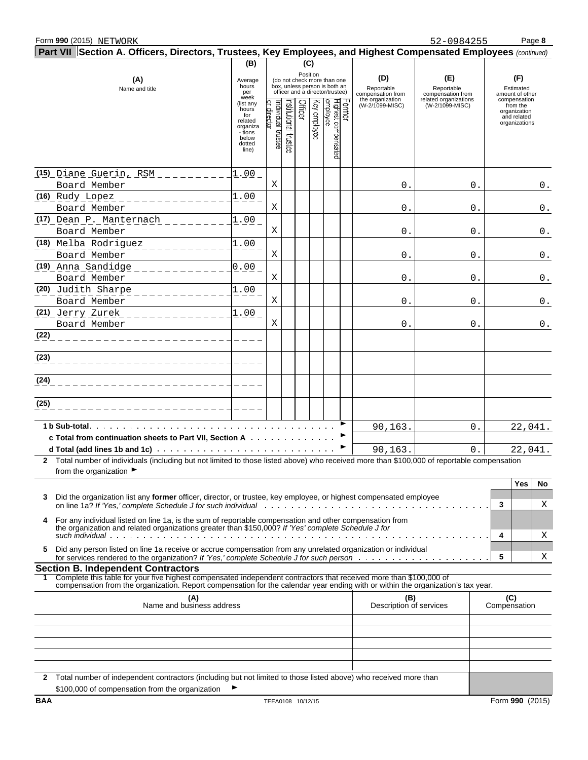|                    | Form 990 (2015) NETWORK                                                                                                                                                                                        |                                                                                         |                                  |                      |         |                 |                                                                                                 |       |                                        | 52-0984255                               |   | Page 8                                                                   |                |
|--------------------|----------------------------------------------------------------------------------------------------------------------------------------------------------------------------------------------------------------|-----------------------------------------------------------------------------------------|----------------------------------|----------------------|---------|-----------------|-------------------------------------------------------------------------------------------------|-------|----------------------------------------|------------------------------------------|---|--------------------------------------------------------------------------|----------------|
|                    | Part VII Section A. Officers, Directors, Trustees, Key Employees, and Highest Compensated Employees (continued)                                                                                                |                                                                                         |                                  |                      |         |                 |                                                                                                 |       |                                        |                                          |   |                                                                          |                |
|                    | (A)<br>Name and title                                                                                                                                                                                          | (B)<br>Average<br>hours<br>per<br>week                                                  |                                  |                      |         | (C)<br>Position | (do not check more than one<br>box, unless person is both an<br>officer and a director/trustee) |       | (D)<br>Reportable<br>compensation from | (E)<br>Reportable<br>compensation from   |   | (F)<br>Estimated<br>amount of other                                      |                |
|                    |                                                                                                                                                                                                                | (list any<br>hours<br>for<br>related<br>organiza<br>- tions<br>below<br>dotted<br>line) | or director<br>ndividual trustee | rstitutional trustee | Officer | Key employee    | Highest compensated<br>employee                                                                 | crmer | the organization<br>(W-2/1099-MISC)    | related organizations<br>(W-2/1099-MISC) |   | compensation<br>from the<br>organization<br>and related<br>organizations |                |
|                    | (15) Diane Guerin, RSM _______<br>Board Member                                                                                                                                                                 | $1.00 -$                                                                                | X                                |                      |         |                 |                                                                                                 |       | 0.                                     | 0.                                       |   |                                                                          | $\mathsf 0$ .  |
| (16) Rudy Lopez    | Board Member                                                                                                                                                                                                   | 1.00                                                                                    | Χ                                |                      |         |                 |                                                                                                 |       | 0.                                     | 0.                                       |   |                                                                          | $0$ .          |
|                    | (17) Dean P. Manternach<br>Board Member                                                                                                                                                                        | 1.00                                                                                    | X                                |                      |         |                 |                                                                                                 |       | 0.                                     | 0.                                       |   |                                                                          | $0$ .          |
|                    | (18) Melba Rodriguez<br>Board Member                                                                                                                                                                           | 1.00                                                                                    | Χ                                |                      |         |                 |                                                                                                 |       | 0.                                     | 0.                                       |   |                                                                          | $0$ .          |
| (19) Anna Sandidge | Board Member                                                                                                                                                                                                   | 0.00                                                                                    | X                                |                      |         |                 |                                                                                                 |       | 0.                                     | 0.                                       |   |                                                                          | $0$ .          |
| (20) Judith Sharpe | Board Member                                                                                                                                                                                                   | 1.00                                                                                    | X                                |                      |         |                 |                                                                                                 |       | 0.                                     | 0.                                       |   |                                                                          | $0$ .          |
| (21) Jerry Zurek   | Board Member                                                                                                                                                                                                   | 1.00                                                                                    | X                                |                      |         |                 |                                                                                                 |       | 0.                                     | 0.                                       |   |                                                                          | $\mathtt{0}$ . |
| (22)               |                                                                                                                                                                                                                |                                                                                         |                                  |                      |         |                 |                                                                                                 |       |                                        |                                          |   |                                                                          |                |
| (23)               |                                                                                                                                                                                                                |                                                                                         |                                  |                      |         |                 |                                                                                                 |       |                                        |                                          |   |                                                                          |                |
| (24)               |                                                                                                                                                                                                                |                                                                                         |                                  |                      |         |                 |                                                                                                 |       |                                        |                                          |   |                                                                          |                |
| (25)               |                                                                                                                                                                                                                |                                                                                         |                                  |                      |         |                 |                                                                                                 |       |                                        |                                          |   |                                                                          |                |
| 1 b Sub-total.     | c Total from continuation sheets to Part VII, Section A                                                                                                                                                        |                                                                                         |                                  |                      |         |                 |                                                                                                 |       | 90,163.                                | 0.                                       |   | 22,041.                                                                  |                |
|                    |                                                                                                                                                                                                                |                                                                                         |                                  |                      |         |                 |                                                                                                 |       | 90, 163.                               | 0.                                       |   | 22,041.                                                                  |                |
|                    | 2 Total number of individuals (including but not limited to those listed above) who received more than \$100,000 of reportable compensation<br>from the organization ▶                                         |                                                                                         |                                  |                      |         |                 |                                                                                                 |       |                                        |                                          |   |                                                                          |                |
| 3                  | Did the organization list any <b>former</b> officer, director, or trustee, key employee, or highest compensated employee                                                                                       |                                                                                         |                                  |                      |         |                 |                                                                                                 |       |                                        |                                          | 3 | Yes<br>No                                                                | Χ              |
|                    | For any individual listed on line 1a, is the sum of reportable compensation and other compensation from<br>the organization and related organizations greater than \$150,000? If 'Yes' complete Schedule J for |                                                                                         |                                  |                      |         |                 |                                                                                                 |       |                                        |                                          | 4 |                                                                          | Χ              |
| 5.                 | Did any person listed on line 1a receive or accrue compensation from any unrelated organization or individual                                                                                                  |                                                                                         |                                  |                      |         |                 |                                                                                                 |       |                                        |                                          | 5 |                                                                          | Χ              |
|                    | <b>Section B. Independent Contractors</b><br>Complete this table for your five highest compensated independent contractors that received more than \$100,000 of                                                |                                                                                         |                                  |                      |         |                 |                                                                                                 |       |                                        |                                          |   |                                                                          |                |
|                    | compensation from the organization. Report compensation for the calendar year ending with or within the organization's tax year.<br>(A)<br>Name and business address                                           |                                                                                         |                                  |                      |         |                 |                                                                                                 |       | (B)<br>Description of services         |                                          |   | (C)<br>Compensation                                                      |                |
|                    |                                                                                                                                                                                                                |                                                                                         |                                  |                      |         |                 |                                                                                                 |       |                                        |                                          |   |                                                                          |                |
|                    |                                                                                                                                                                                                                |                                                                                         |                                  |                      |         |                 |                                                                                                 |       |                                        |                                          |   |                                                                          |                |
|                    |                                                                                                                                                                                                                |                                                                                         |                                  |                      |         |                 |                                                                                                 |       |                                        |                                          |   |                                                                          |                |
| 2                  | Total number of independent contractors (including but not limited to those listed above) who received more than<br>\$100,000 of compensation from the organization                                            |                                                                                         |                                  |                      |         |                 |                                                                                                 |       |                                        |                                          |   |                                                                          |                |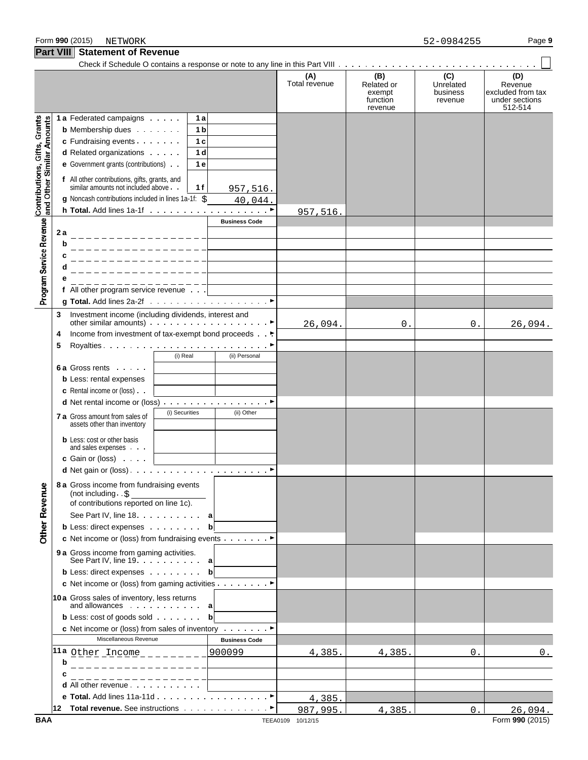**Part VIII** Statement of Revenue

## Check if Schedule O contains a response or note to any line in this Part VIII **(A) (B) (C) (D)** Total revenue Related or Unrelated Revenue<br>exempt business excluded from exempt business excluded from tax<br>function revenue under sections function revenue under sections revenue 512-514 Contributions, Gifts, Grants<br>and Other Similar Amounts **1a** Federated campaigns **1 1 1 b** Membership dues **1b c** Fundraising events **1 1 c d** Related organizations **1 e** Government grants (contributions)  $\cdot$  | 1 **e f** All other contributions, gifts, grants, and similar amounts not included above **1 1 f** 957,516. **g** Noncash contributions included in lines 1a-1f: \$ 40,044. **h Total.** Add lines 1a-1f (a) and a contract of a contract of **P** 957,516. Program Service Revenue **Business Code 2 a b c d e f** All other program service revenue **g Total.** Add lines 2a-2f  $\ldots \ldots \ldots \ldots \ldots \ldots \ldots \ldots$ **3** Investment income (including dividends, interest and other similar amounts) Government of the similar service of  $\blacktriangleright$ 26,094. 0. 0. 26,094. **4** Income from investment of tax-exempt bond proceeds . G **5** Royalties G (i) Real (ii) Personal **6 a** Gross rents **b** Less: rental expenses **c** Rental income or (loss) **d** Net rental income or (loss) . . . . . . . . . . . . . . . . ▶ **7 a** Gross amount from sales of  $\left\{\n\begin{array}{c}\n\text{(i) Securities} \\
\text{(ii) Other}\n\end{array}\n\right\}$ assets other than inventory **b** Less: cost or other basis and sales expenses **c** Gain or (loss) **d** Net gain or (loss) G **8 a** Gross income from fundraising events **Other Revenue** (not including . \$ of contributions reported on line 1c). See Part IV, line 18 **a b** Less: direct expenses **b c** Net income or (loss) from fundraising events Consumer **9 a** Gross income from gaming activities. See Part IV, line 19 **a b** Less: direct expenses **b c** Net income or (loss) from gaming activities Given Bottom Bottom Bottom Bottom Bottom Bottom Bottom Bottom Bottom Bottom Bottom Bottom Bottom Bottom Bottom Bottom Bottom Bottom Bottom Bottom Bottom Bottom Bottom Bottom **10a** Gross sales of inventory, less returns and allowances **a b** Less: cost of goods sold **bb c** Net income or (loss) from sales of inventory Given Blues Miscellaneous Revenue<br> **Business Code 11a** Other Income 900099 4,385. 4,385. 0. 0.**b c d** All other revenue **e Total.** Add lines 11a-11d . . . . . . . . . . . . . . . . . ▶ 4,385. **12 Total revenue.** See instructions **Good Contact +** 987,995. 4,385. 0. 26,094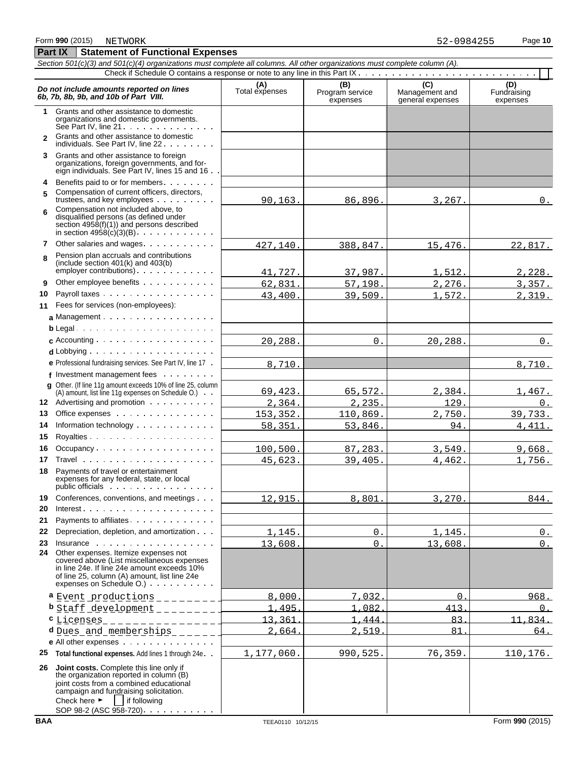**Part IX Statement of Functional Expenses** 

### *Section 501(c)(3) and 501(c)(4) organizations must complete all columns. All other organizations must complete column (A).* Check if Schedule O contains a response or note to any line in this Part IX . . . . . . . . . . . . . . . . . . **Do not include amounts reported on lines**<br> **C** (D) (D) Total expenses Program service Management and Fundraising<br> **EXPENSION EXPENSION CONTRACT (D)** Management and Fundraising<br>
expenses expenses expenses expenses **1** Grants and other assistance to domestic organizations and domestic governments. See Part IV, line  $21 \cdot \cdot \cdot \cdot \cdot \cdot \cdot \cdot \cdot \cdot \cdot \cdot$ **2** Grants and other assistance to domestic individuals. See Part IV, line 22 . . . . . . . . **3** Grants and other assistance to foreign organizations, foreign governments, and foreign individuals. See Part IV, lines 15 and 16 **4** Benefits paid to or for members **5** Compensation of current officers, directors, trustees, and key employees . . . . . . . . Compensation not included above, to **6** disqualified persons (as defined under section 4958(f)(1)) and persons described in section  $4958(c)(3)(B)$ . . . . . . . . . . . **7** Other salaries and wages Pension plan accruals and contributions **8** (include section 401(k) and 403(b)  $emplover$  contributions)  $\ldots$   $\ldots$ **9** Other employee benefits . . . . . . **10** Payroll taxes **11** Fees for services (non-employees): **a** Management **b** Legal **c** Accounting **d** Lobbying **e** Professional fundraising services. See Part IV, line 17 **f** Investment management fees **g** Other. (If line 11g amount exceeds 10% of line 25, column (A) amount, list line 11g expenses on Schedule O.) **12** Advertising and promotion **13** Office expenses **14** Information technology **15** Royalties 16 Occupancy . . . . . . . . . . . . . . . . . . **17** Travel **18** Payments of travel or entertainment expenses for any federal, state, or local public officials : . . . . . . . . . . . . . . . . 19 Conferences, conventions, and meetings . . . **20** Interest **21** Payments to affiliates **22** Depreciation, depletion, and amortization **23** Insurance **24** Other expenses. Itemize expenses not covered above (List miscellaneous expenses in line 24e. If line 24e amount exceeds 10% of line 25, column (A) amount, list line 24e expenses on Schedule O.) **a** Event productions \_\_\_\_\_\_\_ 1 8,000. 7,032. 0. 968. **b** Staff development 1,495. 1,082. 413. 0. **c** Licenses 13,361. 13,361. 1,444. 1,444. 83. 11,834. **d** Dues and memberships 2, 2,664. 2,519. 81. 81. 84. **e** All other expenses **25 Total functional expenses.** Add lines 1 through 24e **26 Joint costs.** Complete this line only if the organization reported in column (B) joint costs from a combined educational campaign and fundraising solicitation. Check here  $\blacktriangleright$  if following 90,163. 86,896. 3,267. 0. 427,140. 388,847. 15,476. 22,817. 41,727. 37,987. 1,512. 2,228. 62,831. 57,198. 2,276. 3,357. 43,400. 39,509. 1,572. 2,319.  $20,288.$   $\vert$  0.  $\vert$  20,288.  $\vert$  0. 8,710. 8,710. 69,423. 65,572. 2,384. 1,467.  $2,364.$   $2,235.$   $129.$  0. 153,352. 110,869. 2,750. 39,733. 58,351. 53,846. 94. 4,411. 100,500. 87,283. 3,549. 9,668. 45,623. 39,405. 4,462. 1,756.  $12,915.$  8,801. 3,270. 844.  $1,145.$  0. 1,145. 0.  $13,608.$  0. 13,608. 0. 1,177,060. 990,525. 76,359. 110,176.

SOP 98-2 (ASC 958-720) . . . .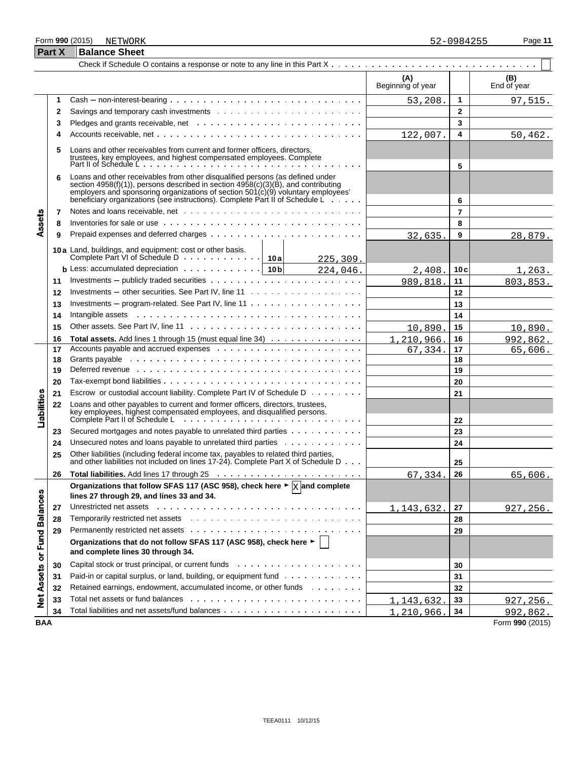## Form **990** (2015) Page **11**

|                             | <b>Part X</b> | <b>Balance Sheet</b>                                                                                                                                                                                                                                                                                                                          |                          |                |                    |
|-----------------------------|---------------|-----------------------------------------------------------------------------------------------------------------------------------------------------------------------------------------------------------------------------------------------------------------------------------------------------------------------------------------------|--------------------------|----------------|--------------------|
|                             |               |                                                                                                                                                                                                                                                                                                                                               |                          |                |                    |
|                             |               |                                                                                                                                                                                                                                                                                                                                               | (A)<br>Beginning of year |                | (B)<br>End of year |
|                             | 1             |                                                                                                                                                                                                                                                                                                                                               | 53,208.                  | 1              | 97,515.            |
|                             | 2             |                                                                                                                                                                                                                                                                                                                                               |                          | $\mathbf{2}$   |                    |
|                             | 3             |                                                                                                                                                                                                                                                                                                                                               |                          | 3              |                    |
|                             | 4             |                                                                                                                                                                                                                                                                                                                                               | 122,007.                 | 4              | 50,462.            |
|                             | 5             | Loans and other receivables from current and former officers, directors,                                                                                                                                                                                                                                                                      |                          |                |                    |
|                             | 6             | Loans and other receivables from other disqualified persons (as defined under<br>section $4958(f)(1)$ , persons described in section $4958(c)(3)(B)$ , and contributing<br>employers and sponsoring organizations of section $501(c)(9)$ voluntary employees'<br>beneficiary organizations (see instructions). Complete Part II of Schedule L |                          | 5<br>6         |                    |
|                             | 7             |                                                                                                                                                                                                                                                                                                                                               |                          | $\overline{7}$ |                    |
| Assets                      | 8             | Inventories for sale or use $\cdots$ , $\cdots$ , $\cdots$ , $\cdots$ , $\cdots$ , $\cdots$ , $\cdots$ , $\cdots$ , $\cdots$ , $\cdots$ , $\cdots$                                                                                                                                                                                            |                          | 8              |                    |
|                             | 9             |                                                                                                                                                                                                                                                                                                                                               | 32,635                   | 9              | 28,879.            |
|                             |               | 10a Land, buildings, and equipment: cost or other basis.<br>225,309.                                                                                                                                                                                                                                                                          |                          |                |                    |
|                             |               | <b>b</b> Less: accumulated depreciation $\cdots$ $\cdots$ $\cdots$ $\cdots$ $\cdots$   10 b<br>224,046.                                                                                                                                                                                                                                       | 2,408.                   | 10c            | 1,263.             |
|                             | 11            | Investments – publicly traded securities $\cdots$ , , , , , ,                                                                                                                                                                                                                                                                                 | 989,818.                 | 11             | 803,853.           |
|                             | 12            |                                                                                                                                                                                                                                                                                                                                               |                          | 12             |                    |
|                             | 13            | Investments – program-related. See Part IV, line $11 \ldots \ldots \ldots \ldots \ldots \ldots$                                                                                                                                                                                                                                               |                          | 13             |                    |
|                             | 14            | Intangible assets response to the contract of the contract of the contract of the contract of the contract of the contract of the contract of the contract of the contract of the contract of the contract of the contract of                                                                                                                 |                          | 14             |                    |
|                             | 15            |                                                                                                                                                                                                                                                                                                                                               | 10,890                   | 15             | 10,890.            |
|                             | 16            | Total assets. Add lines 1 through 15 (must equal line 34)                                                                                                                                                                                                                                                                                     | 1,210,966.               | 16             | 992,862.           |
|                             | 17            |                                                                                                                                                                                                                                                                                                                                               | 67,334.                  | 17             | 65,606.            |
|                             | 18            |                                                                                                                                                                                                                                                                                                                                               |                          | 18             |                    |
|                             | 19            | Deferred revenue www.communicationshipsers and contain the contact of the contact of the contact of the contact of the contact of the contact of the contact of the contact of the contact of the contact of the contact of th                                                                                                                |                          | 19             |                    |
|                             | 20            |                                                                                                                                                                                                                                                                                                                                               |                          | 20             |                    |
|                             | 21            | Escrow or custodial account liability. Complete Part IV of Schedule D                                                                                                                                                                                                                                                                         |                          | 21             |                    |
| Liabilities                 | 22            | Loans and other payables to current and former officers, directors, trustees,<br>key employees, highest compensated employees, and disqualified persons.<br>Complete Part II of Schedule Letter and the complete Part II of Schedule Letter and the complete Part II of Schedule Letter and the complete Part II o                            |                          | 22             |                    |
|                             | 23            | Secured mortgages and notes payable to unrelated third parties                                                                                                                                                                                                                                                                                |                          | 23             |                    |
|                             | 24            | Unsecured notes and loans payable to unrelated third parties                                                                                                                                                                                                                                                                                  |                          | 24             |                    |
|                             | 25            | Other liabilities (including federal income tax, payables to related third parties, and other liabilities not included on lines 17-24). Complete Part X of Schedule D                                                                                                                                                                         |                          | 25             |                    |
|                             | 26            |                                                                                                                                                                                                                                                                                                                                               | 67,334.                  | 26             | 65,606.            |
|                             |               | Organizations that follow SFAS 117 (ASC 958), check here $\blacktriangleright \boxed{\times}$ and complete<br>lines 27 through 29, and lines 33 and 34.                                                                                                                                                                                       |                          |                |                    |
|                             | 27            | Unrestricted net assets entertainment in the contract of the contract of the contract of the contract of the contract of the contract of the contract of the contract of the contract of the contract of the contract of the c                                                                                                                | 1, 143, 632.             | 27             | 927, 256.          |
|                             | 28            |                                                                                                                                                                                                                                                                                                                                               |                          | 28             |                    |
|                             | 29            |                                                                                                                                                                                                                                                                                                                                               |                          | 29             |                    |
| Net Assets or Fund Balances |               | Organizations that do not follow SFAS 117 (ASC 958), check here ►  <br>and complete lines 30 through 34.                                                                                                                                                                                                                                      |                          |                |                    |
|                             | 30            |                                                                                                                                                                                                                                                                                                                                               |                          | 30             |                    |
|                             | 31            | Paid-in or capital surplus, or land, building, or equipment fund                                                                                                                                                                                                                                                                              |                          | 31             |                    |
|                             | 32            | Retained earnings, endowment, accumulated income, or other funds                                                                                                                                                                                                                                                                              |                          | 32             |                    |
|                             | 33            | Total net assets or fund balances experience in the content of the content of the content of the content of the content of the content of the content of the content of the content of the content of the content of the conte                                                                                                                | 1,143,632.               | 33             | 927, 256.          |
|                             | 34            |                                                                                                                                                                                                                                                                                                                                               | 1,210,966.               | 34             | 992,862.           |
| <b>BAA</b>                  |               |                                                                                                                                                                                                                                                                                                                                               |                          |                | Form 990 (2015)    |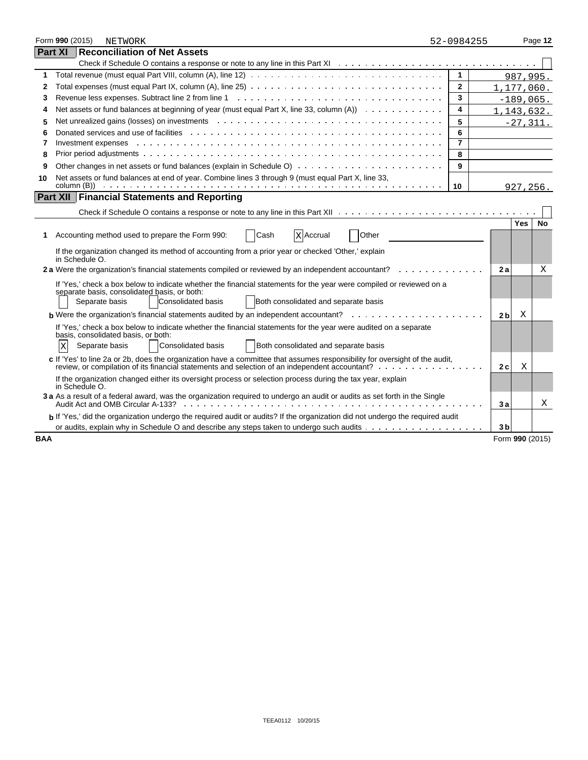|            | Form 990 (2015)                                                                                                                  |  | <b>NETWORK</b>                                                                                                                                                                                                                 | 52-0984255     |                |                 | Page 12 |
|------------|----------------------------------------------------------------------------------------------------------------------------------|--|--------------------------------------------------------------------------------------------------------------------------------------------------------------------------------------------------------------------------------|----------------|----------------|-----------------|---------|
|            | Part XI                                                                                                                          |  | <b>Reconciliation of Net Assets</b>                                                                                                                                                                                            |                |                |                 |         |
|            |                                                                                                                                  |  |                                                                                                                                                                                                                                |                |                |                 |         |
| 1          |                                                                                                                                  |  |                                                                                                                                                                                                                                | $\mathbf{1}$   |                | 987,995.        |         |
| 2          |                                                                                                                                  |  | Total expenses (must equal Part IX, column (A), line 25) $\ldots \ldots \ldots \ldots \ldots \ldots \ldots \ldots \ldots \ldots \ldots$                                                                                        | $\mathbf{2}$   |                | 1,177,060.      |         |
| 3          |                                                                                                                                  |  |                                                                                                                                                                                                                                | 3              |                | $-189,065.$     |         |
| 4          |                                                                                                                                  |  | Net assets or fund balances at beginning of year (must equal Part X, line 33, column $(A)$ ) $\ldots$                                                                                                                          | 4              |                | 1, 143, 632.    |         |
| 5          |                                                                                                                                  |  |                                                                                                                                                                                                                                | 5              |                | $-27, 311.$     |         |
| 6          |                                                                                                                                  |  |                                                                                                                                                                                                                                | 6              |                |                 |         |
| 7          |                                                                                                                                  |  | Investment expenses enterprise on the contract of the contract of the contract of the contract of the contract of the contract of the contract of the contract of the contract of the contract of the contract of the contract | $\overline{7}$ |                |                 |         |
| 8          |                                                                                                                                  |  | Prior period adjustments with the contract of the contract of the contract of the contract of the contract of the contract of the contract of the contract of the contract of the contract of the contract of the contract of  | 8              |                |                 |         |
| 9          |                                                                                                                                  |  |                                                                                                                                                                                                                                | 9              |                |                 |         |
| 10         |                                                                                                                                  |  | Net assets or fund balances at end of year. Combine lines 3 through 9 (must equal Part X, line 33,                                                                                                                             |                |                |                 |         |
|            |                                                                                                                                  |  |                                                                                                                                                                                                                                | 10             |                | 927,256.        |         |
|            |                                                                                                                                  |  | Part XII   Financial Statements and Reporting                                                                                                                                                                                  |                |                |                 |         |
|            |                                                                                                                                  |  |                                                                                                                                                                                                                                |                |                |                 |         |
|            |                                                                                                                                  |  |                                                                                                                                                                                                                                |                |                | Yes             | No      |
| 1          |                                                                                                                                  |  | Cash<br>Other<br>Accounting method used to prepare the Form 990:<br><b>X</b> Accrual                                                                                                                                           |                |                |                 |         |
|            |                                                                                                                                  |  | If the organization changed its method of accounting from a prior year or checked 'Other,' explain                                                                                                                             |                |                |                 |         |
|            | in Schedule O.                                                                                                                   |  |                                                                                                                                                                                                                                |                |                |                 |         |
|            |                                                                                                                                  |  | 2 a Were the organization's financial statements compiled or reviewed by an independent accountant?                                                                                                                            |                | 2a             |                 | Χ       |
|            |                                                                                                                                  |  | If 'Yes,' check a box below to indicate whether the financial statements for the year were compiled or reviewed on a                                                                                                           |                |                |                 |         |
|            |                                                                                                                                  |  | separate basis, consolidated basis, or both:<br>Consolidated basis<br>Both consolidated and separate basis<br>Separate basis                                                                                                   |                |                |                 |         |
|            |                                                                                                                                  |  |                                                                                                                                                                                                                                |                |                |                 |         |
|            |                                                                                                                                  |  | <b>b</b> Were the organization's financial statements audited by an independent accountant? $\cdots$ , $\cdots$ , $\cdots$ , $\cdots$                                                                                          |                | 2 <sub>b</sub> | Χ               |         |
|            |                                                                                                                                  |  | If 'Yes,' check a box below to indicate whether the financial statements for the year were audited on a separate<br>basis, consolidated basis, or both:                                                                        |                |                |                 |         |
|            | ΙX                                                                                                                               |  | <b>Consolidated basis</b><br>Both consolidated and separate basis<br>Separate basis                                                                                                                                            |                |                |                 |         |
|            |                                                                                                                                  |  | c If 'Yes' to line 2a or 2b, does the organization have a committee that assumes responsibility for oversight of the audit,                                                                                                    |                |                |                 |         |
|            |                                                                                                                                  |  | review, or compilation of its financial statements and selection of an independent accountant?                                                                                                                                 |                | 2 c            | Χ               |         |
|            |                                                                                                                                  |  | If the organization changed either its oversight process or selection process during the tax year, explain                                                                                                                     |                |                |                 |         |
|            | in Schedule O.                                                                                                                   |  |                                                                                                                                                                                                                                |                |                |                 |         |
|            | 3 a As a result of a federal award, was the organization required to undergo an audit or audits as set forth in the Single<br>3a |  |                                                                                                                                                                                                                                |                |                |                 | Χ       |
|            |                                                                                                                                  |  | b If 'Yes,' did the organization undergo the required audit or audits? If the organization did not undergo the required audit                                                                                                  |                |                |                 |         |
|            |                                                                                                                                  |  |                                                                                                                                                                                                                                |                | 3 <sub>b</sub> |                 |         |
| <b>BAA</b> |                                                                                                                                  |  |                                                                                                                                                                                                                                |                |                | Form 990 (2015) |         |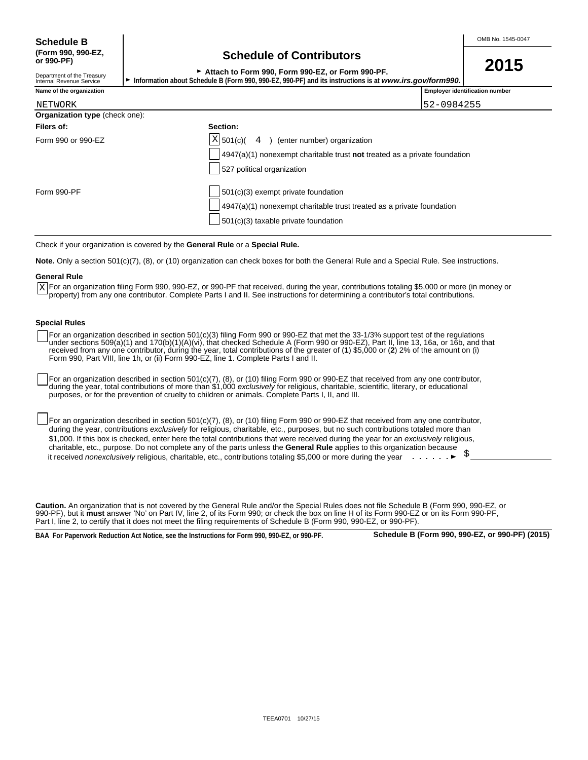Department of the Treasury<br>Internal Revenue Service

## **(Form 990, 990-EZ, Schedule of Contributors or 990-PF)**

<sup>G</sup>**Attach to Form 990, Form 990-EZ, or Form 990-PF. 2015**

Internal Revenue Service G **Information about Schedule B (Form 990, 990-EZ, 990-PF) and its instructions is at** *www.irs.gov/form990.*

| ™™™™∩™™ |  |
|---------|--|

| Name of the organization | $-0.000$<br>Emplover identification number |
|--------------------------|--------------------------------------------|
|                          | .                                          |

| NETWORK                        | 52-0984255                                                                                                                                                              |  |
|--------------------------------|-------------------------------------------------------------------------------------------------------------------------------------------------------------------------|--|
| Organization type (check one): |                                                                                                                                                                         |  |
| Filers of:                     | Section:                                                                                                                                                                |  |
| Form 990 or 990-EZ             | $X$ 501(c)(<br>4 ) (enter number) organization<br>$4947(a)(1)$ nonexempt charitable trust not treated as a private foundation<br>527 political organization             |  |
| Form 990-PF                    | $\vert$ 501(c)(3) exempt private foundation<br>$ 4947(a)(1)$ nonexempt charitable trust treated as a private foundation<br>$\vert$ 501(c)(3) taxable private foundation |  |

Check if your organization is covered by the **General Rule** or a **Special Rule.**

**Note.** Only a section 501(c)(7), (8), or (10) organization can check boxes for both the General Rule and a Special Rule. See instructions.

### **General Rule**

For an organization filing Form 990, 990-EZ, or 990-PF that received, during the year, contributions totaling \$5,000 or more (in money or X For an organization filing Form 990, 990-EZ, or 990-PF that received, during the year, contributions totaling \$5,000 or more (ir<br>Property) from any one contributor. Complete Parts I and II. See instructions for determin

## **Special Rules**

For an organization described in section 501(c)(3) filing Form 990 or 990-EZ that met the 33-1/3% support test of the regulations under sections 509(a)(1) and 170(b)(1)(A)(vi), that checked Schedule A (Form 990 or 990-EZ), Part II, line 13, 16a, or 16b, and that received from any one contributor, during the year, total contributions of the greater of (**1**) \$5,000 or (**2**) 2% of the amount on (i) Form 990, Part VIII, line 1h, or (ii) Form 990-EZ, line 1. Complete Parts I and II.

For an organization described in section 501(c)(7), (8), or (10) filing Form 990 or 990-EZ that received from any one contributor, during the year, total contributions of more than \$1,000 *exclusively* for religious, charitable, scientific, literary, or educational purposes, or for the prevention of cruelty to children or animals. Complete Parts I, II, and III.

For an organization described in section 501(c)(7), (8), or (10) filing Form 990 or 990-EZ that received from any one contributor, during the year, contributions *exclusively* for religious, charitable, etc., purposes, but no such contributions totaled more than \$1,000. If this box is checked, enter here the total contributions that were received during the year for an *exclusively* religious, charitable, etc., purpose. Do not complete any of the parts unless the **General Rule** applies to this organization because it received *nonexclusively* religious, charitable, etc., contributions totaling \$5,000 or more during the year  $\ldots \ldots$ 

**Caution.** An organization that is not covered by the General Rule and/or the Special Rules does not file Schedule B (Form 990, 990-EZ, or 990-PF), but it **must** answer 'No' on Part IV, line 2, of its Form 990; or check the box on line H of its Form 990-EZ or on its Form 990-PF, Part I, line 2, to certify that it does not meet the filing requirements of Schedule B (Form 990, 990-EZ, or 990-PF)

**BAA For Paperwork Reduction Act Notice, see the Instructions for Form 990, 990-EZ, or 990-PF. Schedule B (Form 990, 990-EZ, or 990-PF) (2015)**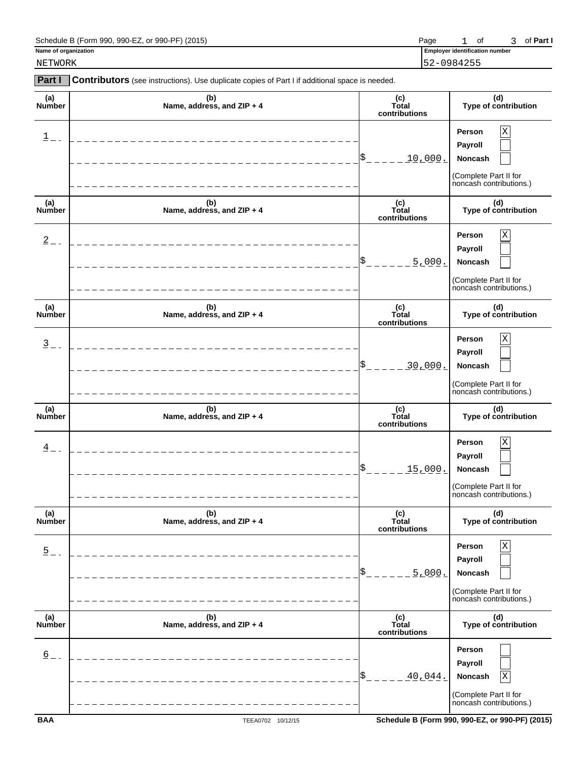| Schedule B (Form 990, 990-EZ, or 990-PF) (2015) | Page |  |  |  | 3 of Part I |
|-------------------------------------------------|------|--|--|--|-------------|
|-------------------------------------------------|------|--|--|--|-------------|

**Name of organization Employer identification numbers of**  $\overline{E}$  **is a set of**  $\overline{E}$  **in the set of**  $\overline{E}$  **is a set of**  $\overline{E}$  **is a set of**  $\overline{E}$  **is a set of**  $\overline{E}$  **is a set of**  $\overline{E}$  **is a set of**  $\overline{E}$  **is a** 

NETWORK 52-0984255

| <b>Part I</b>              | <b>Contributors</b> (see instructions). Use duplicate copies of Part I if additional space is needed. |                               |                                                                                                 |
|----------------------------|-------------------------------------------------------------------------------------------------------|-------------------------------|-------------------------------------------------------------------------------------------------|
| (a)<br>Number              | (b)<br>Name, address, and ZIP + 4                                                                     | (c)<br>Total<br>contributions | (d)<br>Type of contribution                                                                     |
| $\mathbf 1$                |                                                                                                       | \$<br><u>10,000.</u>          | $\rm X$<br>Person<br>Payroll<br>Noncash<br>(Complete Part II for<br>noncash contributions.)     |
| (a)<br><b>Number</b>       | (b)<br>Name, address, and ZIP + 4                                                                     | (c)<br>Total<br>contributions | (d)<br>Type of contribution                                                                     |
| $2 -$                      |                                                                                                       | 5.000.                        | $\rm X$<br>Person<br>Payroll<br>Noncash<br>(Complete Part II for<br>noncash contributions.)     |
| (a)<br><b>Number</b>       | (b)<br>Name, address, and ZIP + 4                                                                     | (c)<br>Total<br>contributions | (d)<br>Type of contribution                                                                     |
| $\frac{3}{2}$ -            |                                                                                                       | 30,000.                       | $\mathbf X$<br>Person<br>Payroll<br>Noncash<br>(Complete Part II for<br>noncash contributions.) |
| (a)<br><b>Number</b>       | (b)<br>Name, address, and ZIP + 4                                                                     | (c)<br>Total<br>contributions | (d)<br>Type of contribution                                                                     |
| $\frac{4}{5}$ -            |                                                                                                       | <u>15,000.</u>                | $\mathbf X$<br>Person<br>Payroll<br>Noncash<br>(Complete Part II for<br>noncash contributions.) |
| (a)<br>Number              | (b)<br>Name, address, and ZIP + 4                                                                     | (c)<br>Total<br>contributions | (d)<br>Type of contribution                                                                     |
| $\overline{5}$ = =         | _______________________<br>________________<br>___________                                            | \$<br>5.000.                  | $\mathbf X$<br>Person<br>Payroll<br>Noncash<br>(Complete Part II for<br>noncash contributions.) |
| (a)<br>Number              | (b)<br>Name, address, and ZIP + 4                                                                     | (c)<br>Total<br>contributions | (d)<br>Type of contribution                                                                     |
| $\underline{6}$<br>$=$ $-$ | ______________________________<br>________________                                                    | \$<br>$40.044$ .              | Person<br>Payroll<br>Noncash<br>Χ<br>(Complete Part II for<br>noncash contributions.)           |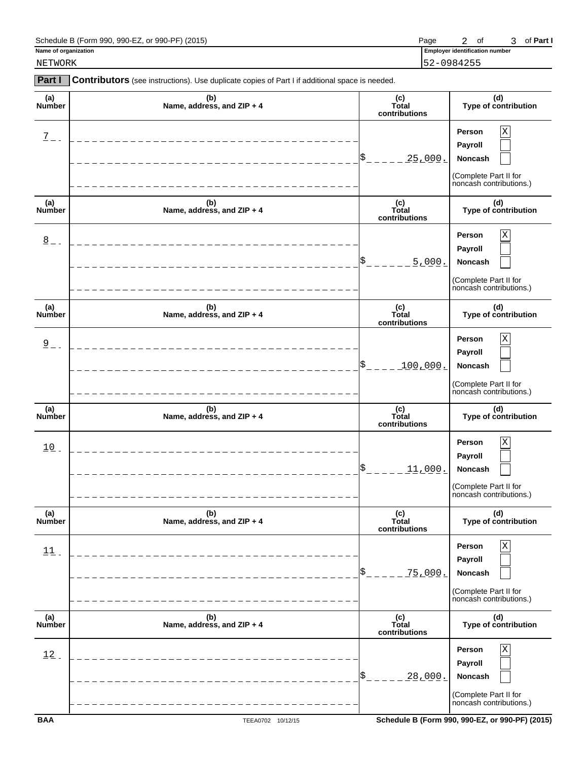| Schedule B (Form 990, 990-EZ, or 990-PF) (2015) | Page |  |  |  | 3 of Part I |
|-------------------------------------------------|------|--|--|--|-------------|
|-------------------------------------------------|------|--|--|--|-------------|

NETWORK 52-0984255

| Part I               | Contributors (see instructions). Use duplicate copies of Part I if additional space is needed. |                               |                                                                                       |
|----------------------|------------------------------------------------------------------------------------------------|-------------------------------|---------------------------------------------------------------------------------------|
| (a)<br>Number        | (b)<br>Name, address, and ZIP + 4                                                              | (c)<br>Total<br>contributions | (d)<br>Type of contribution                                                           |
| $\overline{2}$ -     | _______________________                                                                        | \$<br><u> 25,000.</u>         | Χ<br>Person<br>Payroll<br>Noncash<br>(Complete Part II for<br>noncash contributions.) |
| (a)<br>Number        | (b)<br>Name, address, and ZIP + 4                                                              | (c)<br>Total<br>contributions | (d)<br>Type of contribution                                                           |
| $\frac{8}{2}$ -      | _____________________                                                                          | \$<br>5.000.                  | Χ<br>Person<br>Payroll<br>Noncash<br>(Complete Part II for<br>noncash contributions.) |
| (a)<br><b>Number</b> | (b)<br>Name, address, and ZIP + 4                                                              | (c)<br>Total<br>contributions | (d)<br>Type of contribution                                                           |
| $\frac{9}{2}$ -      | ____________________                                                                           | \$<br><u>100,000.</u>         | Χ<br>Person<br>Payroll<br>Noncash<br>(Complete Part II for<br>noncash contributions.) |
| (a)<br>Number        | (b)<br>Name, address, and ZIP + 4                                                              | (c)<br>Total<br>contributions | (d)<br>Type of contribution                                                           |
| $10$ .               | ____________________                                                                           | \$<br>11,000.                 | Χ<br>Person<br>Payroll<br>Noncash<br>(Complete Part II for<br>noncash contributions.) |
| (a)<br>Number        | (b)<br>Name, address, and ZIP + 4                                                              | (c)<br>Total<br>contributions | (d)<br>Type of contribution                                                           |
| 11                   |                                                                                                | <u>75,000.</u>                | Person<br>Payroll<br>Noncash<br>(Complete Part II for<br>noncash contributions.)      |
| (a)<br>Number        | (b)<br>Name, address, and ZIP + 4                                                              | (c)<br>Total<br>contributions | (d)<br>Type of contribution                                                           |
| 12                   |                                                                                                | \$<br><u>28,000.</u>          | Person<br>Payroll<br>Noncash<br>(Complete Part II for<br>noncash contributions.)      |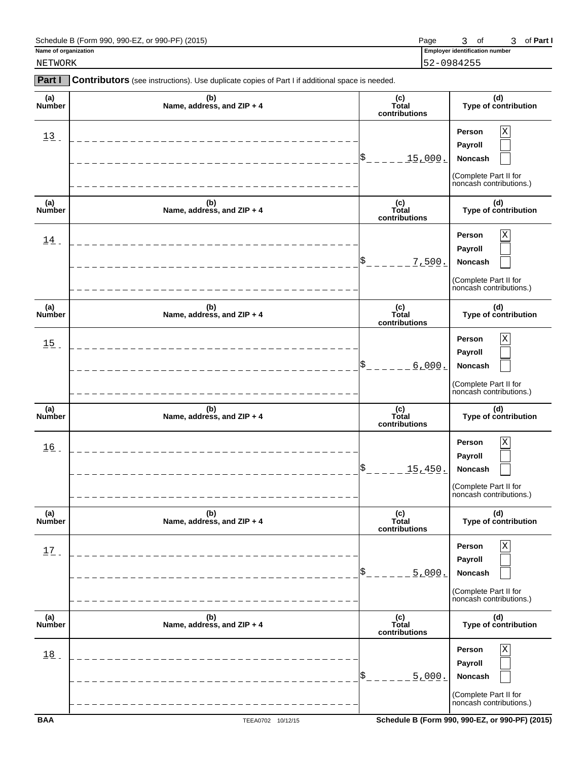| Schedule B (Form 990,<br>. or $990 - PF$ )<br>990-EZ.<br>(2015) | Page | 0t | Part .<br>ΟI |
|-----------------------------------------------------------------|------|----|--------------|
|-----------------------------------------------------------------|------|----|--------------|

NETWORK 52-0984255

| <b>Part I</b>        | Contributors (see instructions). Use duplicate copies of Part I if additional space is needed. |                               |                                                                                                 |
|----------------------|------------------------------------------------------------------------------------------------|-------------------------------|-------------------------------------------------------------------------------------------------|
| (a)<br>Number        | (b)<br>Name, address, and ZIP + 4                                                              | (c)<br>Total<br>contributions | (d)<br>Type of contribution                                                                     |
| $13$ .               |                                                                                                | \$<br><u>15,000.</u>          | $\mathbf X$<br>Person<br>Payroll<br>Noncash<br>(Complete Part II for<br>noncash contributions.) |
| (a)<br>Number        | (b)<br>Name, address, and ZIP + 4                                                              | (c)<br>Total<br>contributions | (d)<br>Type of contribution                                                                     |
| 14                   |                                                                                                | \$<br>7,500.                  | $\mathbf X$<br>Person<br>Payroll<br>Noncash<br>(Complete Part II for<br>noncash contributions.) |
| (a)<br><b>Number</b> | (b)<br>Name, address, and ZIP + 4                                                              | (c)<br>Total<br>contributions | (d)<br>Type of contribution                                                                     |
| 15                   |                                                                                                | \$<br>6,000.                  | $\mathbf X$<br>Person<br>Payroll<br>Noncash<br>(Complete Part II for<br>noncash contributions.) |
| (a)<br>Number        | (b)<br>Name, address, and ZIP + 4                                                              | (c)<br>Total<br>contributions | (d)<br>Type of contribution                                                                     |
| 16                   | __________________                                                                             | \$<br><u> 15,450.</u>         | $\mathbf X$<br>Person<br>Payroll<br>Noncash<br>(Complete Part II for<br>noncash contributions.) |
| (a)<br>Number        | (b)<br>Name, address, and ZIP + 4                                                              | (c)<br>Total<br>contributions | (d)<br>Type of contribution                                                                     |
| 17                   |                                                                                                | \$<br>5.000.                  | Person<br>Χ<br>Payroll<br>Noncash<br>(Complete Part II for<br>noncash contributions.)           |
| (a)<br>Number        | (b)<br>Name, address, and ZIP + 4                                                              | (c)<br>Total<br>contributions | (d)<br>Type of contribution                                                                     |
| 18                   |                                                                                                | \$<br>5.000.                  | Person<br>Χ<br>Payroll<br>Noncash<br>(Complete Part II for                                      |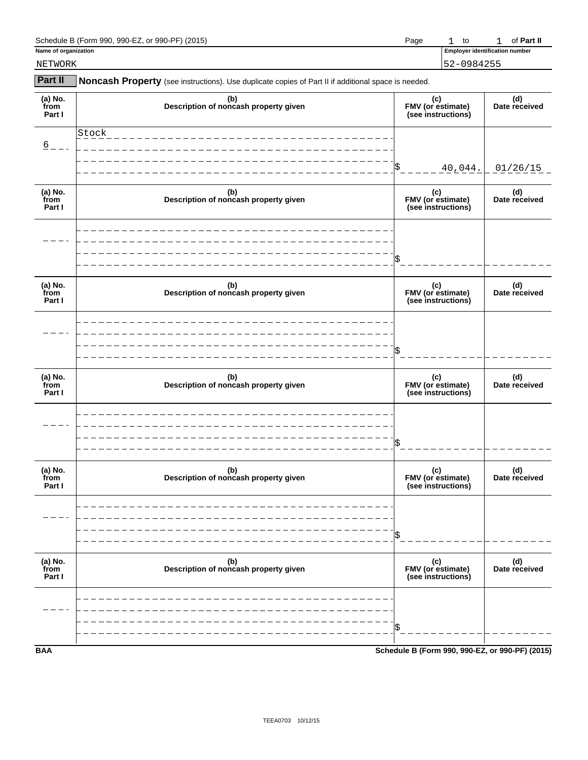| $390$ -PF $^{\circ}$<br>990-F <sup>-</sup><br>(2015<br>Schedule<br>990<br>(Form<br>or | Page | tc | Part l'<br>nt |
|---------------------------------------------------------------------------------------|------|----|---------------|
|                                                                                       |      |    |               |

|  | Name of organization |
|--|----------------------|

**Employer identification number** 1 to 1

**Part II** Noncash Property (see instructions). Use duplicate copies of Part II if additional space is needed. **(a) No. (b) (c) (d)**  (a) No. (a) (b) (b) (c) (c) (c) (d) (d) (c) (d) (c) (d) (c) (d) (d) from **FMV (or estimate)** Date received Part I **Part I (see instructions)** \$ (a) No. (a) (b) (b) (a) (c) (c) (c) (d) (d) (a) (c) (d) (c) (d) (c) (d) (d) **Description of noncash property given from Description of noncash property given**<br> **Part I Part I (see instructions)** \$ **(a) No. (b) (c) (d) from EXEC (a) Reserved (a)** (b) **FMV (or estimate)** (c) (d) (d) from **FMV** (or estimate) Date received **Part I FMV** (or estimate)<br>(see instructions) \$ **(a) No. (b) (c) (d) from Description of noncash property given FMV (or estimate) Date received Part I (see instructions)** \$ **(a) No. (b) (c) (d) from EXECUTE:** (a) No. (a) No. (a) C) (c) (d) (d) from **from EMV** (or estimate) Date received **Part I** and the received **Part I** and the part I **Part I (see instructions)** \$ **(a) No. (b) (c) (d) from Description of noncash property given FMV (or estimate) Date received Part I Part I Constructions Part I Part I PART I PART I PART I PART I PART I PART I PART I PART I CONSCIPTIONS** (see instructions) \$ NETWORK 52-0984255  $6 - -$ Stock 40,044. 01/26/15

**BAA Schedule B (Form 990, 990-EZ, or 990-PF) (2015)**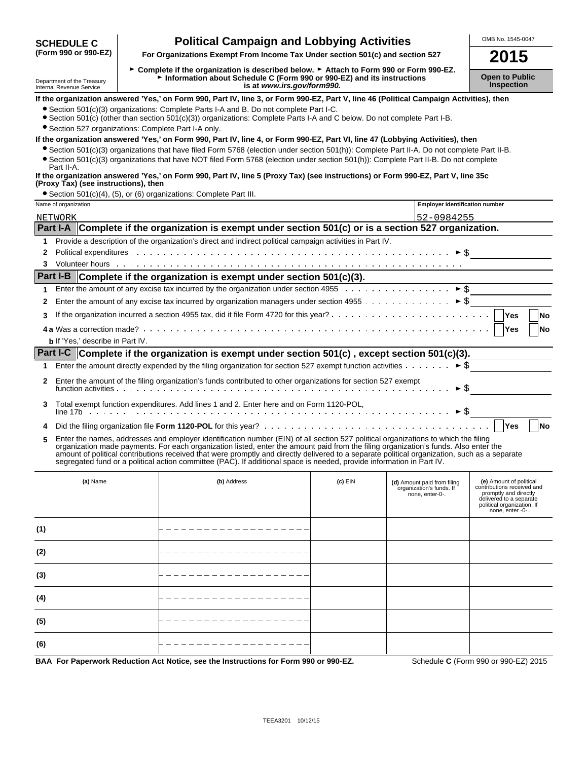# **Political Campaign and Lobbying Activities** MEDING. 1545-0047<br>(Form 990 or 990-EZ) For Organizations Exempt From Income Tax Under section 501(c) and section 527

**(Form 990 or 990-EZ) For Organizations Exempt From Income Tax Under section 501(c) and section 527 2015**

**(6)**

► Complete if the organization is described below. ► Attach to Form 990 or Form 990-EZ. Department of the Treasury **Controller Construction about Schedule C (Form 990 or 990-EZ) and its instructions**<br>Inspection is at www.irs.gov/form990. Internal Revenue Assets at *www.irs.gov/form990.* 

**If the organization answered 'Yes,' on Form 990, Part IV, line 3, or Form 990-EZ, Part V, line 46 (Political Campaign Activities), then**

?Section 501(c)(3) organizations: Complete Parts I-A and B. Do not complete Part I-C.

?Section 501(c) (other than section 501(c)(3)) organizations: Complete Parts I-A and C below. Do not complete Part I-B.

?Section 527 organizations: Complete Part I-A only.

## **If the organization answered 'Yes,' on Form 990, Part IV, line 4, or Form 990-EZ, Part VI, line 47 (Lobbying Activities), then**

?Section 501(c)(3) organizations that have filed Form 5768 (election under section 501(h)): Complete Part II-A. Do not complete Part II-B. ?Section 501(c)(3) organizations that have NOT filed Form 5768 (election under section 501(h)): Complete Part II-B. Do not complete

## Part II-A. **If the organization answered 'Yes,' on Form 990, Part IV, line 5 (Proxy Tax) (see instructions) or Form 990-EZ, Part V, line 35c (Proxy Tax) (see instructions), then**

?Section 501(c)(4), (5), or (6) organizations: Complete Part III.

|     | Name of organization                                                                                      |                                                                                                                                                                                                                                                                                                                                                                                                                                                                                                                                                      |           | <b>Employer identification number</b>                                      |                                                                                                                                                             |  |  |
|-----|-----------------------------------------------------------------------------------------------------------|------------------------------------------------------------------------------------------------------------------------------------------------------------------------------------------------------------------------------------------------------------------------------------------------------------------------------------------------------------------------------------------------------------------------------------------------------------------------------------------------------------------------------------------------------|-----------|----------------------------------------------------------------------------|-------------------------------------------------------------------------------------------------------------------------------------------------------------|--|--|
|     | 52-0984255<br>NETWORK                                                                                     |                                                                                                                                                                                                                                                                                                                                                                                                                                                                                                                                                      |           |                                                                            |                                                                                                                                                             |  |  |
|     | Part I-A Complete if the organization is exempt under section 501(c) or is a section 527 organization.    |                                                                                                                                                                                                                                                                                                                                                                                                                                                                                                                                                      |           |                                                                            |                                                                                                                                                             |  |  |
| 1   | Provide a description of the organization's direct and indirect political campaign activities in Part IV. |                                                                                                                                                                                                                                                                                                                                                                                                                                                                                                                                                      |           |                                                                            |                                                                                                                                                             |  |  |
| 2   |                                                                                                           |                                                                                                                                                                                                                                                                                                                                                                                                                                                                                                                                                      |           |                                                                            |                                                                                                                                                             |  |  |
| 3   |                                                                                                           |                                                                                                                                                                                                                                                                                                                                                                                                                                                                                                                                                      |           |                                                                            |                                                                                                                                                             |  |  |
|     |                                                                                                           | Part I-B Complete if the organization is exempt under section 501(c)(3).                                                                                                                                                                                                                                                                                                                                                                                                                                                                             |           |                                                                            |                                                                                                                                                             |  |  |
| 1   |                                                                                                           |                                                                                                                                                                                                                                                                                                                                                                                                                                                                                                                                                      |           |                                                                            |                                                                                                                                                             |  |  |
| 2   |                                                                                                           |                                                                                                                                                                                                                                                                                                                                                                                                                                                                                                                                                      |           |                                                                            |                                                                                                                                                             |  |  |
| 3   |                                                                                                           |                                                                                                                                                                                                                                                                                                                                                                                                                                                                                                                                                      |           |                                                                            | <b>Yes</b><br><b>No</b>                                                                                                                                     |  |  |
|     |                                                                                                           |                                                                                                                                                                                                                                                                                                                                                                                                                                                                                                                                                      |           |                                                                            | Yes<br>No                                                                                                                                                   |  |  |
|     | <b>b</b> If 'Yes.' describe in Part IV.                                                                   |                                                                                                                                                                                                                                                                                                                                                                                                                                                                                                                                                      |           |                                                                            |                                                                                                                                                             |  |  |
|     |                                                                                                           | Part I-C Complete if the organization is exempt under section $501(c)$ , except section $501(c)(3)$ .                                                                                                                                                                                                                                                                                                                                                                                                                                                |           |                                                                            |                                                                                                                                                             |  |  |
| 1   |                                                                                                           |                                                                                                                                                                                                                                                                                                                                                                                                                                                                                                                                                      |           |                                                                            |                                                                                                                                                             |  |  |
| 2   |                                                                                                           | Enter the amount of the filing organization's funds contributed to other organizations for section 527 exempt                                                                                                                                                                                                                                                                                                                                                                                                                                        |           | $\triangleright$ \$                                                        |                                                                                                                                                             |  |  |
| 3   |                                                                                                           | Total exempt function expenditures. Add lines 1 and 2. Enter here and on Form 1120-POL,                                                                                                                                                                                                                                                                                                                                                                                                                                                              |           |                                                                            |                                                                                                                                                             |  |  |
| 4   |                                                                                                           |                                                                                                                                                                                                                                                                                                                                                                                                                                                                                                                                                      |           |                                                                            | <b>Yes</b><br><b>No</b>                                                                                                                                     |  |  |
| 5   |                                                                                                           | Enter the names, addresses and employer identification number (EIN) of all section 527 political organizations to which the filing<br>organization made payments. For each organization listed, enter the amount paid from the filing organization's funds. Also enter the<br>amount of political contributions received that were promptly and directly delivered to a separate political organization, such as a separate<br>segregated fund or a political action committee (PAC). If additional space is needed, provide information in Part IV. |           |                                                                            |                                                                                                                                                             |  |  |
|     | (a) Name                                                                                                  | (b) Address                                                                                                                                                                                                                                                                                                                                                                                                                                                                                                                                          | $(c)$ EIN | (d) Amount paid from filing<br>organization's funds. If<br>none, enter-0-. | (e) Amount of political<br>contributions received and<br>promptly and directly<br>delivered to a separate<br>political organization. If<br>none, enter -0-. |  |  |
| (1) |                                                                                                           |                                                                                                                                                                                                                                                                                                                                                                                                                                                                                                                                                      |           |                                                                            |                                                                                                                                                             |  |  |
| (2) |                                                                                                           |                                                                                                                                                                                                                                                                                                                                                                                                                                                                                                                                                      |           |                                                                            |                                                                                                                                                             |  |  |
| (3) |                                                                                                           |                                                                                                                                                                                                                                                                                                                                                                                                                                                                                                                                                      |           |                                                                            |                                                                                                                                                             |  |  |
| (4) |                                                                                                           |                                                                                                                                                                                                                                                                                                                                                                                                                                                                                                                                                      |           |                                                                            |                                                                                                                                                             |  |  |
| (5) |                                                                                                           |                                                                                                                                                                                                                                                                                                                                                                                                                                                                                                                                                      |           |                                                                            |                                                                                                                                                             |  |  |

**BAA For Paperwork Reduction Act Notice, see the Instructions for Form 990 or 990-EZ.** Schedule **C** (Form 990 or 990-EZ) 2015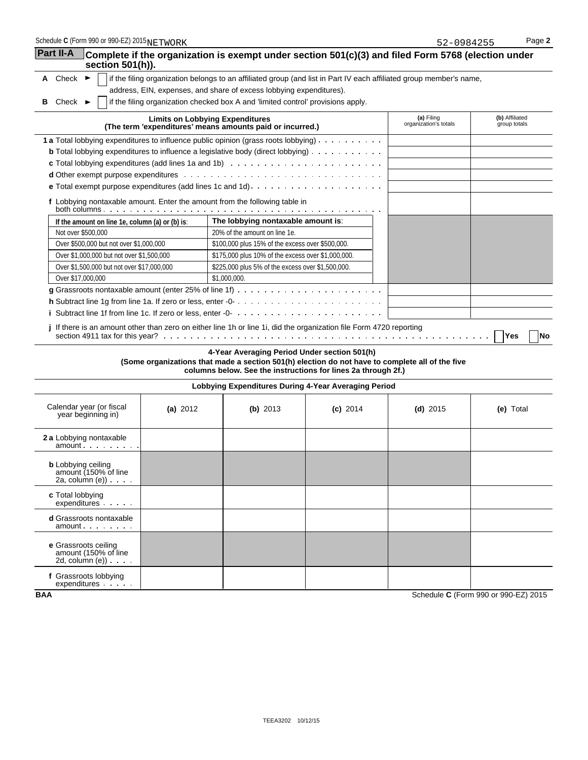| Schedule C (Form 990 or 990-EZ) 2015NETWORK                                        |            |                                                                                                                                                                                                                  |            | 52-0984255                          | Page 2                         |
|------------------------------------------------------------------------------------|------------|------------------------------------------------------------------------------------------------------------------------------------------------------------------------------------------------------------------|------------|-------------------------------------|--------------------------------|
| <b>Part II-A</b><br>section $501(h)$ ).                                            |            | Complete if the organization is exempt under section 501(c)(3) and filed Form 5768 (election under                                                                                                               |            |                                     |                                |
| A Check $\blacktriangleright$                                                      |            | if the filing organization belongs to an affiliated group (and list in Part IV each affiliated group member's name,                                                                                              |            |                                     |                                |
|                                                                                    |            | address, EIN, expenses, and share of excess lobbying expenditures).                                                                                                                                              |            |                                     |                                |
| Check $\blacktriangleright$<br>в                                                   |            | if the filing organization checked box A and 'limited control' provisions apply.                                                                                                                                 |            |                                     |                                |
|                                                                                    |            | <b>Limits on Lobbying Expenditures</b><br>(The term 'expenditures' means amounts paid or incurred.)                                                                                                              |            | (a) Filing<br>organization's totals | (b) Affiliated<br>group totals |
|                                                                                    |            | 1 a Total lobbying expenditures to influence public opinion (grass roots lobbying)                                                                                                                               |            |                                     |                                |
|                                                                                    |            | <b>b</b> Total lobbying expenditures to influence a legislative body (direct lobbying) $\ldots$                                                                                                                  |            |                                     |                                |
|                                                                                    |            |                                                                                                                                                                                                                  |            |                                     |                                |
|                                                                                    |            |                                                                                                                                                                                                                  |            |                                     |                                |
|                                                                                    |            |                                                                                                                                                                                                                  |            |                                     |                                |
|                                                                                    |            | f Lobbying nontaxable amount. Enter the amount from the following table in                                                                                                                                       |            |                                     |                                |
| If the amount on line 1e, column (a) or (b) is:                                    |            | The lobbying nontaxable amount is:                                                                                                                                                                               |            |                                     |                                |
| Not over \$500,000                                                                 |            | 20% of the amount on line 1e.                                                                                                                                                                                    |            |                                     |                                |
| Over \$500,000 but not over \$1,000,000                                            |            | \$100,000 plus 15% of the excess over \$500,000.                                                                                                                                                                 |            |                                     |                                |
| Over \$1,000,000 but not over \$1,500,000                                          |            | \$175,000 plus 10% of the excess over \$1,000,000.                                                                                                                                                               |            |                                     |                                |
| Over \$1,500,000 but not over \$17,000,000                                         |            | \$225,000 plus 5% of the excess over \$1,500,000.                                                                                                                                                                |            |                                     |                                |
| Over \$17,000,000                                                                  |            | \$1,000,000.                                                                                                                                                                                                     |            |                                     |                                |
|                                                                                    |            |                                                                                                                                                                                                                  |            |                                     |                                |
|                                                                                    |            | j If there is an amount other than zero on either line 1h or line 1i, did the organization file Form 4720 reporting                                                                                              |            |                                     | Yes<br>l No                    |
|                                                                                    |            | 4-Year Averaging Period Under section 501(h)<br>(Some organizations that made a section 501(h) election do not have to complete all of the five<br>columns below. See the instructions for lines 2a through 2f.) |            |                                     |                                |
|                                                                                    |            | Lobbying Expenditures During 4-Year Averaging Period                                                                                                                                                             |            |                                     |                                |
| Calendar year (or fiscal<br>year beginning in)                                     | (a) $2012$ | (b) $2013$                                                                                                                                                                                                       | $(c)$ 2014 | (d) $2015$                          | (e) Total                      |
| 2 a Lobbying nontaxable<br>amount                                                  |            |                                                                                                                                                                                                                  |            |                                     |                                |
| <b>b</b> Lobbying ceiling<br>amount (150% of line<br>2a, column $(e)$ ) $\ldots$ . |            |                                                                                                                                                                                                                  |            |                                     |                                |
| c Total lobbying<br>$expenditures$ $\ldots$ $\ldots$                               |            |                                                                                                                                                                                                                  |            |                                     |                                |
| <b>d</b> Grassroots nontaxable<br>amount                                           |            |                                                                                                                                                                                                                  |            |                                     |                                |
| e Grassroots ceiling<br>amount (150% of line<br>2d, column $(e)$ ) $\ldots$ .      |            |                                                                                                                                                                                                                  |            |                                     |                                |
| f Grassroots lobbying                                                              |            |                                                                                                                                                                                                                  |            |                                     |                                |

expenditures

 $\overline{a}$ 

**BAA** Schedule **C** (Form 990 or 990-EZ) 2015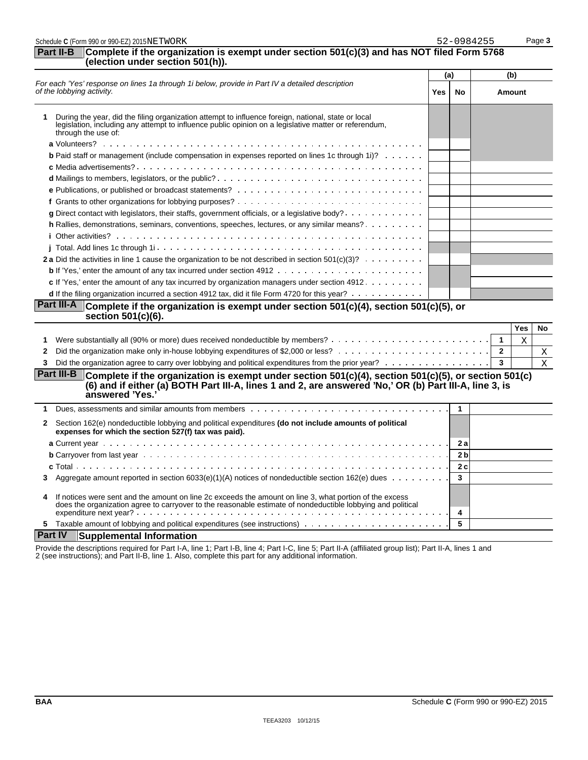| Complete if the organization is exempt under section 501(c)(3) and has NOT filed Form 5768<br>Part II-B<br>(election under section 501(h)).<br>(b)<br>(a)<br>For each 'Yes' response on lines 1a through 1i below, provide in Part IV a detailed description<br>No<br><b>Amount</b><br>Yes<br>During the year, did the filing organization attempt to influence foreign, national, state or local<br>legislation, including any attempt to influence public opinion on a legislative matter or referendum,<br>through the use of:<br><b>b</b> Paid staff or management (include compensation in expenses reported on lines 1c through 1i)?<br>g Direct contact with legislators, their staffs, government officials, or a legislative body?<br>h Rallies, demonstrations, seminars, conventions, speeches, lectures, or any similar means?<br>2 a Did the activities in line 1 cause the organization to be not described in section $501(c)(3)? \ldots \ldots$<br>c If 'Yes,' enter the amount of any tax incurred by organization managers under section 4912.<br>d If the filing organization incurred a section 4912 tax, did it file Form 4720 for this year?<br>Part III-A Complete if the organization is exempt under section 501(c)(4), section 501(c)(5), or<br>section 501(c)(6).<br>Yes<br>$\overline{\mathbf{1}}$<br>X<br>1<br>$\overline{2}$<br>2<br>Did the organization agree to carry over lobbying and political expenditures from the prior year?<br>3<br>3<br><b>Part III-B</b><br>Complete if the organization is exempt under section $501(c)(4)$ , section $501(c)(5)$ , or section $501(c)$<br>(6) and if either (a) BOTH Part III-A, lines 1 and 2, are answered 'No,' OR (b) Part III-A, line 3, is<br>answered 'Yes.'<br>$\mathbf{1}$<br>1<br>Section 162(e) nondeductible lobbying and political expenditures (do not include amounts of political<br>$\mathbf{2}$<br>expenses for which the section 527(f) tax was paid).<br>2 a<br>2 <sub>b</sub><br>2c<br>c Total.<br>Aggregate amount reported in section 6033(e)(1)(A) notices of nondeductible section 162(e) dues $\ldots \ldots \ldots$<br>3<br>3<br>If notices were sent and the amount on line 2c exceeds the amount on line 3, what portion of the excess<br>4<br>does the organization agree to carryover to the reasonable estimate of nondeductible lobbying and political<br>4<br>5<br><b>Part IV</b><br><b>Supplemental Information</b> | Schedule C (Form 990 or 990-EZ) 2015NETWORK |  | 52-0984255 | Page 3       |
|-------------------------------------------------------------------------------------------------------------------------------------------------------------------------------------------------------------------------------------------------------------------------------------------------------------------------------------------------------------------------------------------------------------------------------------------------------------------------------------------------------------------------------------------------------------------------------------------------------------------------------------------------------------------------------------------------------------------------------------------------------------------------------------------------------------------------------------------------------------------------------------------------------------------------------------------------------------------------------------------------------------------------------------------------------------------------------------------------------------------------------------------------------------------------------------------------------------------------------------------------------------------------------------------------------------------------------------------------------------------------------------------------------------------------------------------------------------------------------------------------------------------------------------------------------------------------------------------------------------------------------------------------------------------------------------------------------------------------------------------------------------------------------------------------------------------------------------------------------------------------------------------------------------------------------------------------------------------------------------------------------------------------------------------------------------------------------------------------------------------------------------------------------------------------------------------------------------------------------------------------------------------------------------------------------------------------------------------------------------------------------------------------------------------------------------|---------------------------------------------|--|------------|--------------|
|                                                                                                                                                                                                                                                                                                                                                                                                                                                                                                                                                                                                                                                                                                                                                                                                                                                                                                                                                                                                                                                                                                                                                                                                                                                                                                                                                                                                                                                                                                                                                                                                                                                                                                                                                                                                                                                                                                                                                                                                                                                                                                                                                                                                                                                                                                                                                                                                                                     |                                             |  |            |              |
|                                                                                                                                                                                                                                                                                                                                                                                                                                                                                                                                                                                                                                                                                                                                                                                                                                                                                                                                                                                                                                                                                                                                                                                                                                                                                                                                                                                                                                                                                                                                                                                                                                                                                                                                                                                                                                                                                                                                                                                                                                                                                                                                                                                                                                                                                                                                                                                                                                     |                                             |  |            |              |
|                                                                                                                                                                                                                                                                                                                                                                                                                                                                                                                                                                                                                                                                                                                                                                                                                                                                                                                                                                                                                                                                                                                                                                                                                                                                                                                                                                                                                                                                                                                                                                                                                                                                                                                                                                                                                                                                                                                                                                                                                                                                                                                                                                                                                                                                                                                                                                                                                                     | of the lobbying activity.                   |  |            |              |
|                                                                                                                                                                                                                                                                                                                                                                                                                                                                                                                                                                                                                                                                                                                                                                                                                                                                                                                                                                                                                                                                                                                                                                                                                                                                                                                                                                                                                                                                                                                                                                                                                                                                                                                                                                                                                                                                                                                                                                                                                                                                                                                                                                                                                                                                                                                                                                                                                                     |                                             |  |            |              |
|                                                                                                                                                                                                                                                                                                                                                                                                                                                                                                                                                                                                                                                                                                                                                                                                                                                                                                                                                                                                                                                                                                                                                                                                                                                                                                                                                                                                                                                                                                                                                                                                                                                                                                                                                                                                                                                                                                                                                                                                                                                                                                                                                                                                                                                                                                                                                                                                                                     |                                             |  |            |              |
|                                                                                                                                                                                                                                                                                                                                                                                                                                                                                                                                                                                                                                                                                                                                                                                                                                                                                                                                                                                                                                                                                                                                                                                                                                                                                                                                                                                                                                                                                                                                                                                                                                                                                                                                                                                                                                                                                                                                                                                                                                                                                                                                                                                                                                                                                                                                                                                                                                     |                                             |  |            |              |
|                                                                                                                                                                                                                                                                                                                                                                                                                                                                                                                                                                                                                                                                                                                                                                                                                                                                                                                                                                                                                                                                                                                                                                                                                                                                                                                                                                                                                                                                                                                                                                                                                                                                                                                                                                                                                                                                                                                                                                                                                                                                                                                                                                                                                                                                                                                                                                                                                                     |                                             |  |            |              |
|                                                                                                                                                                                                                                                                                                                                                                                                                                                                                                                                                                                                                                                                                                                                                                                                                                                                                                                                                                                                                                                                                                                                                                                                                                                                                                                                                                                                                                                                                                                                                                                                                                                                                                                                                                                                                                                                                                                                                                                                                                                                                                                                                                                                                                                                                                                                                                                                                                     |                                             |  |            |              |
|                                                                                                                                                                                                                                                                                                                                                                                                                                                                                                                                                                                                                                                                                                                                                                                                                                                                                                                                                                                                                                                                                                                                                                                                                                                                                                                                                                                                                                                                                                                                                                                                                                                                                                                                                                                                                                                                                                                                                                                                                                                                                                                                                                                                                                                                                                                                                                                                                                     |                                             |  |            |              |
|                                                                                                                                                                                                                                                                                                                                                                                                                                                                                                                                                                                                                                                                                                                                                                                                                                                                                                                                                                                                                                                                                                                                                                                                                                                                                                                                                                                                                                                                                                                                                                                                                                                                                                                                                                                                                                                                                                                                                                                                                                                                                                                                                                                                                                                                                                                                                                                                                                     |                                             |  |            |              |
|                                                                                                                                                                                                                                                                                                                                                                                                                                                                                                                                                                                                                                                                                                                                                                                                                                                                                                                                                                                                                                                                                                                                                                                                                                                                                                                                                                                                                                                                                                                                                                                                                                                                                                                                                                                                                                                                                                                                                                                                                                                                                                                                                                                                                                                                                                                                                                                                                                     |                                             |  |            |              |
|                                                                                                                                                                                                                                                                                                                                                                                                                                                                                                                                                                                                                                                                                                                                                                                                                                                                                                                                                                                                                                                                                                                                                                                                                                                                                                                                                                                                                                                                                                                                                                                                                                                                                                                                                                                                                                                                                                                                                                                                                                                                                                                                                                                                                                                                                                                                                                                                                                     |                                             |  |            |              |
|                                                                                                                                                                                                                                                                                                                                                                                                                                                                                                                                                                                                                                                                                                                                                                                                                                                                                                                                                                                                                                                                                                                                                                                                                                                                                                                                                                                                                                                                                                                                                                                                                                                                                                                                                                                                                                                                                                                                                                                                                                                                                                                                                                                                                                                                                                                                                                                                                                     |                                             |  |            |              |
|                                                                                                                                                                                                                                                                                                                                                                                                                                                                                                                                                                                                                                                                                                                                                                                                                                                                                                                                                                                                                                                                                                                                                                                                                                                                                                                                                                                                                                                                                                                                                                                                                                                                                                                                                                                                                                                                                                                                                                                                                                                                                                                                                                                                                                                                                                                                                                                                                                     |                                             |  |            |              |
|                                                                                                                                                                                                                                                                                                                                                                                                                                                                                                                                                                                                                                                                                                                                                                                                                                                                                                                                                                                                                                                                                                                                                                                                                                                                                                                                                                                                                                                                                                                                                                                                                                                                                                                                                                                                                                                                                                                                                                                                                                                                                                                                                                                                                                                                                                                                                                                                                                     |                                             |  |            |              |
|                                                                                                                                                                                                                                                                                                                                                                                                                                                                                                                                                                                                                                                                                                                                                                                                                                                                                                                                                                                                                                                                                                                                                                                                                                                                                                                                                                                                                                                                                                                                                                                                                                                                                                                                                                                                                                                                                                                                                                                                                                                                                                                                                                                                                                                                                                                                                                                                                                     |                                             |  |            |              |
|                                                                                                                                                                                                                                                                                                                                                                                                                                                                                                                                                                                                                                                                                                                                                                                                                                                                                                                                                                                                                                                                                                                                                                                                                                                                                                                                                                                                                                                                                                                                                                                                                                                                                                                                                                                                                                                                                                                                                                                                                                                                                                                                                                                                                                                                                                                                                                                                                                     |                                             |  |            |              |
|                                                                                                                                                                                                                                                                                                                                                                                                                                                                                                                                                                                                                                                                                                                                                                                                                                                                                                                                                                                                                                                                                                                                                                                                                                                                                                                                                                                                                                                                                                                                                                                                                                                                                                                                                                                                                                                                                                                                                                                                                                                                                                                                                                                                                                                                                                                                                                                                                                     |                                             |  |            |              |
|                                                                                                                                                                                                                                                                                                                                                                                                                                                                                                                                                                                                                                                                                                                                                                                                                                                                                                                                                                                                                                                                                                                                                                                                                                                                                                                                                                                                                                                                                                                                                                                                                                                                                                                                                                                                                                                                                                                                                                                                                                                                                                                                                                                                                                                                                                                                                                                                                                     |                                             |  |            |              |
|                                                                                                                                                                                                                                                                                                                                                                                                                                                                                                                                                                                                                                                                                                                                                                                                                                                                                                                                                                                                                                                                                                                                                                                                                                                                                                                                                                                                                                                                                                                                                                                                                                                                                                                                                                                                                                                                                                                                                                                                                                                                                                                                                                                                                                                                                                                                                                                                                                     |                                             |  |            | No           |
|                                                                                                                                                                                                                                                                                                                                                                                                                                                                                                                                                                                                                                                                                                                                                                                                                                                                                                                                                                                                                                                                                                                                                                                                                                                                                                                                                                                                                                                                                                                                                                                                                                                                                                                                                                                                                                                                                                                                                                                                                                                                                                                                                                                                                                                                                                                                                                                                                                     |                                             |  |            |              |
|                                                                                                                                                                                                                                                                                                                                                                                                                                                                                                                                                                                                                                                                                                                                                                                                                                                                                                                                                                                                                                                                                                                                                                                                                                                                                                                                                                                                                                                                                                                                                                                                                                                                                                                                                                                                                                                                                                                                                                                                                                                                                                                                                                                                                                                                                                                                                                                                                                     |                                             |  |            | Χ            |
|                                                                                                                                                                                                                                                                                                                                                                                                                                                                                                                                                                                                                                                                                                                                                                                                                                                                                                                                                                                                                                                                                                                                                                                                                                                                                                                                                                                                                                                                                                                                                                                                                                                                                                                                                                                                                                                                                                                                                                                                                                                                                                                                                                                                                                                                                                                                                                                                                                     |                                             |  |            | $\mathbf{X}$ |
|                                                                                                                                                                                                                                                                                                                                                                                                                                                                                                                                                                                                                                                                                                                                                                                                                                                                                                                                                                                                                                                                                                                                                                                                                                                                                                                                                                                                                                                                                                                                                                                                                                                                                                                                                                                                                                                                                                                                                                                                                                                                                                                                                                                                                                                                                                                                                                                                                                     |                                             |  |            |              |
|                                                                                                                                                                                                                                                                                                                                                                                                                                                                                                                                                                                                                                                                                                                                                                                                                                                                                                                                                                                                                                                                                                                                                                                                                                                                                                                                                                                                                                                                                                                                                                                                                                                                                                                                                                                                                                                                                                                                                                                                                                                                                                                                                                                                                                                                                                                                                                                                                                     |                                             |  |            |              |
|                                                                                                                                                                                                                                                                                                                                                                                                                                                                                                                                                                                                                                                                                                                                                                                                                                                                                                                                                                                                                                                                                                                                                                                                                                                                                                                                                                                                                                                                                                                                                                                                                                                                                                                                                                                                                                                                                                                                                                                                                                                                                                                                                                                                                                                                                                                                                                                                                                     |                                             |  |            |              |
|                                                                                                                                                                                                                                                                                                                                                                                                                                                                                                                                                                                                                                                                                                                                                                                                                                                                                                                                                                                                                                                                                                                                                                                                                                                                                                                                                                                                                                                                                                                                                                                                                                                                                                                                                                                                                                                                                                                                                                                                                                                                                                                                                                                                                                                                                                                                                                                                                                     |                                             |  |            |              |
|                                                                                                                                                                                                                                                                                                                                                                                                                                                                                                                                                                                                                                                                                                                                                                                                                                                                                                                                                                                                                                                                                                                                                                                                                                                                                                                                                                                                                                                                                                                                                                                                                                                                                                                                                                                                                                                                                                                                                                                                                                                                                                                                                                                                                                                                                                                                                                                                                                     |                                             |  |            |              |
|                                                                                                                                                                                                                                                                                                                                                                                                                                                                                                                                                                                                                                                                                                                                                                                                                                                                                                                                                                                                                                                                                                                                                                                                                                                                                                                                                                                                                                                                                                                                                                                                                                                                                                                                                                                                                                                                                                                                                                                                                                                                                                                                                                                                                                                                                                                                                                                                                                     |                                             |  |            |              |
|                                                                                                                                                                                                                                                                                                                                                                                                                                                                                                                                                                                                                                                                                                                                                                                                                                                                                                                                                                                                                                                                                                                                                                                                                                                                                                                                                                                                                                                                                                                                                                                                                                                                                                                                                                                                                                                                                                                                                                                                                                                                                                                                                                                                                                                                                                                                                                                                                                     |                                             |  |            |              |
|                                                                                                                                                                                                                                                                                                                                                                                                                                                                                                                                                                                                                                                                                                                                                                                                                                                                                                                                                                                                                                                                                                                                                                                                                                                                                                                                                                                                                                                                                                                                                                                                                                                                                                                                                                                                                                                                                                                                                                                                                                                                                                                                                                                                                                                                                                                                                                                                                                     |                                             |  |            |              |
|                                                                                                                                                                                                                                                                                                                                                                                                                                                                                                                                                                                                                                                                                                                                                                                                                                                                                                                                                                                                                                                                                                                                                                                                                                                                                                                                                                                                                                                                                                                                                                                                                                                                                                                                                                                                                                                                                                                                                                                                                                                                                                                                                                                                                                                                                                                                                                                                                                     |                                             |  |            |              |
|                                                                                                                                                                                                                                                                                                                                                                                                                                                                                                                                                                                                                                                                                                                                                                                                                                                                                                                                                                                                                                                                                                                                                                                                                                                                                                                                                                                                                                                                                                                                                                                                                                                                                                                                                                                                                                                                                                                                                                                                                                                                                                                                                                                                                                                                                                                                                                                                                                     |                                             |  |            |              |

Provide the descriptions required for Part I-A, line 1; Part I-B, line 4; Part I-C, line 5; Part II-A (affiliated group list); Part II-A, lines 1 and 2 (see instructions); and Part II-B, line 1. Also, complete this part for any additional information.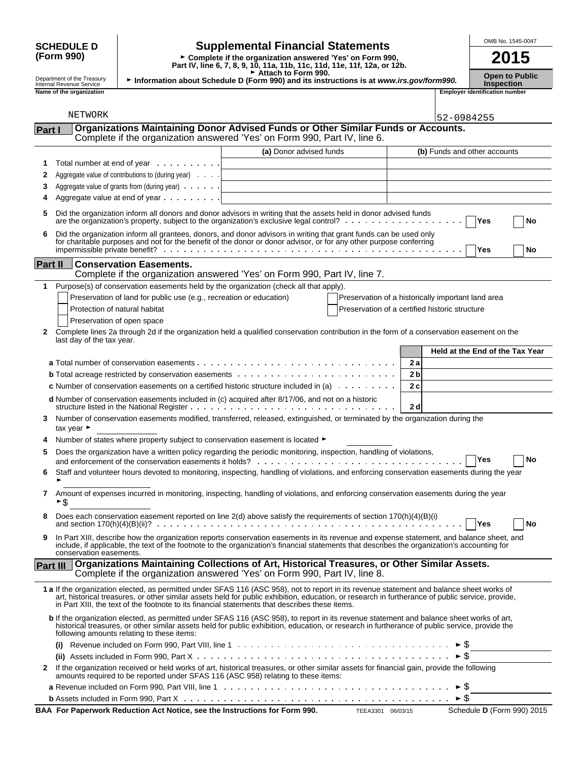| <b>SCHEDULE D</b>                                                                                                                                    | <b>Supplemental Financial Statements</b>                                                                                        | OMB No. 1545-0047                          |
|------------------------------------------------------------------------------------------------------------------------------------------------------|---------------------------------------------------------------------------------------------------------------------------------|--------------------------------------------|
| (Form 990)<br>► Complete if the organization answered 'Yes' on Form 990,<br>Part IV, line 6, 7, 8, 9, 10, 11a, 11b, 11c, 11d, 11e, 11f, 12a, or 12b. |                                                                                                                                 | 2015                                       |
| Department of the Treasury<br>Internal Revenue Service                                                                                               | $\triangleright$ Attach to Form 990.<br>Information about Schedule D (Form 990) and its instructions is at www.irs.gov/form990. | <b>Open to Public</b><br><b>Inspection</b> |
| Name of the organization                                                                                                                             |                                                                                                                                 | <b>Emplover identification number</b>      |

|--|

|         | NETWORK                                                                                                                                                                                                                                                                                                                                                                                         |                         |                                                | 52-0984255                                         |
|---------|-------------------------------------------------------------------------------------------------------------------------------------------------------------------------------------------------------------------------------------------------------------------------------------------------------------------------------------------------------------------------------------------------|-------------------------|------------------------------------------------|----------------------------------------------------|
| Part I  | Organizations Maintaining Donor Advised Funds or Other Similar Funds or Accounts.                                                                                                                                                                                                                                                                                                               |                         |                                                |                                                    |
|         | Complete if the organization answered 'Yes' on Form 990, Part IV, line 6.                                                                                                                                                                                                                                                                                                                       |                         |                                                |                                                    |
|         |                                                                                                                                                                                                                                                                                                                                                                                                 | (a) Donor advised funds |                                                | (b) Funds and other accounts                       |
| 1       | Total number at end of year                                                                                                                                                                                                                                                                                                                                                                     |                         |                                                |                                                    |
| 2       | Aggregate value of contributions to (during year)                                                                                                                                                                                                                                                                                                                                               |                         |                                                |                                                    |
| 3       | Aggregate value of grants from (during year)                                                                                                                                                                                                                                                                                                                                                    |                         |                                                |                                                    |
| 4       | Aggregate value at end of year                                                                                                                                                                                                                                                                                                                                                                  |                         |                                                |                                                    |
|         | Did the organization inform all donors and donor advisors in writing that the assets held in donor advised funds<br>are the organization's property, subject to the organization's exclusive legal control? $\ldots$ ,                                                                                                                                                                          |                         |                                                | Yes<br>No                                          |
| 6       | Did the organization inform all grantees, donors, and donor advisors in writing that grant funds can be used only for charitable purposes and not for the benefit of the donor or donor advisor, or for any other purpose conf                                                                                                                                                                  |                         |                                                | <b>Yes</b><br>No                                   |
| Part II | <b>Conservation Easements.</b>                                                                                                                                                                                                                                                                                                                                                                  |                         |                                                |                                                    |
|         | Complete if the organization answered 'Yes' on Form 990, Part IV, line 7.                                                                                                                                                                                                                                                                                                                       |                         |                                                |                                                    |
|         | 1 Purpose(s) of conservation easements held by the organization (check all that apply).                                                                                                                                                                                                                                                                                                         |                         |                                                |                                                    |
|         | Preservation of land for public use (e.g., recreation or education)                                                                                                                                                                                                                                                                                                                             |                         |                                                | Preservation of a historically important land area |
|         | Protection of natural habitat                                                                                                                                                                                                                                                                                                                                                                   |                         | Preservation of a certified historic structure |                                                    |
|         | Preservation of open space                                                                                                                                                                                                                                                                                                                                                                      |                         |                                                |                                                    |
| 2       | Complete lines 2a through 2d if the organization held a qualified conservation contribution in the form of a conservation easement on the<br>last day of the tax year.                                                                                                                                                                                                                          |                         |                                                |                                                    |
|         |                                                                                                                                                                                                                                                                                                                                                                                                 |                         |                                                | Held at the End of the Tax Year                    |
|         |                                                                                                                                                                                                                                                                                                                                                                                                 |                         | 2a                                             |                                                    |
|         |                                                                                                                                                                                                                                                                                                                                                                                                 |                         | 2 <sub>b</sub>                                 |                                                    |
|         | <b>c</b> Number of conservation easements on a certified historic structure included in (a) $\ldots \ldots \ldots$                                                                                                                                                                                                                                                                              |                         | 2c                                             |                                                    |
|         | d Number of conservation easements included in (c) acquired after 8/17/06, and not on a historic                                                                                                                                                                                                                                                                                                |                         |                                                |                                                    |
|         |                                                                                                                                                                                                                                                                                                                                                                                                 |                         | 2d                                             |                                                    |
| 3       | Number of conservation easements modified, transferred, released, extinguished, or terminated by the organization during the<br>tax year $\blacktriangleright$                                                                                                                                                                                                                                  |                         |                                                |                                                    |
|         | Number of states where property subject to conservation easement is located ►                                                                                                                                                                                                                                                                                                                   |                         |                                                |                                                    |
| 5       | Does the organization have a written policy regarding the periodic monitoring, inspection, handling of violations,                                                                                                                                                                                                                                                                              |                         |                                                | Yes<br>No                                          |
|         | Staff and volunteer hours devoted to monitoring, inspecting, handling of violations, and enforcing conservation easements during the year                                                                                                                                                                                                                                                       |                         |                                                |                                                    |
| 7       | Amount of expenses incurred in monitoring, inspecting, handling of violations, and enforcing conservation easements during the year<br>►\$                                                                                                                                                                                                                                                      |                         |                                                |                                                    |
|         | Does each conservation easement reported on line 2(d) above satisfy the requirements of section 170(h)(4)(B)(i)                                                                                                                                                                                                                                                                                 |                         |                                                | Yes<br>No                                          |
| 9       | In Part XIII, describe how the organization reports conservation easements in its revenue and expense statement, and balance sheet, and<br>include, if applicable, the text of the footnote to the organization's financial statements that describes the organization's accounting for<br>conservation easements.                                                                              |                         |                                                |                                                    |
|         | Part III   Organizations Maintaining Collections of Art, Historical Treasures, or Other Similar Assets.<br>Complete if the organization answered 'Yes' on Form 990, Part IV, line 8.                                                                                                                                                                                                            |                         |                                                |                                                    |
|         | 1 a If the organization elected, as permitted under SFAS 116 (ASC 958), not to report in its revenue statement and balance sheet works of<br>art, historical treasures, or other similar assets held for public exhibition, education, or research in furtherance of public service, provide,<br>in Part XIII, the text of the footnote to its financial statements that describes these items. |                         |                                                |                                                    |
|         | b If the organization elected, as permitted under SFAS 116 (ASC 958), to report in its revenue statement and balance sheet works of art,<br>historical treasures, or other similar assets held for public exhibition, education, or research in furtherance of public service, provide the<br>following amounts relating to these items:                                                        |                         |                                                |                                                    |
|         |                                                                                                                                                                                                                                                                                                                                                                                                 |                         |                                                |                                                    |
|         |                                                                                                                                                                                                                                                                                                                                                                                                 |                         |                                                |                                                    |
| 2       | If the organization received or held works of art, historical treasures, or other similar assets for financial gain, provide the following<br>amounts required to be reported under SFAS 116 (ASC 958) relating to these items:                                                                                                                                                                 |                         |                                                |                                                    |
|         |                                                                                                                                                                                                                                                                                                                                                                                                 |                         |                                                | $\blacktriangleright$ Ş                            |
|         |                                                                                                                                                                                                                                                                                                                                                                                                 |                         |                                                | $\triangleright$ S                                 |

**BAA For Paperwork Reduction Act Notice, see the Instructions for Form 990.** TEEA3301 06/03/15 Schedule D (Form 990) 2015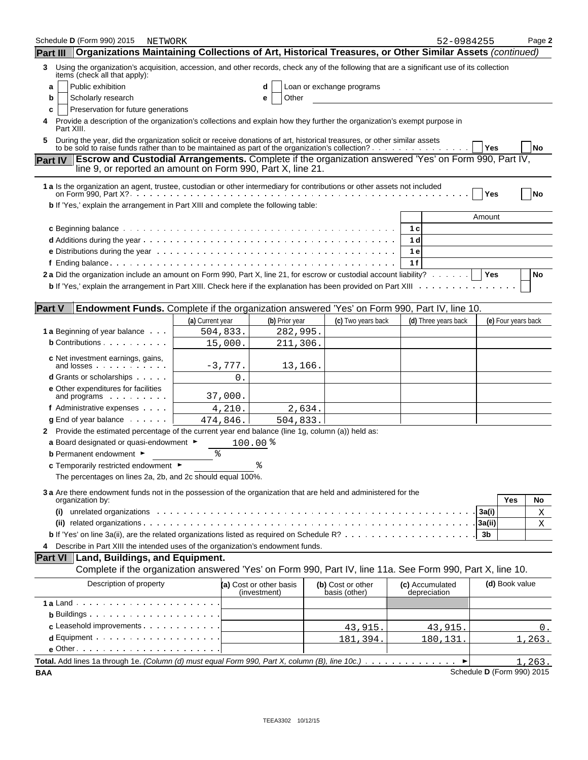| Schedule <b>D</b> (Form 990) 2015<br>NETWORK                                                                                                                                                                                      |                  |                                         |                                    | 52-0984255                      |            |                     | Page 2        |
|-----------------------------------------------------------------------------------------------------------------------------------------------------------------------------------------------------------------------------------|------------------|-----------------------------------------|------------------------------------|---------------------------------|------------|---------------------|---------------|
| Organizations Maintaining Collections of Art, Historical Treasures, or Other Similar Assets (continued)<br><b>Part III</b>                                                                                                        |                  |                                         |                                    |                                 |            |                     |               |
| Using the organization's acquisition, accession, and other records, check any of the following that are a significant use of its collection<br>3<br>items (check all that apply):                                                 |                  |                                         |                                    |                                 |            |                     |               |
| Public exhibition<br>a                                                                                                                                                                                                            |                  | d                                       | Loan or exchange programs          |                                 |            |                     |               |
| Scholarly research<br>b                                                                                                                                                                                                           |                  | Other<br>е                              |                                    |                                 |            |                     |               |
| Preservation for future generations<br>c                                                                                                                                                                                          |                  |                                         |                                    |                                 |            |                     |               |
| Provide a description of the organization's collections and explain how they further the organization's exempt purpose in<br>4<br>Part XIII.                                                                                      |                  |                                         |                                    |                                 |            |                     |               |
| During the year, did the organization solicit or receive donations of art, historical treasures, or other similar assets<br>5<br>to be sold to raise funds rather than to be maintained as part of the organization's collection? |                  |                                         |                                    |                                 | <b>Yes</b> |                     | No            |
| Escrow and Custodial Arrangements. Complete if the organization answered 'Yes' on Form 990, Part IV,<br><b>Part IV</b><br>line 9, or reported an amount on Form 990, Part X, line 21.                                             |                  |                                         |                                    |                                 |            |                     |               |
| 1 a Is the organization an agent, trustee, custodian or other intermediary for contributions or other assets not included                                                                                                         |                  |                                         |                                    |                                 |            |                     |               |
|                                                                                                                                                                                                                                   |                  |                                         |                                    |                                 | Yes        |                     | No            |
| b If 'Yes,' explain the arrangement in Part XIII and complete the following table:                                                                                                                                                |                  |                                         |                                    |                                 |            |                     |               |
|                                                                                                                                                                                                                                   |                  |                                         |                                    |                                 | Amount     |                     |               |
|                                                                                                                                                                                                                                   |                  |                                         |                                    | 1 с                             |            |                     |               |
|                                                                                                                                                                                                                                   |                  |                                         |                                    | 1 d                             |            |                     |               |
|                                                                                                                                                                                                                                   |                  |                                         |                                    | 1 e                             |            |                     |               |
|                                                                                                                                                                                                                                   |                  |                                         |                                    | 1f                              |            |                     |               |
| 2a Did the organization include an amount on Form 990, Part X, line 21, for escrow or custodial account liability?   Yes                                                                                                          |                  |                                         |                                    |                                 |            |                     | No            |
|                                                                                                                                                                                                                                   |                  |                                         |                                    |                                 |            |                     |               |
|                                                                                                                                                                                                                                   |                  |                                         |                                    |                                 |            |                     |               |
| <b>Part V</b><br>Endowment Funds. Complete if the organization answered 'Yes' on Form 990, Part IV, line 10.                                                                                                                      |                  |                                         |                                    |                                 |            |                     |               |
|                                                                                                                                                                                                                                   | (a) Current year | (b) Prior year                          | (c) Two years back                 | (d) Three years back            |            | (e) Four years back |               |
| 1 a Beginning of year balance                                                                                                                                                                                                     | 504,833.         | 282,995.                                |                                    |                                 |            |                     |               |
| <b>b</b> Contributions                                                                                                                                                                                                            | 15,000.          | 211,306.                                |                                    |                                 |            |                     |               |
|                                                                                                                                                                                                                                   |                  |                                         |                                    |                                 |            |                     |               |
| c Net investment earnings, gains,<br>and losses                                                                                                                                                                                   | $-3,777.$        | 13,166.                                 |                                    |                                 |            |                     |               |
| <b>d</b> Grants or scholarships                                                                                                                                                                                                   | 0.               |                                         |                                    |                                 |            |                     |               |
| e Other expenditures for facilities                                                                                                                                                                                               |                  |                                         |                                    |                                 |            |                     |               |
| and programs                                                                                                                                                                                                                      | 37,000.          |                                         |                                    |                                 |            |                     |               |
| f Administrative expenses                                                                                                                                                                                                         | 4,210.           | 2,634.                                  |                                    |                                 |            |                     |               |
| $q$ End of year balance $\ldots$ .                                                                                                                                                                                                | 474,846.         | 504,833.                                |                                    |                                 |            |                     |               |
| 2 Provide the estimated percentage of the current year end balance (line 1g, column (a)) held as:                                                                                                                                 |                  |                                         |                                    |                                 |            |                     |               |
| a Board designated or quasi-endowment $\blacktriangleright$                                                                                                                                                                       |                  | $100.00$ $%$                            |                                    |                                 |            |                     |               |
| <b>b</b> Permanent endowment ►                                                                                                                                                                                                    | ిక               |                                         |                                    |                                 |            |                     |               |
| c Temporarily restricted endowment ▶                                                                                                                                                                                              |                  |                                         |                                    |                                 |            |                     |               |
| The percentages on lines 2a, 2b, and 2c should equal 100%.                                                                                                                                                                        |                  |                                         |                                    |                                 |            |                     |               |
| 3 a Are there endowment funds not in the possession of the organization that are held and administered for the                                                                                                                    |                  |                                         |                                    |                                 |            |                     |               |
| organization by:                                                                                                                                                                                                                  |                  |                                         |                                    |                                 |            | Yes                 | No            |
| unrelated organizations enterprise in the contract of the contract of the contract of the contract of the contr                                                                                                                   |                  |                                         |                                    |                                 | 3a(i)      |                     | X             |
|                                                                                                                                                                                                                                   |                  |                                         |                                    |                                 | 3a(ii)     |                     | Χ             |
|                                                                                                                                                                                                                                   |                  |                                         |                                    |                                 | 3b         |                     |               |
| Describe in Part XIII the intended uses of the organization's endowment funds.<br>4                                                                                                                                               |                  |                                         |                                    |                                 |            |                     |               |
| Part VI   Land, Buildings, and Equipment.                                                                                                                                                                                         |                  |                                         |                                    |                                 |            |                     |               |
| Complete if the organization answered 'Yes' on Form 990, Part IV, line 11a. See Form 990, Part X, line 10.                                                                                                                        |                  |                                         |                                    |                                 |            |                     |               |
| Description of property                                                                                                                                                                                                           |                  |                                         |                                    |                                 |            | (d) Book value      |               |
|                                                                                                                                                                                                                                   |                  | (a) Cost or other basis<br>(investment) | (b) Cost or other<br>basis (other) | (c) Accumulated<br>depreciation |            |                     |               |
|                                                                                                                                                                                                                                   |                  |                                         |                                    |                                 |            |                     |               |
| <b>b</b> Buildings $\cdots$ $\cdots$ $\cdots$ $\cdots$ $\cdots$                                                                                                                                                                   |                  |                                         |                                    |                                 |            |                     |               |
| c Leasehold improvements                                                                                                                                                                                                          |                  |                                         | 43,915.                            | 43,915.                         |            |                     | 0.            |
| $d$ Equipment $\cdots$ $\cdots$ $\cdots$ $\cdots$ $\cdots$                                                                                                                                                                        |                  |                                         | 181,394                            | 180,131                         |            |                     | 1,263.        |
| $e$ Other $\cdots$ $\cdots$ $\cdots$ $\cdots$ $\cdots$ $\cdots$                                                                                                                                                                   |                  |                                         |                                    |                                 |            |                     |               |
| Total. Add lines 1a through 1e. (Column (d) must equal Form 990, Part X, column (B), line 10c.)                                                                                                                                   |                  |                                         |                                    | ▸                               |            |                     | <u>1,263.</u> |
|                                                                                                                                                                                                                                   |                  |                                         |                                    |                                 |            |                     |               |

**BAA** Schedule **D** (Form 990) 2015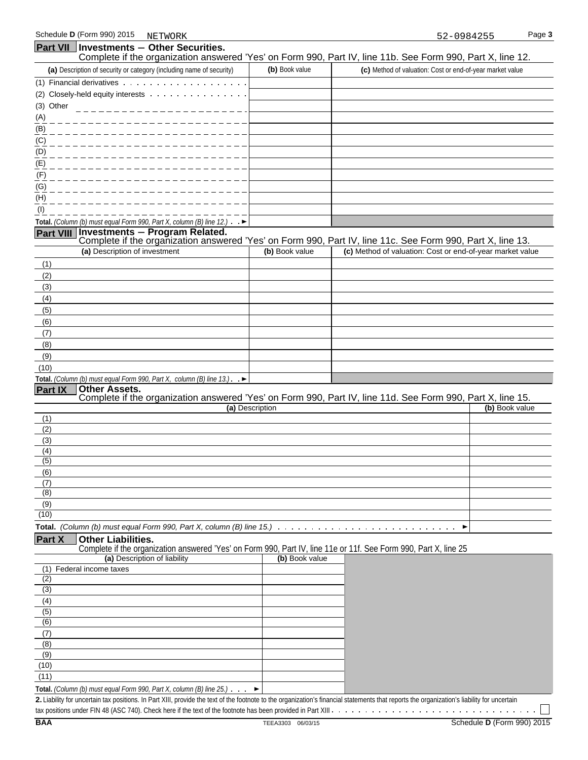| <b>Part VII</b> Investments - Other Securities.                                                                                                         |                 |                                                                                                                              |
|---------------------------------------------------------------------------------------------------------------------------------------------------------|-----------------|------------------------------------------------------------------------------------------------------------------------------|
|                                                                                                                                                         |                 | Complete if the organization answered 'Yes' on Form 990, Part IV, line 11b. See Form 990, Part X, line 12.                   |
| (a) Description of security or category (including name of security)                                                                                    | (b) Book value  | (c) Method of valuation: Cost or end-of-year market value                                                                    |
|                                                                                                                                                         |                 |                                                                                                                              |
| (2) Closely-held equity interests                                                                                                                       |                 |                                                                                                                              |
| (3) Other                                                                                                                                               |                 |                                                                                                                              |
| (A)                                                                                                                                                     |                 |                                                                                                                              |
| (B)                                                                                                                                                     |                 |                                                                                                                              |
| (C)                                                                                                                                                     |                 |                                                                                                                              |
| (D)                                                                                                                                                     |                 |                                                                                                                              |
| (E)                                                                                                                                                     |                 |                                                                                                                              |
| (F)                                                                                                                                                     |                 |                                                                                                                              |
| (G)                                                                                                                                                     |                 |                                                                                                                              |
| (H)                                                                                                                                                     |                 |                                                                                                                              |
| (1)                                                                                                                                                     |                 |                                                                                                                              |
| Total. (Column (b) must equal Form 990, Part X, column (B) line 12.) $\rightarrow$                                                                      |                 |                                                                                                                              |
| Part VIII Investments - Program Related.                                                                                                                |                 |                                                                                                                              |
|                                                                                                                                                         |                 | Complete if the organization answered 'Yes' on Form 990, Part IV, line 11c. See Form 990, Part X, line 13.                   |
| (a) Description of investment                                                                                                                           | (b) Book value  | (c) Method of valuation: Cost or end-of-year market value                                                                    |
| (1)                                                                                                                                                     |                 |                                                                                                                              |
| (2)                                                                                                                                                     |                 |                                                                                                                              |
| (3)                                                                                                                                                     |                 |                                                                                                                              |
| (4)                                                                                                                                                     |                 |                                                                                                                              |
| (5)                                                                                                                                                     |                 |                                                                                                                              |
| (6)                                                                                                                                                     |                 |                                                                                                                              |
| (7)                                                                                                                                                     |                 |                                                                                                                              |
| (8)                                                                                                                                                     |                 |                                                                                                                              |
| (9)                                                                                                                                                     |                 |                                                                                                                              |
| (10)                                                                                                                                                    |                 |                                                                                                                              |
| Total. (Column (b) must equal Form 990, Part X, column (B) line $13$ .). $\blacktriangleright$                                                          |                 |                                                                                                                              |
| <b>Other Assets.</b><br><b>Part IX</b>                                                                                                                  |                 |                                                                                                                              |
|                                                                                                                                                         | (a) Description | Complete if the organization answered 'Yes' on Form 990, Part IV, line 11d. See Form 990, Part X, line 15.<br>(b) Book value |
| (1)                                                                                                                                                     |                 |                                                                                                                              |
| (2)                                                                                                                                                     |                 |                                                                                                                              |
| (3)                                                                                                                                                     |                 |                                                                                                                              |
| (4)                                                                                                                                                     |                 |                                                                                                                              |
| (5)                                                                                                                                                     |                 |                                                                                                                              |
| (6)                                                                                                                                                     |                 |                                                                                                                              |
| (7)                                                                                                                                                     |                 |                                                                                                                              |
| (8)                                                                                                                                                     |                 |                                                                                                                              |
| (9)                                                                                                                                                     |                 |                                                                                                                              |
| (10)                                                                                                                                                    |                 |                                                                                                                              |
| <b>Total.</b> (Column (b) must equal Form 990, Part X, column (B) line $15$ .) $\ldots$                                                                 |                 |                                                                                                                              |
| Part X<br><b>Other Liabilities.</b><br>Complete if the organization answered 'Yes' on Form 990, Part IV, line 11e or 11f. See Form 990, Part X, line 25 |                 |                                                                                                                              |
| (a) Description of liability                                                                                                                            | (b) Book value  |                                                                                                                              |
| (1) Federal income taxes                                                                                                                                |                 |                                                                                                                              |
| (2)                                                                                                                                                     |                 |                                                                                                                              |
| $\overline{(3)}$                                                                                                                                        |                 |                                                                                                                              |
| (4)                                                                                                                                                     |                 |                                                                                                                              |
| (5)                                                                                                                                                     |                 |                                                                                                                              |
| (6)                                                                                                                                                     |                 |                                                                                                                              |
| (7)                                                                                                                                                     |                 |                                                                                                                              |
| (8)                                                                                                                                                     |                 |                                                                                                                              |
| (9)<br>(10)                                                                                                                                             |                 |                                                                                                                              |
| (11)                                                                                                                                                    |                 |                                                                                                                              |
|                                                                                                                                                         |                 |                                                                                                                              |

**Total.** *(Column (b) must equal Form 990, Part X, column (B) line 25.)*

**2.** Liability for uncertain tax positions. In Part XIII, provide the text of the footnote to the organization's financial statements that reports the organization's liability for uncertain

 $\mathbf{I}$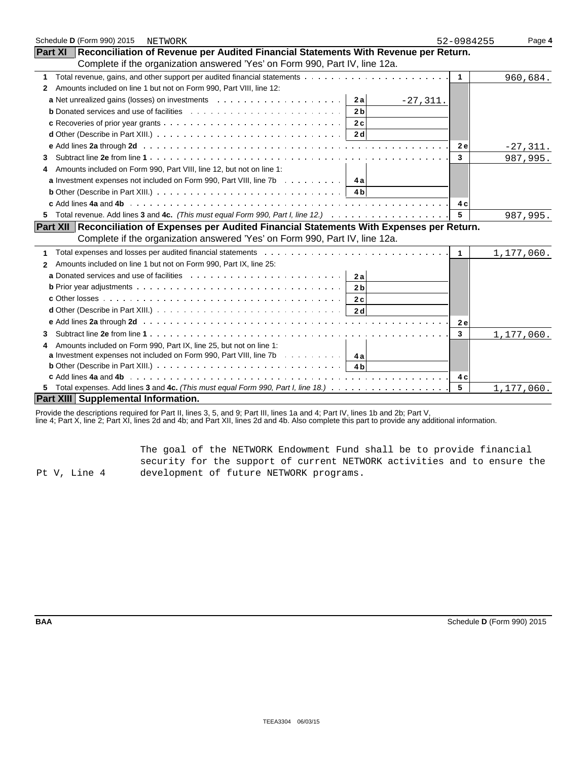| Schedule D (Form 990) 2015<br>NETWORK                                                                                                                                                                                          | 52-0984255   | Page 4     |
|--------------------------------------------------------------------------------------------------------------------------------------------------------------------------------------------------------------------------------|--------------|------------|
| Part XI   Reconciliation of Revenue per Audited Financial Statements With Revenue per Return.                                                                                                                                  |              |            |
| Complete if the organization answered 'Yes' on Form 990, Part IV, line 12a.                                                                                                                                                    |              |            |
| 1                                                                                                                                                                                                                              | $\mathbf{1}$ | 960,684.   |
| Amounts included on line 1 but not on Form 990, Part VIII, line 12:<br>2                                                                                                                                                       |              |            |
| 2a<br>$-27,311.$                                                                                                                                                                                                               |              |            |
| 2 <sub>b</sub>                                                                                                                                                                                                                 |              |            |
| 2c                                                                                                                                                                                                                             |              |            |
| 2 d                                                                                                                                                                                                                            |              |            |
| e Add lines 2a through 2d (a) and a contract of the contract of the contract of the contract of the contract of the contract of the contract of the contract of the contract of the contract of the contract of the contract o | 2 e          | $-27,311.$ |
| 3                                                                                                                                                                                                                              | $\mathbf{3}$ | 987,995.   |
| Amounts included on Form 990, Part VIII, line 12, but not on line 1:<br>4                                                                                                                                                      |              |            |
| <b>a</b> Investment expenses not included on Form 990, Part VIII, line 7b $\ldots \ldots \ldots$                                                                                                                               |              |            |
| <b>b</b> Other (Describe in Part XIII.) $\ldots \ldots \ldots \ldots \ldots \ldots \ldots \ldots \ldots \ldots \ldots$                                                                                                         |              |            |
|                                                                                                                                                                                                                                | 4 c          |            |
| 5.                                                                                                                                                                                                                             | 5            | 987,995.   |
| Part XII Reconciliation of Expenses per Audited Financial Statements With Expenses per Return.                                                                                                                                 |              |            |
| Complete if the organization answered 'Yes' on Form 990, Part IV, line 12a.                                                                                                                                                    |              |            |
| 1                                                                                                                                                                                                                              | 1            | 1,177,060. |
| Amounts included on line 1 but not on Form 990, Part IX, line 25:<br>2                                                                                                                                                         |              |            |
| 2a                                                                                                                                                                                                                             |              |            |
| 2 <sub>b</sub>                                                                                                                                                                                                                 |              |            |
| 2c                                                                                                                                                                                                                             |              |            |
| 2d                                                                                                                                                                                                                             |              |            |
|                                                                                                                                                                                                                                | <b>2e</b>    |            |
| 3                                                                                                                                                                                                                              | $\mathbf{3}$ | 1,177,060. |
| Amounts included on Form 990, Part IX, line 25, but not on line 1:                                                                                                                                                             |              |            |
| <b>a</b> Investment expenses not included on Form 990, Part VIII, line 7b $\cdots$ , $\cdots$   4a                                                                                                                             |              |            |
| <b>b</b> Other (Describe in Part XIII.) $\cdots$ $\cdots$ $\cdots$ $\cdots$ $\cdots$ $\cdots$ $\cdots$ $\cdots$ $\cdots$ $\cdots$<br>4 b                                                                                       |              |            |
|                                                                                                                                                                                                                                | 4 c          |            |
|                                                                                                                                                                                                                                | 5            | 1,177,060. |
| Part XIII Supplemental Information.                                                                                                                                                                                            |              |            |

Provide the descriptions required for Part II, lines 3, 5, and 9; Part III, lines 1a and 4; Part IV, lines 1b and 2b; Part V,

line 4; Part X, line 2; Part XI, lines 2d and 4b; and Part XII, lines 2d and 4b. Also complete this part to provide any additional information.

Pt V, Line 4 The goal of the NETWORK Endowment Fund shall be to provide financial security for the support of current NETWORK activities and to ensure the development of future NETWORK programs.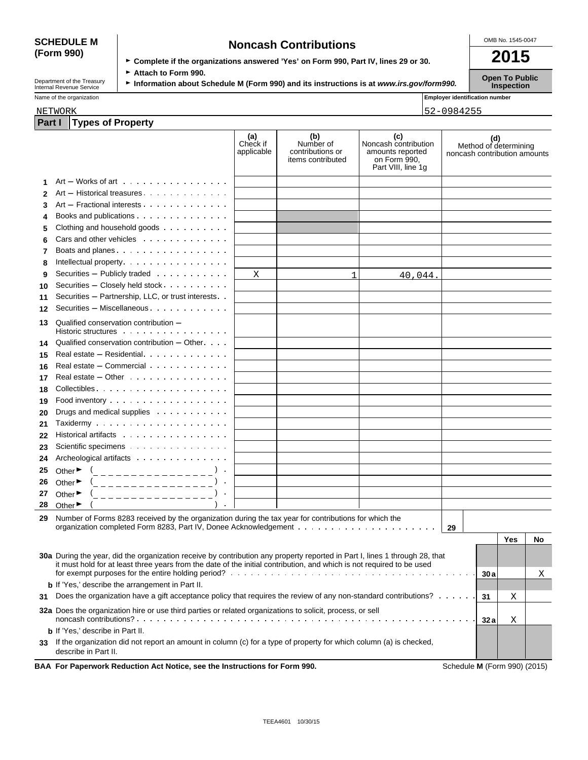## **(Form 990)**

| <b>SCHEDULE M</b> | <b>Noncash Contributions</b>                                                         | OMB No. 1545-0047 |
|-------------------|--------------------------------------------------------------------------------------|-------------------|
| (Form 990)        | ► Complete if the organizations answered 'Yes' on Form 990, Part IV, lines 29 or 30. | 2015              |
|                   |                                                                                      |                   |

Department of the Treasury **► Attach to Form 990.**<br>Information about Schedule M (Form 990) and its instructions is at *www.irs.gov/form990.* Inspection<br>Inspection

**Part I Types of Property** 

| Name of the organization | .<br><b>I Emplover identification number</b> |
|--------------------------|----------------------------------------------|
| NETWORK                  | 2-0984255<br>5                               |

|    |                                                                                                                                               | (a)<br>Check if<br>applicable | (b)<br>Number of<br>contributions or<br>items contributed | (c)<br>Noncash contribution<br>amounts reported<br>on Form 990,<br>Part VIII, line 1g | (d)<br>Method of determining<br>noncash contribution amounts |     |    |
|----|-----------------------------------------------------------------------------------------------------------------------------------------------|-------------------------------|-----------------------------------------------------------|---------------------------------------------------------------------------------------|--------------------------------------------------------------|-----|----|
|    | $Art - Works$ of art $\ldots$ $\ldots$ $\ldots$ $\ldots$ $\ldots$                                                                             |                               |                                                           |                                                                                       |                                                              |     |    |
|    | Art - Historical treasures                                                                                                                    |                               |                                                           |                                                                                       |                                                              |     |    |
| 3  | Art - Fractional interests                                                                                                                    |                               |                                                           |                                                                                       |                                                              |     |    |
| 4  |                                                                                                                                               |                               |                                                           |                                                                                       |                                                              |     |    |
| 5  | Clothing and household goods                                                                                                                  |                               |                                                           |                                                                                       |                                                              |     |    |
| 6  | Cars and other vehicles                                                                                                                       |                               |                                                           |                                                                                       |                                                              |     |    |
| 7  | Boats and planes                                                                                                                              |                               |                                                           |                                                                                       |                                                              |     |    |
| 8  | Intellectual property.                                                                                                                        |                               |                                                           |                                                                                       |                                                              |     |    |
| 9  | Securities - Publicly traded                                                                                                                  | Χ                             | 1                                                         | 40,044.                                                                               |                                                              |     |    |
| 10 | Securities - Closely held stock                                                                                                               |                               |                                                           |                                                                                       |                                                              |     |    |
| 11 | Securities - Partnership, LLC, or trust interests                                                                                             |                               |                                                           |                                                                                       |                                                              |     |    |
| 12 | Securities - Miscellaneous                                                                                                                    |                               |                                                           |                                                                                       |                                                              |     |    |
| 13 | Qualified conservation contribution -                                                                                                         |                               |                                                           |                                                                                       |                                                              |     |    |
|    | Historic structures                                                                                                                           |                               |                                                           |                                                                                       |                                                              |     |    |
| 14 | Qualified conservation contribution $-$ Other $\cdots$                                                                                        |                               |                                                           |                                                                                       |                                                              |     |    |
| 15 | Real estate - Residential                                                                                                                     |                               |                                                           |                                                                                       |                                                              |     |    |
| 16 | Real estate - Commercial                                                                                                                      |                               |                                                           |                                                                                       |                                                              |     |    |
| 17 | Real estate $-$ Other $\cdots$ $\cdots$ $\cdots$ $\cdots$ $\cdots$                                                                            |                               |                                                           |                                                                                       |                                                              |     |    |
| 18 | Collectibles                                                                                                                                  |                               |                                                           |                                                                                       |                                                              |     |    |
| 19 |                                                                                                                                               |                               |                                                           |                                                                                       |                                                              |     |    |
| 20 | Drugs and medical supplies                                                                                                                    |                               |                                                           |                                                                                       |                                                              |     |    |
| 21 |                                                                                                                                               |                               |                                                           |                                                                                       |                                                              |     |    |
| 22 | Historical artifacts                                                                                                                          |                               |                                                           |                                                                                       |                                                              |     |    |
| 23 | Scientific specimens                                                                                                                          |                               |                                                           |                                                                                       |                                                              |     |    |
| 24 |                                                                                                                                               |                               |                                                           |                                                                                       |                                                              |     |    |
| 25 |                                                                                                                                               |                               |                                                           |                                                                                       |                                                              |     |    |
| 26 | Other $\bullet$ $($<br>Other $\blacktriangleright$                                                                                            |                               |                                                           |                                                                                       |                                                              |     |    |
| 27 | (________________)<br>(_ _ _ _ _ _ _ _ _ _ _ _ _ _ _ _<br>Other $\blacktriangleright$                                                         |                               |                                                           |                                                                                       |                                                              |     |    |
| 28 | Other $\blacktriangleright$                                                                                                                   |                               |                                                           |                                                                                       |                                                              |     |    |
|    |                                                                                                                                               |                               |                                                           |                                                                                       |                                                              |     |    |
| 29 | Number of Forms 8283 received by the organization during the tax year for contributions for which the                                         |                               |                                                           |                                                                                       | 29                                                           |     |    |
|    |                                                                                                                                               |                               |                                                           |                                                                                       |                                                              | Yes | No |
|    |                                                                                                                                               |                               |                                                           |                                                                                       |                                                              |     |    |
|    | 30a During the year, did the organization receive by contribution any property reported in Part I, lines 1 through 28, that                   |                               |                                                           |                                                                                       |                                                              |     |    |
|    | it must hold for at least three years from the date of the initial contribution, and which is not required to be used                         |                               |                                                           |                                                                                       | 30 a                                                         |     | X  |
|    | <b>b</b> If 'Yes,' describe the arrangement in Part II.                                                                                       |                               |                                                           |                                                                                       |                                                              |     |    |
| 31 | Does the organization have a gift acceptance policy that requires the review of any non-standard contributions?                               |                               |                                                           |                                                                                       | 31                                                           | Χ   |    |
|    |                                                                                                                                               |                               |                                                           |                                                                                       |                                                              |     |    |
|    | 32a Does the organization hire or use third parties or related organizations to solicit, process, or sell                                     |                               |                                                           |                                                                                       | 32 a                                                         | X   |    |
|    | <b>b</b> If 'Yes,' describe in Part II.                                                                                                       |                               |                                                           |                                                                                       |                                                              |     |    |
|    | 33 If the organization did not report an amount in column (c) for a type of property for which column (a) is checked,<br>describe in Part II. |                               |                                                           |                                                                                       |                                                              |     |    |
|    | <b>PAA. For Ponenuarly Poduction Act Notice, can the Instructions for Form 000.</b>                                                           |                               |                                                           |                                                                                       | $C_{\text{obs}}$ dule M $(\Gamma_{\text{crys}}$ 000) (2045)  |     |    |

**A For Paperwork Reduction Act Notice, see the Instructions for Form 990.** Schedule **M** (Form 990) (2015) **A** Form 990) (2015)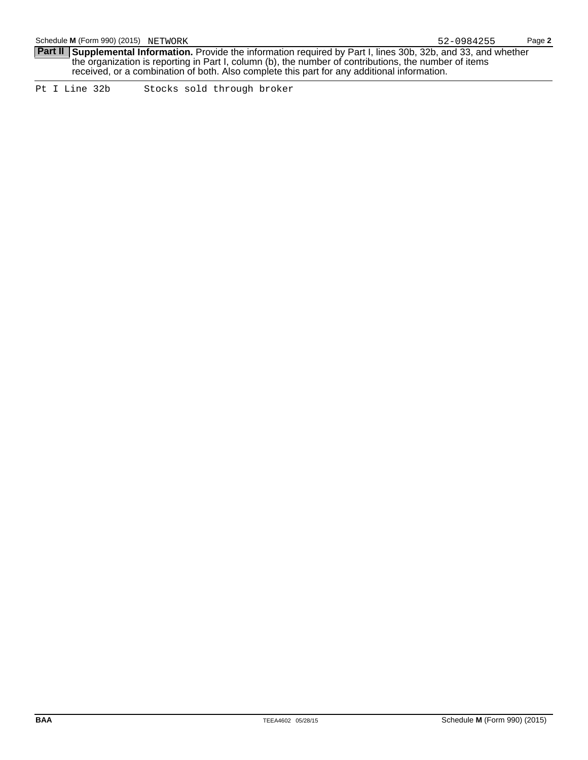**Part II** Supplemental Information. Provide the information required by Part I, lines 30b, 32b, and 33, and whether the organization is reporting in Part I, column (b), the number of contributions, the number of items received, or a combination of both. Also complete this part for any additional information.

Pt I Line 32b Stocks sold through broker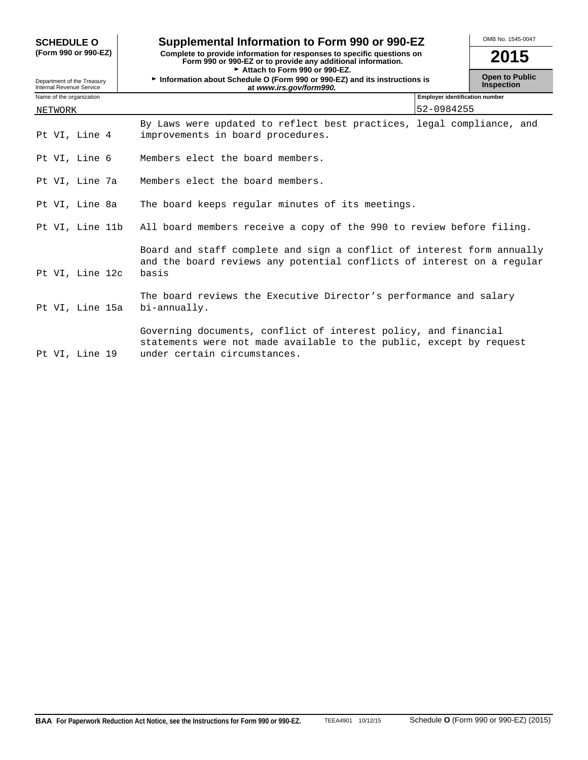| <b>SCHEDULE O</b>                                      | Supplemental Information to Form 990 or 990-EZ                                                                                                                          | OMB No. 1545-0047                          |
|--------------------------------------------------------|-------------------------------------------------------------------------------------------------------------------------------------------------------------------------|--------------------------------------------|
| (Form 990 or 990-EZ)                                   | Complete to provide information for responses to specific questions on<br>Form 990 or 990-EZ or to provide any additional information.<br>Attach to Form 990 or 990-EZ. | 2015                                       |
| Department of the Treasury<br>Internal Revenue Service | Information about Schedule O (Form 990 or 990-EZ) and its instructions is<br>at www.irs.gov/form990.                                                                    | <b>Open to Public</b><br><b>Inspection</b> |
| Name of the organization                               | <b>Employer identification number</b>                                                                                                                                   |                                            |
| NETWORK                                                | 52-0984255                                                                                                                                                              |                                            |
| Pt VI, Line 4                                          | By Laws were updated to reflect best practices, legal compliance, and<br>improvements in board procedures.                                                              |                                            |
| Pt VI, Line 6                                          | Members elect the board members.                                                                                                                                        |                                            |
| Pt VI, Line 7a                                         | Members elect the board members.                                                                                                                                        |                                            |
| Pt VI, Line 8a                                         | The board keeps regular minutes of its meetings.                                                                                                                        |                                            |
| Pt VI, Line 11b                                        | All board members receive a copy of the 990 to review before filing.                                                                                                    |                                            |
| Pt VI, Line 12c                                        | Board and staff complete and sign a conflict of interest form annually<br>and the board reviews any potential conflicts of interest on a regular<br>basis               |                                            |
| Pt VI, Line 15a                                        | The board reviews the Executive Director's performance and salary<br>bi-annually.                                                                                       |                                            |
| Pt VI, Line 19                                         | Governing documents, conflict of interest policy, and financial<br>statements were not made available to the public, except by request<br>under certain circumstances.  |                                            |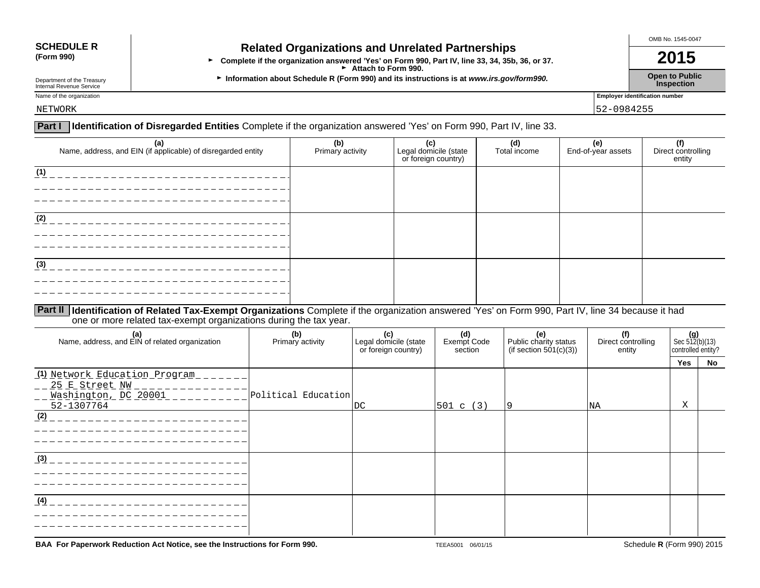## **SCHEDULE R Related Organizations and Unrelated Partnerships**<br>(Form 990) **Related Organizations and Unrelated Partnerships**

**(Form 990)** <sup>G</sup>**Complete if the organization answered 'Yes' on Form 990, Part IV, line 33, 34, 35b, 36, or 37. 2015** Attach to Form 990.

Department of the Treasury **Information about Schedule R (Form 990) and its instructions is at** *www.irs.gov/form990.* **Open to Public inspection** Department of the Treasury<br>Internal Revenue Service **Inspection**<br>Internal Revenue Service **Inspection** 

OMB No. 1545-0047

Name of the organization **Employer identification number** 

NETWORK 52-0984255

## **Part I Identification of Disregarded Entities** Complete if the organization answered 'Yes' on Form 990, Part IV, line 33.

| (a)<br>Name, address, and EIN (if applicable) of disregarded entity | (b)<br>Primary activity | (c)<br>Legal domicile (state<br>or foreign country) | (d)<br>Total income | (e)<br>End-of-year assets | <br>  Direct controlling<br>  entity |
|---------------------------------------------------------------------|-------------------------|-----------------------------------------------------|---------------------|---------------------------|--------------------------------------|
| (1)                                                                 |                         |                                                     |                     |                           |                                      |
| (2)                                                                 |                         |                                                     |                     |                           |                                      |
| (3)                                                                 |                         |                                                     |                     |                           |                                      |
|                                                                     |                         |                                                     |                     |                           |                                      |

## **Part II Identification of Related Tax-Exempt Organizations** Complete if the organization answered 'Yes' on Form 990, Part IV, line 34 because it had one or more related tax-exempt organizations during the tax year.

| (a)<br>Name, address, and EIN of related organization                                 | (b)<br>Primary activity | (c)<br>Legal domicile (state<br>or foreign country) | (d)<br>Exempt Code<br>section | (e)<br>Public charity status<br>(if section $501(c)(3)$ ) | (f)<br>Direct controlling<br>entity | $\left  \begin{array}{c} \textbf{(g)} \\ \text{Sec } 512 \textbf{(b)} \\ \textbf{(13)} \end{array} \right $<br>controlled entity? |    |
|---------------------------------------------------------------------------------------|-------------------------|-----------------------------------------------------|-------------------------------|-----------------------------------------------------------|-------------------------------------|-----------------------------------------------------------------------------------------------------------------------------------|----|
|                                                                                       |                         |                                                     |                               |                                                           |                                     | Yes                                                                                                                               | No |
| (1) Network Education Program<br>25 E Street NW<br>Washington, DC 20001<br>52-1307764 | Political Education     | DC                                                  | 501 c (3)                     | 19                                                        | NA                                  | Χ                                                                                                                                 |    |
| (2)                                                                                   |                         |                                                     |                               |                                                           |                                     |                                                                                                                                   |    |
| (3)                                                                                   |                         |                                                     |                               |                                                           |                                     |                                                                                                                                   |    |
| (4)                                                                                   |                         |                                                     |                               |                                                           |                                     |                                                                                                                                   |    |

**BAA For Paperwork Reduction Act Notice, see the Instructions for Form 990.** TEEA5001 06/01/15 TEEA5001 06/01/15 Schedule **R** (Form 990) 2015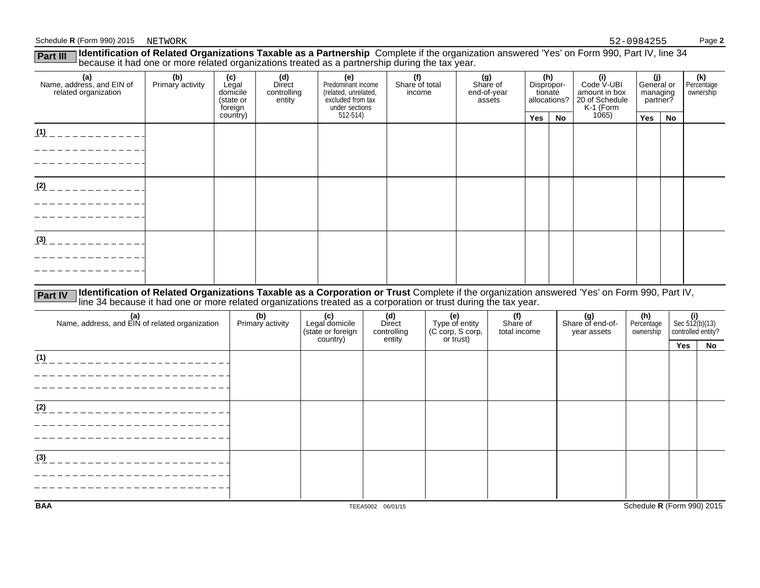## Schedule **R** (Form 990) 2015 Page **2**

| [Identification of Related Organizations Taxable as a Partnership Complete if the organization answered 'Yes' on Form 990, Part IV, line 34<br>Part III<br>because it had one or more related organizations treated as a partnership during the tax year. |                         |                                                  |                                               |                                                                                          |                                 |                                          |                                              |    |                                                                   |                                           |    |  |  |                                |
|-----------------------------------------------------------------------------------------------------------------------------------------------------------------------------------------------------------------------------------------------------------|-------------------------|--------------------------------------------------|-----------------------------------------------|------------------------------------------------------------------------------------------|---------------------------------|------------------------------------------|----------------------------------------------|----|-------------------------------------------------------------------|-------------------------------------------|----|--|--|--------------------------------|
| (a)<br>Name, address, and EIN of<br>related organization                                                                                                                                                                                                  | (b)<br>Primary activity | (c)<br>Legal<br>domicile<br>(state or<br>foreign | (d)<br><b>Direct</b><br>controlling<br>entity | (e)<br>Predominant income<br>(related, unrelated,<br>excluded from tax<br>under sections | (f)<br>Share of total<br>income | (g)<br>Share of<br>end-of-year<br>assets | (h)<br>Dispropor-<br>tionate<br>allocations? |    | (i)<br>Code V-UBI<br>amount in box<br>20 of Schedule<br>K-1 (Form | (j)<br>General or<br>managing<br>partner? |    |  |  | (k)<br>Percentage<br>ownership |
|                                                                                                                                                                                                                                                           |                         | country)                                         |                                               | $512-514$                                                                                |                                 |                                          | Yes                                          | No | 1065                                                              | Yes                                       | No |  |  |                                |
| (1)                                                                                                                                                                                                                                                       |                         |                                                  |                                               |                                                                                          |                                 |                                          |                                              |    |                                                                   |                                           |    |  |  |                                |
| (2)                                                                                                                                                                                                                                                       |                         |                                                  |                                               |                                                                                          |                                 |                                          |                                              |    |                                                                   |                                           |    |  |  |                                |
| (3)                                                                                                                                                                                                                                                       |                         |                                                  |                                               |                                                                                          |                                 |                                          |                                              |    |                                                                   |                                           |    |  |  |                                |

Part IV Identification of Related Organizations Taxable as a Corporation or Trust Complete if the organization answered 'Yes' on Form 990, Part IV,<br>line 34 because it had one or more related organizations treated as a corp

| (a)<br>Name, address, and EIN of related organization | (b)<br>Primary activity | (c)<br>Legal domicile<br>(state or foreign<br>country) | (d)<br>Direct<br>controlling<br>entity | (e)<br>Type of entity<br>(C corp, S corp,<br>or trust) | (f)<br>Share of<br>total income | (g)<br>Share of end-of-<br>year assets | (h)<br>Percentage<br>ownership | $\text{Sec } 512 \text{(b)} \text{(13)}$<br>controlled entity? |    |
|-------------------------------------------------------|-------------------------|--------------------------------------------------------|----------------------------------------|--------------------------------------------------------|---------------------------------|----------------------------------------|--------------------------------|----------------------------------------------------------------|----|
|                                                       |                         |                                                        |                                        |                                                        |                                 |                                        |                                | Yes                                                            | No |
| (1)                                                   |                         |                                                        |                                        |                                                        |                                 |                                        |                                |                                                                |    |
|                                                       |                         |                                                        |                                        |                                                        |                                 |                                        |                                |                                                                |    |
|                                                       |                         |                                                        |                                        |                                                        |                                 |                                        |                                |                                                                |    |
|                                                       |                         |                                                        |                                        |                                                        |                                 |                                        |                                |                                                                |    |
| (2)                                                   |                         |                                                        |                                        |                                                        |                                 |                                        |                                |                                                                |    |
|                                                       |                         |                                                        |                                        |                                                        |                                 |                                        |                                |                                                                |    |
|                                                       |                         |                                                        |                                        |                                                        |                                 |                                        |                                |                                                                |    |
|                                                       |                         |                                                        |                                        |                                                        |                                 |                                        |                                |                                                                |    |
| (3)                                                   |                         |                                                        |                                        |                                                        |                                 |                                        |                                |                                                                |    |
|                                                       |                         |                                                        |                                        |                                                        |                                 |                                        |                                |                                                                |    |
|                                                       |                         |                                                        |                                        |                                                        |                                 |                                        |                                |                                                                |    |
|                                                       |                         |                                                        |                                        |                                                        |                                 |                                        |                                |                                                                |    |
| <b>BAA</b>                                            |                         |                                                        | TEEA5002 06/01/15                      |                                                        |                                 |                                        | Schedule R (Form 990) 2015     |                                                                |    |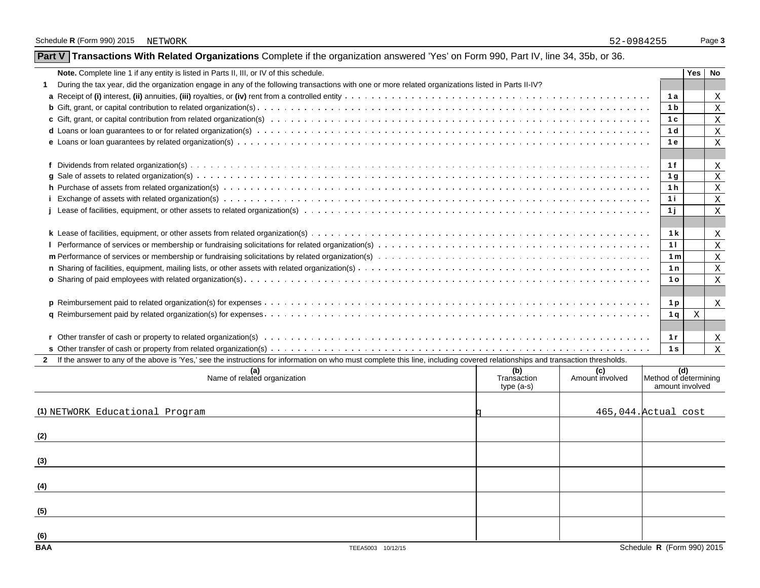|  | Part V   Transactions With Related Organizations Complete if the organization answered 'Yes' on Form 990, Part IV, line 34, 35b, or 36. |  |  |  |  |  |
|--|-----------------------------------------------------------------------------------------------------------------------------------------|--|--|--|--|--|
|--|-----------------------------------------------------------------------------------------------------------------------------------------|--|--|--|--|--|

| Note. Complete line 1 if any entity is listed in Parts II, III, or IV of this schedule.                                                                                        |                | Yes | No           |
|--------------------------------------------------------------------------------------------------------------------------------------------------------------------------------|----------------|-----|--------------|
| During the tax year, did the organization engage in any of the following transactions with one or more related organizations listed in Parts II-IV?                            |                |     |              |
|                                                                                                                                                                                | 1 a            |     | X            |
|                                                                                                                                                                                | 1 <sub>b</sub> |     | X            |
|                                                                                                                                                                                | 1 <sup>c</sup> |     | X            |
|                                                                                                                                                                                | 1 <sub>d</sub> |     | $\mathbf{X}$ |
|                                                                                                                                                                                | 1e             |     | X            |
|                                                                                                                                                                                |                |     |              |
|                                                                                                                                                                                | 1f             |     | X            |
|                                                                                                                                                                                | 1 <sub>q</sub> |     | X            |
|                                                                                                                                                                                | 1 <sub>h</sub> |     | X            |
|                                                                                                                                                                                | 1i             |     | $\mathbf{X}$ |
|                                                                                                                                                                                | 1j             |     | $\mathbf X$  |
|                                                                                                                                                                                |                |     |              |
|                                                                                                                                                                                | 1 <sub>k</sub> |     | Χ            |
|                                                                                                                                                                                | 11             |     | X            |
|                                                                                                                                                                                | 1 <sub>m</sub> |     | X            |
|                                                                                                                                                                                | 1n             |     | X            |
|                                                                                                                                                                                | 1 <sub>o</sub> |     | $\mathsf{x}$ |
|                                                                                                                                                                                |                |     |              |
|                                                                                                                                                                                | 1 <sub>p</sub> |     | $\mathbf{X}$ |
|                                                                                                                                                                                | 1 q            | X   |              |
|                                                                                                                                                                                |                |     |              |
|                                                                                                                                                                                | 1r             |     | X            |
|                                                                                                                                                                                | 1 <sub>s</sub> |     | X            |
| 2 If the answer to any of the above is 'Yes,' see the instructions for information on who must complete this line, including covered relationships and transaction thresholds. |                |     |              |

| (a)<br>Name of related organization    | $\tilde{\phantom{a}}$<br>(b)<br>Transaction<br>type (a-s) | (c)<br>Amount involved | Method of determining<br>amount involved |
|----------------------------------------|-----------------------------------------------------------|------------------------|------------------------------------------|
| (1) NETWORK Educational Program        |                                                           |                        | 465,044. Actual cost                     |
| (2)                                    |                                                           |                        |                                          |
| (3)                                    |                                                           |                        |                                          |
| (4)                                    |                                                           |                        |                                          |
| (5)                                    |                                                           |                        |                                          |
| (6)<br><b>BAA</b><br>TEEA5003 10/12/15 |                                                           |                        | Schedule R (Form 990) 2015               |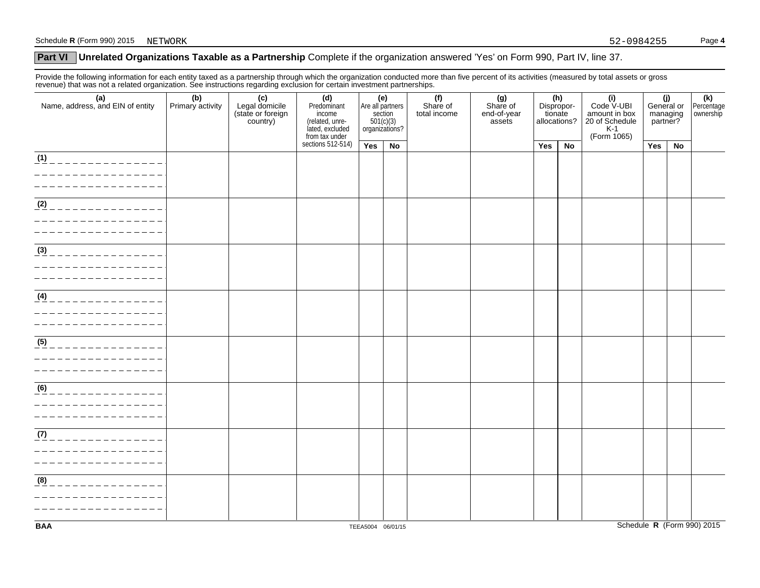## **Part VI** Unrelated Organizations Taxable as a Partnership Complete if the organization answered 'Yes' on Form 990, Part IV, line 37.

Provide the following information for each entity taxed as a partnership through which the organization conducted more than five percent of its activities (measured by total assets or gross revenue) that was not a related organization. See instructions regarding exclusion for certain investment partnerships.

| (a)<br>Name, address, and EIN of entity                  | (b)<br>Primary activity | ັ<br>(c)<br>Legal domicile<br>(state or foreign<br>country) | (d)<br>Predominant<br>income<br>(related, unre-<br>lated, excluded<br>from tax under | (e)<br>Are all partners<br>section<br>section<br>501(c)(3)<br>organizations? |    | (f)<br>Share of<br>total income | $(g)$<br>Share of<br>end-of-year<br>assets | $(h)$<br>Dispropor-<br>tionate<br>allocations? |           | $(i)$<br>Code V-UBI<br>amount in box<br>20 of Schedule<br>K-1<br>(Form 1065) | (j)<br>General or<br>managing<br>partner? |    | (k)<br>Percentage<br>ownership |
|----------------------------------------------------------|-------------------------|-------------------------------------------------------------|--------------------------------------------------------------------------------------|------------------------------------------------------------------------------|----|---------------------------------|--------------------------------------------|------------------------------------------------|-----------|------------------------------------------------------------------------------|-------------------------------------------|----|--------------------------------|
|                                                          |                         |                                                             | sections $512-514$ )                                                                 | Yes                                                                          | No |                                 |                                            | Yes                                            | <b>No</b> |                                                                              | Yes                                       | No |                                |
| (1)<br><u>____________</u>                               |                         |                                                             |                                                                                      |                                                                              |    |                                 |                                            |                                                |           |                                                                              |                                           |    |                                |
| (2)                                                      |                         |                                                             |                                                                                      |                                                                              |    |                                 |                                            |                                                |           |                                                                              |                                           |    |                                |
| $\frac{(3)}{2}$<br>_____________                         |                         |                                                             |                                                                                      |                                                                              |    |                                 |                                            |                                                |           |                                                                              |                                           |    |                                |
| $\frac{(4)}{4}$                                          |                         |                                                             |                                                                                      |                                                                              |    |                                 |                                            |                                                |           |                                                                              |                                           |    |                                |
| $\overline{\underline{\hspace{1em}}(5)}$                 |                         |                                                             |                                                                                      |                                                                              |    |                                 |                                            |                                                |           |                                                                              |                                           |    |                                |
| (6)                                                      |                         |                                                             |                                                                                      |                                                                              |    |                                 |                                            |                                                |           |                                                                              |                                           |    |                                |
| $\overline{(7)}$<br>______________<br>__________________ |                         |                                                             |                                                                                      |                                                                              |    |                                 |                                            |                                                |           |                                                                              |                                           |    |                                |
| (8)<br>______________                                    |                         |                                                             |                                                                                      |                                                                              |    |                                 |                                            |                                                |           |                                                                              |                                           |    |                                |